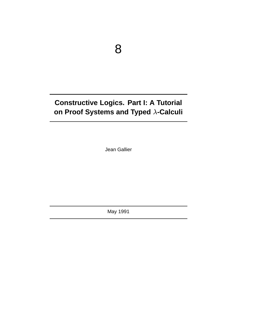# **Constructive Logics. Part I: A Tutorial on Proof Systems and Typed -Calculi**

Jean Gallier

May 1991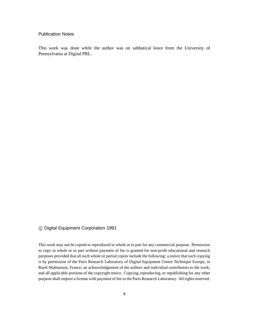#### Publication Notes

This work was done while the author was on sabbatical leave from the University of Pennsylvania at Digital PRL.

#### c Digital Equipment Corporation 1991

This work may not be copied or reproduced in whole or in part for any commercial purpose. Permission to copy in whole or in part without payment of fee is granted for non-profit educational and research purposes provided that all such whole or partial copies include the following: a notice that such copying is by permission of the Paris Research Laboratory of Digital Equipment Centre Technique Europe, in Rueil-Malmaison, France; an acknowledgement of the authors and individual contributors to the work; and all applicable portions of the copyright notice. Copying, reproducing, or republishing for any other purpose shall require a license with payment of fee to the Paris Research Laboratory. All rights reserved.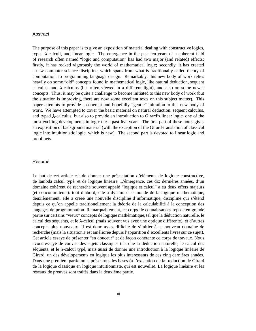#### Abstract

The purpose of this paper is to give an exposition of material dealing with constructive logics, typed  $\lambda$ -calculi, and linear logic. The emergence in the past ten years of a coherent field of research often named "logic and computation" has had two major (and related) effects: firstly, it has rocked vigorously the world of mathematical logic; secondly, it has created a new computer science discipline, which spans from what is traditionally called theory of computation, to programming language design. Remarkably, this new body of work relies heavily on some "old" concepts found in mathematical logic, like natural deduction, sequent calculus, and  $\lambda$ -calculus (but often viewed in a different light), and also on some newer concepts. Thus, it may be quite a challenge to become initiated to this new body of work (but the situation is improving, there are now some excellent texts on this subject matter). This paper attempts to provide a coherent and hopefully "gentle" initiation to this new body of work. We have attempted to cover the basic material on natural deduction, sequent calculus, and typed  $\lambda$ -calculus, but also to provide an introduction to Girard's linear logic, one of the most exciting developments in logic these past five years. The first part of these notes gives an exposition of background material (with the exception of the Girard-translation of classical logic into intuitionistic logic, which is new). The second part is devoted to linear logic and proof nets.

#### Résumé

Le but de cet article est de donner une présentation d'éléments de logique constructive, de lambda calcul typé, et de logique linéaire. L'émergence, ces dix dernières années, d'un domaine cohérent de recherche souvent appelé "logique et calcul" a eu deux effets majeurs (et concommitents): tout d'abord, elle a dynamisé le monde de la logique mathématique; deuxièmement, elle a créée une nouvelle discipline d'informatique, discipline qui s'étend depuis ce qu'on appelle traditionellement la théorie de la calculabilité à la conception des langages de programmation. Remarquablement, ce corps de connaissances repose en grande partie sur certains "vieux" concepts de logique mathématique, tel que la déduction naturelle, le calcul des séquents, et le  $\lambda$ -calcul (mais souvent vus avec une optique différente), et d'autres concepts plus nouveaux. Il est donc assez difficile de s'initier a` ce nouveau domaine de recherche (mais la situation s'est améliorée depuis l'apparition d'excellents livres sur ce sujet). Cet article essaye de présenter "en douceur" et de façon cohérente ce corps de travaux. Nous avons essayé de couvrir des sujets classiques tels que la déduction naturelle, le calcul des séquents, et le  $\lambda$ -calcul typé, mais aussi de donner une introduction à la logique linéaire de Girard, un des dévelopements en logique les plus interessants de ces cinq dernières années. Dans une première partie nous présentons les bases (à l'exception de la traduction de Girard de la logique classique en logique intuitionniste, qui est nouvelle). La logique linéaire et les réseaux de preuves sont traités dans la deuxième partie.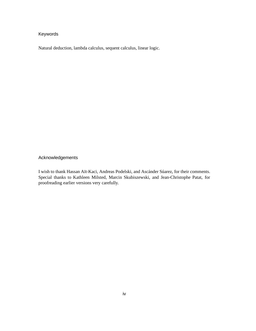### Keywords

Natural deduction, lambda calculus, sequent calculus, linear logic.

Acknowledgements

I wish to thank Hassan Aït-Kaci, Andreas Podelski, and Ascánder Súarez, for their comments. Special thanks to Kathleen Milsted, Marcin Skubiszewski, and Jean-Christophe Patat, for proofreading earlier versions very carefully.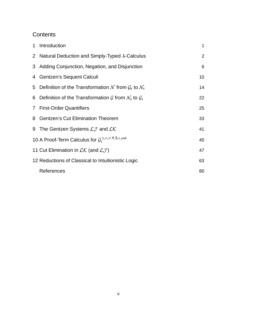## **Contents**

| $\mathbf 1$    | Introduction                                                                          | 1              |
|----------------|---------------------------------------------------------------------------------------|----------------|
|                | 2 Natural Deduction and Simply-Typed $\lambda$ -Calculus                              | $\overline{2}$ |
|                | 3 Adding Conjunction, Negation, and Disjunction                                       | 6              |
|                | 4 Gentzen's Sequent Calculi                                                           | 10             |
| 5              | Definition of the Transformation N from $\mathcal{G}_i$ to $\mathcal{N}_i$            | 14             |
|                | 6 Definition of the Transformation $\mathcal G$ from $\mathcal N_i$ to $\mathcal G_i$ | 22             |
| 7 <sup>1</sup> | <b>First-Order Quantifiers</b>                                                        | 25             |
| 8              | <b>Gentzen's Cut Elimination Theorem</b>                                              | 33             |
|                | 9 The Gentzen Systems $\mathcal{L}\mathcal{J}$ and $\mathcal{LK}$                     | 41             |
|                | 10 A Proof-Term Calculus for $G_i^{D,N,V,\forall,\exists,\perp,cut}$                  | 45             |
|                | 11 Cut Elimination in $\mathcal{LK}$ (and $\mathcal{LJ}$ )                            | 47             |
|                | 12 Reductions of Classical to Intuitionistic Logic                                    | 63             |
|                | References                                                                            | 80             |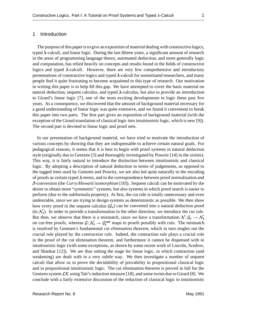#### 1 Introduction

The purpose of this paper is to give an exposition of material dealing with constructive logics, typed  $\lambda$ -calculi, and linear logic. During the last fifteen years, a significant amount of research in the areas of programming language theory, automated deduction, and more generally logic and computation, has relied heavily on concepts and results found in the fields of constructive logics and typed  $\lambda$ -calculi. However, there are very few comprehensive and introductory presentations of constructive logics and typed  $\lambda$ -calculi for noninitiated researchers, and many people find it quite frustrating to become acquainted to this type of research. Our motivation in writing this paper is to help fill this gap. We have attempted to cover the basic material on natural deduction, sequent calculus, and typed  $\lambda$ -calculus, but also to provide an introduction to Girard's linear logic [7], one of the most exciting developments in logic these past five years. As a consequence, we discovered that the amount of background material necessary for a good understanding of linear logic was quite extensive, and we found it convenient to break this paper into two parts. The first part gives an exposition of background material (with the exception of the Girard-translation of classical logic into intuitionistic logic, which is new [9]). The second part is devoted to linear logic and proof nets.

In our presentation of background material, we have tried to motivate the introduction of various concepts by showing that they are indispensable to achieve certain natural goals. For pedagogical reasons, it seems that it is best to begin with proof systems in natural deduction style (originally due to Gentzen [3] and thoroughly investigated by Prawitz [14] in the sixties). This way, it is fairly natural to introduce the distinction between intuitionistic and classical logic. By adopting a description of natural deduction in terms of judgements, as opposed to the tagged trees used by Gentzen and Prawitz, we are also led quite naturally to the encoding of proofs as certain typed  $\lambda$ -terms, and to the correspondence between proof normalization and -conversion (the *Curry/Howard isomorphism* [10]). Sequent calculi can be motivated by the desire to obtain more "symmetric" systems, but also systems in which proof search is easier to perform (due to the subformula property). At first, the cut rule is totally unnecessary and even undesirable, since we are trying to design systems as deterministic as possible. We then show how every proof in the sequent calculus  $(\mathcal{G}_i)$  can be converted into a natural deduction proof  $(in \mathcal{N}_i)$ . In order to provide a transformation in the other direction, we introduce the cut rule. But then, we observe that there is a mismatch, since we have a transformation  $\mathcal{N} \colon \mathcal{G}_i \to \mathcal{N}_i$ on cut-free proofs, whereas  $\mathcal{G}: \mathcal{N}_i \to \mathcal{G}_i^{cut}$  maps to proofs possibly with cuts. The mismatch is resolved by Gentzen's fundamental *cut elimination theorem*, which in turn singles out the crucial role played by the *contraction rule*. Indeed, the contraction rule plays a crucial role in the proof of the cut elimination theorem, and furthermore it cannot be dispensed with in intuitionistic logic (with some exceptions, as shown by some recent work of Lincoln, Scedrov, and Shankar [12]). We are thus setting the stage for linear logic, in which contraction (and weakening) are dealt with in a very subtle way. We then investigate a number of sequent calculi that allow us to prove the decidability of provability in propositional classical logic and in propositional intuitionistic logic. The cut elimination theorem is proved in full for the Gentzen system  $\mathcal{LK}$  using Tait's induction measure [18], and some twists due to Girard [8]. We conclude with a fairly extensive discussion of the reduction of classical logic to intuitionistic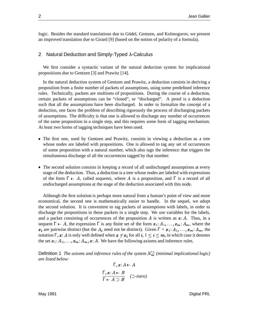logic. Besides the standard translations due to Gödel, Gentzen, and Kolmogorov, we present an improved translation due to Girard [9] (based on the notion of polarity of a formula).

#### 2 Natural Deduction and Simply-Typed λ-Calculus

We first consider a syntactic variant of the natural deduction system for implicational propositions due to Gentzen [3] and Prawitz [14].

In the natural deduction system of Gentzen and Prawitz, a deduction consists in deriving a proposition from a finite number of packets of assumptions, using some predefined inference rules. Technically, packets are multisets of propositions. During the course of a deduction, certain packets of assumptions can be "closed", or "discharged". A proof is a deduction such that all the assumptions have been discharged. In order to formalize the concept of a deduction, one faces the problem of describing rigorously the process of discharging packets of assumptions. The difficulty is that one is allowed to discharge any number of occurrences of the same proposition in a single step, and this requires some form of tagging mechanism. At least two forms of tagging techniques have been used.

- The first one, used by Gentzen and Prawitz, consists in viewing a deduction as a tree whose nodes are labeled with propositions. One is allowed to tag any set of occurrences of some proposition with a natural number, which also tags the inference that triggers the simultaneous discharge of all the occurrences tagged by that number.
- The second solution consists in keeping a record of all undischarged assumptions at every stage of the deduction. Thus, a deduction is a tree whose nodes are labeled with expressions of the form  $\Gamma \vdash A$ , called *sequents*, where A is a proposition, and  $\Gamma$  is a record of all undischarged assumptions at the stage of the deduction associated with this node.

Although the first solution is perhaps more natural from a human's point of view and more economical, the second one is mathematically easier to handle. In the sequel, we adopt the second solution. It is convenient to tag packets of assumptions with labels, in order to discharge the propositions in these packets in a single step. We use variables for the labels, and a packet consisting of occurrences of the proposition  $A$  is written as  $x: A$ . Thus, in a sequent  $\Gamma \vdash A$ , the expression  $\Gamma$  is any finite set of the form  $x_1: A_1, \ldots, x_m: A_m$ , where the  $x_i$  are pairwise distinct (but the  $A_i$  need not be distinct). Given  $\Gamma = x_1: A_1, \ldots, x_m: A_m$ , the notation  $\Gamma, x: A$  is only well defined when  $x \neq x_i$  for all  $i, 1 \leq i \leq m$ , in which case it denotes the set  $x_1: A_1, \ldots, x_m: A_m, x: A$ . We have the following axioms and inference rules.

Definition 1 *The axioms and inference rules of the system*  $\mathcal{N}_m$  (*minimal implicational logic*) *are listed below:*

$$
\Gamma, \mathbf{x}: A \vdash A
$$
  

$$
\frac{\Gamma, \mathbf{x}: A \vdash B}{\Gamma \vdash A \supset B} \quad (\supset \text{-intro})
$$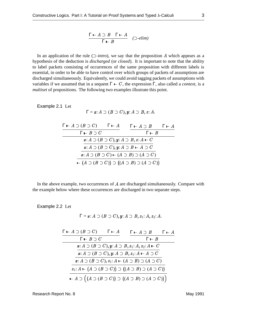$$
\frac{\Gamma \vdash A \supset B \quad \Gamma \vdash A}{\Gamma \vdash B} \quad (\supset \text{-elim})
$$

In an application of the rule  $($  $\ni$ *-intro*), we say that the proposition  $A$  which appears as a hypothesis of the deduction is *discharged* (or *closed*). It is important to note that the ability to label packets consisting of occurrences of the same proposition with different labels is essential, in order to be able to have control over which groups of packets of assumptions are discharged simultaneously. Equivalently, we could avoid tagging packets of assumptions with variables if we assumed that in a sequent  $\Gamma \vdash C$ , the expression  $\Gamma$ , also called a *context*, is a *multiset* of propositions. The following two examples illustrate this point.

Example 2.1 Let

$$
\Gamma = \boldsymbol{x} : A \supset (B \supset C), \boldsymbol{y} : A \supset B, \boldsymbol{z} : A.
$$

| $\Gamma \vdash A \supset (B \supset C)$ $\Gamma \vdash A$   |                                                                           | $\Gamma - A \supset B$ $\Gamma - A$                                              |  |  |  |  |
|-------------------------------------------------------------|---------------------------------------------------------------------------|----------------------------------------------------------------------------------|--|--|--|--|
| $\Gamma \vdash B \supset C$                                 |                                                                           | $\Gamma \vdash B$                                                                |  |  |  |  |
| $x: A \supset (B \supset C), y: A \supset B, z: A \vdash C$ |                                                                           |                                                                                  |  |  |  |  |
|                                                             | $x: A \supset (B \supset C), y: A \supset B \vdash A \supset C$           |                                                                                  |  |  |  |  |
|                                                             | $x: A \supset (B \supset C)$ $\vdash (A \supset B) \supset (A \supset C)$ |                                                                                  |  |  |  |  |
|                                                             |                                                                           | $\vdash (A \supset (B \supset C)) \supset ((A \supset B) \supset (A \supset C))$ |  |  |  |  |

In the above example, two occurrences of  $A$  are discharged simultaneously. Compare with the example below where these occurrences are discharged in two separate steps.

Example 2.2 Let

$$
\Gamma = \boldsymbol{x} : A \supset (B \supset C), \boldsymbol{y} : A \supset B, \boldsymbol{z}_1 : A, \boldsymbol{z}_2 : A.
$$

| $\Gamma \vdash A \supset (B \supset C)$ $\Gamma \vdash A$                                  |  | $\Gamma \vdash A \supset B$ $\Gamma \vdash A$                                               |  |  |  |
|--------------------------------------------------------------------------------------------|--|---------------------------------------------------------------------------------------------|--|--|--|
| $\Gamma \vdash B \supset C$                                                                |  | $\Gamma \vdash B$                                                                           |  |  |  |
| $x:A \supset (B \supset C), y:A \supset B, z_1:A, z_2:A \vdash C$                          |  |                                                                                             |  |  |  |
| $x: A \supset (B \supset C), y: A \supset B, z_1: A \vdash A \supset C$                    |  |                                                                                             |  |  |  |
|                                                                                            |  | $x: A \supset (B \supset C), z_1: A \vdash (A \supset B) \supset (A \supset C)$             |  |  |  |
| $z_1$ : $A \vdash (A \supset (B \supset C)) \supset ((A \supset B) \supset (A \supset C))$ |  |                                                                                             |  |  |  |
|                                                                                            |  | $\vdash A \supset ((A \supset (B \supset C)) \supset ((A \supset B) \supset (A \supset C))$ |  |  |  |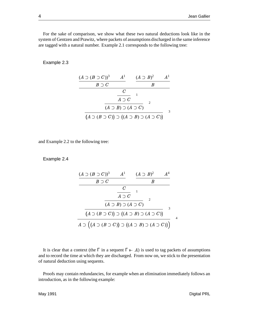For the sake of comparison, we show what these two natural deductions look like in the system of Gentzen and Prawitz, where packets of assumptions discharged in the same inference are tagged with a natural number. Example 2.1 corresponds to the following tree:

Example 2.3

$$
\begin{array}{c|c}\n(A \supset (B \supset C))^3 & A^1 & (A \supset B)^2 & A^1 \\
\hline\nB \supset C & & B & \\
\hline\nC & & \\
\hline\nA \supset C & & \\
\hline\n(A \supset B) \supset (A \supset C) & & \\
\hline\n(A \supset (B \supset C)) \supset ((A \supset B) \supset (A \supset C)) & & \\
\end{array}
$$

and Example 2.2 to the following tree:

Example 2.4

$$
\frac{(A \supset (B \supset C))^3 \qquad A^1}{B \supset C} \qquad \frac{(A \supset B)^2 \qquad A^4}{B}
$$
\n
$$
\frac{C}{A \supset C} \qquad \frac{1}{(A \supset B) \supset (A \supset C)} \qquad \frac{(A \supset B) \supset (A \supset C)}{B}
$$
\n
$$
\frac{(A \supset (B \supset C)) \supset ((A \supset B) \supset (A \supset C))}{B} \qquad \frac{1}{(A \supset (B \supset C)) \supset (A \supset B) \supset (A \supset C))}
$$

It is clear that a context (the  $\Gamma$  in a sequent  $\Gamma \vdash A$ ) is used to tag packets of assumptions and to record the time at which they are discharged. From now on, we stick to the presentation of natural deduction using sequents.

Proofs may contain redundancies, for example when an elimination immediately follows an introduction, as in the following example: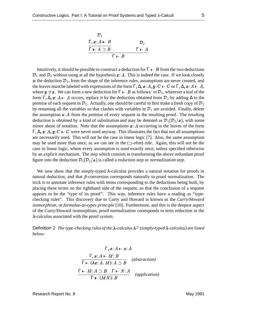$$
\frac{\mathcal{D}_1}{\Gamma \vdash A \supset B} \qquad \qquad \mathcal{D}_2
$$
\n
$$
\frac{\Gamma \vdash A \supset B}{\Gamma \vdash B} \qquad \qquad \Gamma \vdash A
$$

Intuitively, it should be possible to construct a deduction for  $\Gamma \vdash B$  from the two deductions  ${\cal D}_1$  and  ${\cal D}_2$  without using at all the hypothesis  ${\bm x}$ : A. This is indeed the case. If we look closely at the deduction  $\mathcal{D}_1$ , from the shape of the inference rules, assumptions are never created, and the leaves must be labeled with expressions of the form  $\Gamma, \Delta, \bm{x} : A, \bm{y} : C \vdash C$  or  $\Gamma$  $y: C \vdash C$  or  $\Gamma, \Delta, x: A \vdash A$ , where  $y \neq x$ . We can form a new deduction for  $\Gamma \vdash B$  as follows: in  $\mathcal{D}_1$ , wherever a leaf of the form  $\Gamma, \Delta, \mathbf{x} : A \vdash A$  occurs, replace it by the deduction obtained from  $\mathcal{D}_2$  by adding  $\Delta$  to the premise of each sequent in  ${\cal D}_2.$  Actually, one should be careful to first make a fresh copy of  ${\cal D}_2$ by renaming all the variables so that clashes with variables in  $\mathcal{D}_1$  are avoided. Finally, delete the assumption  $x: A$  from the premise of every sequent in the resulting proof. The resulting deduction is obtained by a kind of substitution and may be denoted as  $\mathcal{D}_1[\mathcal{D}_2/\bm{x}]$ , with some minor abuse of notation. Note that the assumptions  $x: A$  occurring in the leaves of the form  $\Gamma, \Delta, \mathbf{z}: A, \mathbf{y}: C \vdash C$  were never used anyway. This illustrates the fact that not all assumptions are necessarily used. This will not be the case in linear logic [7]. Also, the same assumption may be used more than once, as we can see in the  $($  $)$ - $elim)$  rule. Again, this will not be the case in linear logic, where every assumption is used exactly once, unless specified otherwise by an explicit mechanism. The step which consists in transforming the above redundant proof figure into the deduction  $\mathcal{D}_1[\mathcal{D}_2/\bm{x}]$  is called a *reduction step* or *normalization step*.

We now show that the simply-typed  $\lambda$ -calculus provides a natural notation for proofs in natural deduction, and that  $\beta$ -conversion corresponds naturally to proof normalization. The trick is to annotate inference rules with terms corresponding to the deductions being built, by placing these terms on the righthand side of the sequent, so that the conclusion of a sequent appears to be the "type of its proof". This way, inference rules have a reading as "typechecking rules". This discovery due to Curry and Howard is known as the *Curry/Howard isomorphism*, or *formulae-as-types principle* [10]. Furthermore, and this is the deepest aspect of the Curry/Howard isomorphism, proof normalization corresponds to term reduction in the  $\lambda$ -calculus associated with the proof system.

Definition 2 *The type-checking rules of the*  $\lambda$ -calculus  $\lambda$ <sup>5</sup> (simply-typed  $\lambda$ -calculus) are listed *below:*

$$
\Gamma, x: A \vdash x: A
$$
\n
$$
\frac{\Gamma, x: A \vdash M: B}{\Gamma \vdash (\lambda x: A. M): A \supset B} \quad (abstraction)
$$
\n
$$
\frac{\Gamma \vdash M: A \supset B \quad \Gamma \vdash N: A}{\Gamma \vdash (MN): B} \quad (application)
$$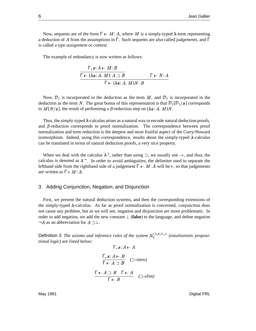Now, sequents are of the form  $\Gamma \vdash M : A$ , where M is a simply-typed  $\lambda$ -term representing a deduction of A from the assumptions in Γ. Such sequents are also called *judgements*, and Γ is called a *type assignment* or *context*.

The example of redundancy is now written as follows:

$$
\frac{\Gamma, x: A \vdash M: B}{\Gamma \vdash (\lambda x: A. M): A \supset B} \qquad \qquad \Gamma \vdash N: A
$$

$$
\Gamma \vdash (\lambda x: A. M)N: B
$$

Now,  $\mathcal{D}_1$  is incorporated in the deduction as the term M, and  $\mathcal{D}_2$  is incorporated in the deduction as the term N . The great bonus of this representation is that  ${\cal D}_1[{\cal D}_2/\bm{x}]$  corresponds to  $M[N/x]$ , the result of performing a  $\beta$ -reduction step on  $(\lambda x: A. M)N$ .

Thus, the simply-typed  $\lambda$ -calculus arises as a natural way to encode natural deduction proofs, and  $\beta$ -reduction corresponds to proof normalization. The correspondence between proof normalization and term reduction is the deepest and most fruitful aspect of the Curry/Howard isomorphism. Indeed, using this correspondence, results about the simply-typed  $\lambda$ -calculus can be translated in terms of natural deduction proofs, a very nice property.

When we deal with the calculus  $\lambda^3$ , rather than using  $\supset$ , we usually use  $\rightarrow$ , and thus, the calculus is denoted as  $\lambda^{-1}$ . In order to avoid ambiguities, the delimiter used to separate the lefthand side from the righthand side of a judgement  $\Gamma \vdash M : A$  will be  $\triangleright$ , so that judgements are written as  $\Gamma \triangleright M$ : A.

#### 3 Adding Conjunction, Negation, and Disjunction

First, we present the natural deduction systems, and then the corresponding extensions of the simply-typed  $\lambda$ -calculus. As far as proof normalization is concerned, conjunction does not cause any problem, but as we will see, negation and disjunction are more problematic. In order to add negation, we add the new constant  $\perp$  (**false**) to the language, and define negation  $\neg A$  as an abbreviation for  $A \supset \perp$ .

Definition 3 *The axioms and inference rules of the system*  $\mathcal{N}_i^{(2), \wedge, \vee, \perp}$  *(intuitionistic propositional logic) are listed below:*

$$
\Gamma, x: A \vdash A
$$
\n
$$
\frac{\Gamma, x: A \vdash B}{\Gamma \vdash A \supset B} \quad (\supset \text{-intro})
$$
\n
$$
\frac{\Gamma \vdash A \supset B \quad \Gamma \vdash A}{\Gamma \vdash B} \quad (\supset \text{-elim})
$$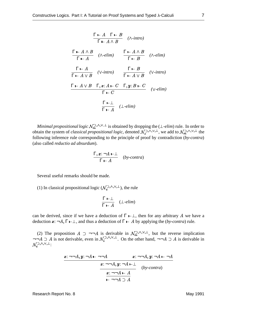$$
\frac{\Gamma \vdash A \quad \Gamma \vdash B}{\Gamma \vdash A \land B} \quad (\land\text{-intro})
$$
\n
$$
\frac{\Gamma \vdash A \land B}{\Gamma \vdash A} \quad (\land\text{-elim}) \qquad \frac{\Gamma \vdash A \land B}{\Gamma \vdash B} \quad (\land\text{-elim})
$$
\n
$$
\frac{\Gamma \vdash A}{\Gamma \vdash A \lor B} \quad (\lor\text{-intro}) \qquad \frac{\Gamma \vdash B}{\Gamma \vdash A \lor B} \quad (\lor\text{-intro})
$$
\n
$$
\frac{\Gamma \vdash A}{\Gamma \vdash A \lor B} \quad \Gamma, x: A \vdash C \quad \Gamma, y: B \vdash C}{\Gamma \vdash C} \quad (\lor\text{-elim})
$$
\n
$$
\frac{\Gamma \vdash \bot}{\Gamma \vdash A} \quad (\bot\text{-elim})
$$

*Minimal propositional logic*  $\mathcal{N}_m^{(\lambda)}$ ,  $(\lambda, \nu)$ ,  $\bot$  is obtained by dropping the ( $\bot$ -*elim*) rule. In order to obtain the system of *classical propositional logic*, denoted  $\mathcal{N}_c^{\supset \wedge,\vee,\perp}$ , we add to  $\mathcal{N}_m^{\supset \wedge,\vee,\perp}$  the following inference rule corresponding to the principle of proof by contradiction (*by-contra*) (also called *reductio ad absurdum*).

$$
\frac{\Gamma, x: \neg A \vdash \perp}{\Gamma \vdash A} \quad (by \text{-}contra)
$$

Several useful remarks should be made.

(1) In classical propositional logic ( $\mathcal{N}_c^{(\Sigma)}$ ,  $\wedge$ ,  $\vee$ ,  $\perp$ ), the rule

$$
\frac{\Gamma \vdash \perp}{\Gamma \vdash A} \quad (\perp \text{-elim})
$$

can be derived, since if we have a deduction of  $\Gamma \vdash \bot$ , then for any arbitrary A we have a deduction  $x: \neg A, \Gamma \vdash \bot$ , and thu  $, \Gamma \vdash \bot$ , and thus a deduction of  $\Gamma \vdash A$  by applying the (*by-contra*) rule.

(2) The proposition  $A \supset \neg\neg A$  is derivable in  $\mathcal{N}_m^{\supset,\wedge,\vee,\perp}$ , but the reverse implication  $\neg\neg A \supset A$  is not derivable, even in  $\mathcal{N}_i^{(3,0,0)\dagger}$ . On the other hand,  $\neg\neg A \supset A$  is derivable in  $\mathcal{N}_{c}^{\supseteq,\wedge,\vee,\perp}$ 

$$
x:\neg\neg A, y:\neg A \vdash \neg\neg A \qquad x:\neg\neg A, y:\neg A \vdash \neg A
$$
  

$$
x:\neg\neg A, y:\neg A \vdash \bot
$$
  

$$
x:\neg\neg A, y:\neg A \vdash \bot
$$
  

$$
x:\neg\neg A, y:\neg A \vdash \bot
$$
  

$$
x:\neg\neg A, y:\neg A \vdash \bot
$$
  
(by-control)  

$$
\vdash \neg\neg A \supseteq A
$$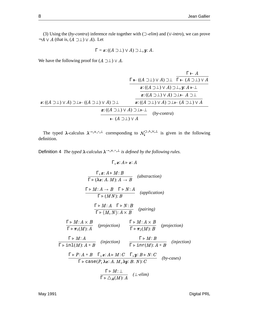(3) Using the (*by-contra*) inference rule together with  $($   $\supset$ *-elim* $)$  and  $($  $\vee$ *-intro* $)$ , we can prove  $\neg A \lor A$  (that is,  $(A \supset \perp) \lor A$ ). Let

$$
\Gamma = \boldsymbol{x} : ((A \supset \perp) \vee A) \supset \perp, \boldsymbol{y} : A.
$$

We have the following proof for  $(A \supset \perp) \vee A$ .

$$
\frac{\Gamma \vdash A}{\Gamma \vdash ((A \supset \bot) \lor A) \supset \bot} \frac{\Gamma \vdash A}{\Gamma \vdash (A \supset \bot) \lor A}
$$
\n
$$
\frac{x:((A \supset \bot) \lor A) \supset \bot, y: A \vdash \bot}{x:((A \supset \bot) \lor A) \supset \bot \vdash A \supset \bot}
$$
\n
$$
\frac{x:((A \supset \bot) \lor A) \supset \bot \vdash (A \supset \bot) \lor A}{x:((A \supset \bot) \lor A) \supset \bot \vdash (A \supset \bot) \lor A}
$$
\n
$$
\frac{x:((A \supset \bot) \lor A) \supset \bot \vdash \bot}{(by\text{-}contra)}
$$
\n
$$
\vdash (A \supset \bot) \lor A
$$

The typed  $\lambda$ -calculus  $\lambda^{-\lambda, \lambda, +, \perp}$  corresponding to  $\mathcal{N}_i^{(\lambda, \lambda, \lambda, \perp)}$  is given in the following definition.

Definition 4 *The typed*  $\lambda$ -calculus  $\lambda \rightarrow x, x+1$  *is defined by the following rules.* 

$$
\Gamma, x: A \triangleright x: A
$$
\n
$$
\frac{\Gamma, x: A \triangleright M: B}{\Gamma \triangleright (\lambda x: A. M): A \rightarrow B} \quad (abstraction)
$$
\n
$$
\frac{\Gamma \triangleright M: A \rightarrow B \quad \Gamma \triangleright N: A}{\Gamma \triangleright (MN): B} \quad (application)
$$
\n
$$
\frac{\Gamma \triangleright M: A \quad \Gamma \triangleright N: B}{\Gamma \triangleright (M, N): A \times B} \quad (pairing)
$$
\n
$$
\frac{\Gamma \triangleright M: A \times B}{\Gamma \triangleright \pi_1(M): A} \quad (projection) \quad \frac{\Gamma \triangleright M: A \times B}{\Gamma \triangleright \pi_2(M): B} \quad (projection)
$$
\n
$$
\frac{\Gamma \triangleright M: A}{\Gamma \triangleright \operatorname{inl}(M): A + B} \quad (injection) \quad \frac{\Gamma \triangleright M: B}{\Gamma \triangleright \operatorname{inr}(M): A + B} \quad (injection)
$$
\n
$$
\frac{\Gamma \triangleright P: A + B \quad \Gamma, x: A \triangleright M: C \quad \Gamma, y: B \triangleright N: C}{\Gamma \triangleright \operatorname{case}(P, \lambda x: A. M, \lambda y: B. N): C} \quad (by-cases)
$$
\n
$$
\frac{\Gamma \triangleright M: \bot}{\Gamma \triangleright \triangle_{A}(M): A} \quad (\bot \text{-elim})
$$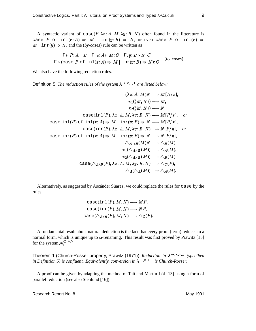A syntactic variant of  $case(P, \lambda x: A, M, \lambda y: B, N)$  often found in the litterature is case P of  $inl(x:A) \Rightarrow M \mid inr(y:B) \Rightarrow N$  $\vert \operatorname{inr}(y;B) \, \Rightarrow \, N,$  or even case  $P$  of  $\operatorname{inl}(\boldsymbol{x}) \, \Rightarrow$ -  $\vert \text{inv}(y) \Rightarrow N$ , and the (*by-cases*) rule can be written as

$$
\frac{\Gamma \triangleright P: A + B \quad \Gamma, \mathbf{x}: A \triangleright M: C \quad \Gamma, \mathbf{y}: B \triangleright N: C}{\Gamma \triangleright (\text{case } P \text{ of } \text{inl}(\mathbf{x}: A) \Rightarrow M \mid \text{inr}(\mathbf{y}: B) \Rightarrow N): C} \quad (by \text{-cases})
$$

We also have the following reduction rules.

Definition 5 *The reduction rules of the system*  $\lambda \rightarrow x, +, \bot$  *are listed below:* 

$$
(\lambda x: A. M)N \longrightarrow M[N/x],
$$
  
\n
$$
\pi_1(\langle M, N \rangle) \longrightarrow M,
$$
  
\n
$$
\pi_2(\langle M, N \rangle) \longrightarrow N,
$$
  
\n
$$
\cose (in1(P), \lambda x: A. M, \lambda y: B. N) \longrightarrow M[P/x],
$$
 or  
\ncase in1(P) of in1(x: A)  $\Rightarrow$  M | inr(y: B)  $\Rightarrow$  N  $\longrightarrow M[P/x],$   
\n
$$
\case (inr(P), \lambda x: A. M, \lambda y: B. N) \longrightarrow N[P/y],
$$
  
\n
$$
\case inr(P) \text{ of } in1(x: A) \Rightarrow M | inr(y: B) \Rightarrow N \longrightarrow N[P/y],
$$
  
\n
$$
\Delta_{A \rightarrow B}(M)N \longrightarrow \Delta_B(M),
$$
  
\n
$$
\pi_1(\Delta_{A \times B}(M)) \longrightarrow \Delta_A(M),
$$
  
\n
$$
\pi_2(\Delta_{A \times B}(M)) \longrightarrow \Delta_B(M),
$$
  
\n
$$
\case (\Delta_{A+B}(P), \lambda x: A. M, \lambda y: B. N) \longrightarrow \Delta_C(P),
$$
  
\n
$$
\Delta_A(\Delta_{\perp}(M)) \longrightarrow \Delta_A(M).
$$

Alternatively, as suggested by Ascánder Súarez, we could replace the rules for case by the rules

$$
case(in1(P), M, N) \longrightarrow MP,
$$
  
\n
$$
case(inr(P), M, N) \longrightarrow NP,
$$
  
\n
$$
case(\triangle_{A+B}(P), M, N) \longrightarrow \triangle_{C}(P).
$$

A fundamental result about natural deduction is the fact that every proof (term) reduces to a normal form, which is unique up to  $\alpha$ -renaming. This result was first proved by Prawitz [15] for the system  $\mathcal{N}_i^{(3,1,1,1)}$ .

Theorem 1 (Church-Rosser property, Prawitz (1971)) *Reduction in λ*<sup>→, x,+,⊥</sup> (*specified* in Definition 5) is confluent. Equivalently, conversion in  $\lambda \rightarrow x, +, \perp$  is Church-Rosser.

A proof can be given by adapting the method of Tait and Martin-Löf  $[13]$  using a form of parallel reduction (see also Stenlund [16]).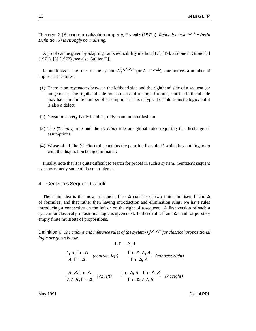Theorem 2 (Strong normalization property, Prawitz (1971)) *Reduction in*  $\lambda \rightarrow x, +, \bot$  (as in *Definition 5) is strongly normalizing.*

A proof can be given by adapting Tait's reducibility method [17], [19], as done in Girard [5] (1971), [6] (1972) (see also Gallier [2]).

If one looks at the rules of the system  $\mathcal{N}_i^{(\lambda_1, \lambda_2, \lambda_3, \lambda_4)}$  (or  $\lambda^{(\lambda_1, \lambda_2, \lambda_3, \lambda_4)}$ ), one notices a number of unpleasant features:

- (1) There is an *asymmetry* between the lefthand side and the righthand side of a sequent (or judgement): the righthand side must consist of a single formula, but the lefthand side may have any finite number of assumptions. This is typical of intuitionistic logic, but it is also a defect.
- (2) Negation is very badly handled, only in an indirect fashion.
- (3) The  $($ -*intro*) rule and the  $(V$ -*elim*) rule are global rules requiring the discharge of assumptions.
- (4) Worse of all, the  $(\vee$ -elim) rule contains the parasitic formula C which has nothing to do with the disjunction being eliminated.

Finally, note that it is quite difficult to search for proofs in such a system. Gentzen's sequent systems remedy some of these problems.

#### 4 Gentzen's Sequent Calculi

The main idea is that now, a sequent  $\Gamma \vdash \Delta$  consists of two finite multisets  $\Gamma$  and  $\Delta$ of formulae, and that rather than having introduction and elimination rules, we have rules introducing a connective on the left or on the right of a sequent. A first version of such a system for classical propositional logic is given next. In these rules  $\Gamma$  and  $\Delta$  stand for possibly empty finite multisets of propositions.

Definition 6 *The axioms and inference rules of the system*  $\mathcal{G}_c^{(2), \wedge, \vee, \neg}$  *for classical propositional logic are given below.*

$$
A, \Gamma \vdash \Delta, A
$$
\n
$$
\frac{A, A, \Gamma \vdash \Delta}{A, \Gamma \vdash \Delta} \quad (contract: left) \qquad \frac{\Gamma \vdash \Delta, A, A}{\Gamma \vdash \Delta, A} \quad (contract: right)
$$
\n
$$
\frac{A, B, \Gamma \vdash \Delta}{A \land B, \Gamma \vdash \Delta} \quad (\wedge: left) \qquad \frac{\Gamma \vdash \Delta, A \quad \Gamma \vdash \Delta, B}{\Gamma \vdash \Delta, A \land B} \quad (\wedge: right)
$$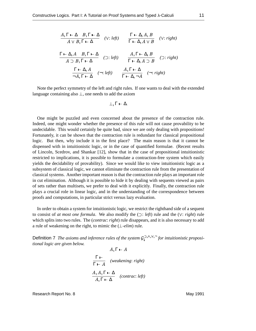$$
\frac{A, \Gamma \vdash \Delta \quad B, \Gamma \vdash \Delta}{A \lor B, \Gamma \vdash \Delta} \quad (\lor: left) \quad \frac{\Gamma \vdash \Delta, A, B}{\Gamma \vdash \Delta, A \lor B} \quad (\lor: right)
$$
\n
$$
\frac{\Gamma \vdash \Delta, A \quad B, \Gamma \vdash \Delta}{A \supset B, \Gamma \vdash \Delta} \quad (\supset: left) \quad \frac{A, \Gamma \vdash \Delta, B}{\Gamma \vdash \Delta, A \supset B} \quad (\supset: right)
$$
\n
$$
\frac{\Gamma \vdash \Delta, A}{\neg A, \Gamma \vdash \Delta} \quad (\neg: left) \quad \frac{A, \Gamma \vdash \Delta}{\Gamma \vdash \Delta, \neg A} \quad (\neg: right)
$$

Note the perfect symmetry of the left and right rules. If one wants to deal with the extended language containing also  $\perp$ , one needs to add the axiom

$$
\perp, \Gamma \vdash \Delta.
$$

One might be puzzled and even concerned about the presence of the contraction rule. Indeed, one might wonder whether the presence of this rule will not cause provability to be undecidable. This would certainly be quite bad, since we are only dealing with propositions! Fortunately, it can be shown that the contraction rule is redundant for classical propositional logic. But then, why include it in the first place? The main reason is that it cannot be dispensed with in intuitionistic logic, or in the case of quantified formulae. (Recent results of Lincoln, Scedrov, and Shankar [12], show that in the case of propositional intuitionistic restricted to implications, it is possible to formulate a contraction-free system which easily yields the decidability of provability). Since we would like to view intuitionistic logic as a subsystem of classical logic, we cannot eliminate the contraction rule from the presentation of classical systems. Another important reason is that the contraction rule plays an important role in cut elimination. Although it is possible to hide it by dealing with sequents viewed as pairs of sets rather than multisets, we prefer to deal with it explicitly. Finally, the contraction rule plays a crucial role in linear logic, and in the understanding of the correspondence between proofs and computations, in particular strict versus lazy evaluation.

In order to obtain a system for intuitionistic logic, we restrict the righthand side of a sequent to consist of *at most one formula*. We also modify the  $($ : *left*) rule and the  $(V: right)$  rule which splits into two rules. The (*contrac*: *right*) rule disappears, and it is also necessary to add a rule of weakening on the right, to mimic the  $(\perp$ -elim) rule.

Definition 7 The axioms and inference rules of the system  $\mathcal{G}^{(2),\wedge,\vee,-}$  for intuitionistic proposi*tional logic are given below.*

$$
A, \Gamma \vdash A
$$
\n
$$
\frac{\Gamma \vdash}{\Gamma \vdash A}
$$
 (weakening: right)  
\n
$$
\frac{A, A, \Gamma \vdash \Delta}{A, \Gamma \vdash \Delta}
$$
 (contrac: left)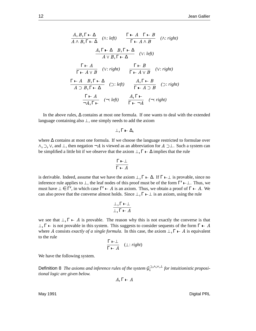$$
\frac{A, B, \Gamma \vdash \Delta}{A \land B, \Gamma \vdash \Delta} \quad (\land: left) \quad \frac{\Gamma \vdash A \quad \Gamma \vdash B}{\Gamma \vdash A \land B} \quad (\land: right)
$$
\n
$$
\frac{A, \Gamma \vdash \Delta \quad B, \Gamma \vdash \Delta}{A \lor B, \Gamma \vdash \Delta} \quad (\lor: left)
$$
\n
$$
\frac{\Gamma \vdash A}{\Gamma \vdash A \lor B} \quad (\lor: right) \quad \frac{\Gamma \vdash B}{\Gamma \vdash A \lor B} \quad (\lor: right)
$$
\n
$$
\frac{\Gamma \vdash A}{A \supset B, \Gamma \vdash \Delta} \quad (\supset: left) \quad \frac{A, \Gamma \vdash B}{\Gamma \vdash A \supset B} \quad (\supset: right)
$$
\n
$$
\frac{\Gamma \vdash A}{\neg A, \Gamma \vdash} \quad (\neg: left) \quad \frac{A, \Gamma \vdash}{\Gamma \vdash \neg A} \quad (\neg: right)
$$

In the above rules, ∆ contains at most one formula. If one wants to deal with the extended language containing also  $\perp$ , one simply needs to add the axiom

$$
\bot, \Gamma \vdash \Delta,
$$

where ∆ contains at most one formula. If we choose the language restricted to formulae over  $\land$ ,  $\supset$ ,  $\lor$ , and  $\perp$ , then negation  $\neg A$  is viewed as an abbreviation for  $A \supset \perp$ . Such a system can be simplified a little bit if we observe that the axiom  $\bot$ ,  $\Gamma \vdash \Delta$  implies  $\Gamma \vdash \Delta$  implies that the rule

$$
\frac{\Gamma \vdash \perp}{\Gamma \vdash A}
$$

is derivable. Indeed, assume that we have the axiom  $\bot$ ,  $\Gamma \vdash \Delta$ . If  $\Gamma \vdash \bot$  is provable, since no inference rule applies to  $\perp$ , the leaf nodes of this proof must be of the form  $\Gamma' \vdash \perp$ . Thus, we must have  $\bot \in \Gamma'$ , in which case  $\Gamma' \vdash A$  is an axiom. Thus, we obtain a proof of  $\Gamma \vdash A$ . We can also prove that the converse almost holds. Since  $\bot$ ,  $\Gamma \vdash \bot$  is an a  $, \Gamma \vdash \perp$  is an axiom, using the rule

$$
\frac{\bot,\Gamma\vdash\bot}{\bot,\Gamma\vdash A}
$$

we see that  $\bot$ ,  $\Gamma \vdash A$  is pro- $T - A$  is provable. The reason why this is not exactly the converse is that  $\perp, \Gamma \vdash$  is not provable in this system. This suggests to consider sequents of the form  $\Gamma \vdash A$  where A consists *exactly of a single formula*. In this case, the axiom  $\bot$ ,  $\Gamma \vdash A$  is equ  $T - A$  is equivalent to the rule

$$
\frac{\Gamma \vdash \perp}{\Gamma \vdash A} \quad (\perp: right)
$$

We have the following system.

Definition 8 *The axioms and inference rules of the system*  $\mathcal{G}^{(3)}$ ,  $\wedge$ ,  $\vee$ ,  $\perp$  *for intuitionistic propositional logic are given below.*

$$
A, \Gamma \vdash A
$$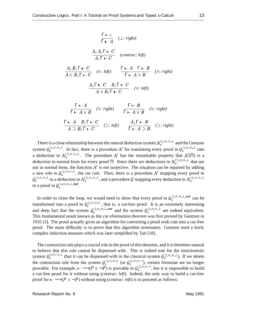$$
\frac{\Gamma \vdash \bot}{\Gamma \vdash A} \quad (\bot: right)
$$
\n
$$
\frac{A, A, \Gamma \vdash C}{A, \Gamma \vdash C} \quad (contract: left)
$$
\n
$$
\frac{A, B, \Gamma \vdash C}{A \land B, \Gamma \vdash C} \quad (\land: left) \quad \frac{\Gamma \vdash A \quad \Gamma \vdash B}{\Gamma \vdash A \land B} \quad (\land: right)
$$
\n
$$
\frac{A, \Gamma \vdash C \quad B, \Gamma \vdash C}{A \lor B, \Gamma \vdash C} \quad (\lor: left)
$$
\n
$$
\frac{\Gamma \vdash A}{\Gamma \vdash A \lor B} \quad (\lor: right) \quad \frac{\Gamma \vdash B}{\Gamma \vdash A \lor B} \quad (\lor: right)
$$
\n
$$
\frac{\Gamma \vdash A}{\Gamma \vdash A \lor B} \quad (\lor: right) \quad \frac{A, \Gamma \vdash B}{\Gamma \vdash A \lor B} \quad (\Box: right)
$$

There is a close relationship between the natural deduction system  $\mathcal{N}_i^{(2), (N, \vee) \perp}$  and the Gentzen system  $\mathcal{G}_i^{(1)}$ ,  $\cdots$ ,  $\cdots$ . In fact, there is a procedure N for translating every proof in  $\mathcal{G}_i^{(1)}$ ,  $\cdots$ ,  $\cdots$  into a deduction in  $\mathcal{N}_i^{(2),(\lambda,\nu,\perp)}$ . The procedure  $\mathcal N$  has the remarkable property that  $\mathcal N(\Pi)$  is a deduction in normal form for every proof  $\Pi$ . Since there are deductions in  $\mathcal{N}_i^{(2),(\lambda,\vee,\perp)}$  that are not in normal form, the function  $N$  is *not* surjective. The situation can be repaired by adding a new rule to  $\mathcal{G}^{\mathcal{D}, \wedge, \vee, \perp}_{i}$ , the *cut rule*. Then, there is a procedure N mapping every proof in  $\mathcal{G}_i^{(1)}, \dots, (n+1)$  to a deduction in  $\mathcal{N}_i^{(1)}, \dots, (n+1)$  and a procedure  $\mathcal G$  mapping every deduction in  $\mathcal{N}_i^{(1)}, \dots, (n+1)$ to a proof in  $\mathcal{G}_i^{\supset, \wedge, \vee, \perp, cut}$ .

In order to close the loop, we would need to show that every proof in  $\mathcal{G}^{(1)}_i$ ,  $\ldots$ ,  $\mathcal{G}^{(m)}_i$  can be transformed into a proof in  $\mathcal{G}_i^{(3)}$ ,  $\gamma$ ,  $\gamma$ , that is, a cut-free proof. It is an extremely interesting and deep fact that the system  $\mathcal{G}_i^{(1)}$ ,  $\cdots$ ,  $\cdots$ ,  $\cdots$  and the system  $\mathcal{G}_i^{(1)}$ ,  $\cdots$ ,  $\cdots$  are indeed equivalent. This fundamental result known as the *cut elimination theorem* was first proved by Gentzen in 1935 [3]. The proof actually gives an algorithm for converting a proof with cuts into a cut-free proof. The main difficulty is to prove that this algorithm terminates. Gentzen used a fairly complex induction measure which was later simplified by Tait [18].

The contraction rule plays a crucial role in the proof of this theorem, and it is therefore natural to believe that this rule cannot be dispensed with. This is indeed true for the intuitionistic system  $\mathcal{G}_i^{(1)}$ ,  $\lambda_i^{(1)}$  (but it can be dispensed with in the classical system  $\mathcal{G}_c^{(1)}$ ,  $\lambda_i^{(1)}$ ). If we delete the contraction rule from the system  $\mathcal{G}_i^{(2),\wedge,\vee,\perp}$  (or  $\mathcal{G}_i^{(2),\wedge,\vee,\neg}$ ), certain formulae are no longer provable. For example,  $\vdash \neg \neg (P \lor \neg P)$  is provable in  $\mathcal{G}_i^{(\neg \land,\lor,\neg \neg)}$ , but it is impossible to build a cut-free proof for it without using (*contrac*: *left*). Indeed, the only way to build a cut-free proof for  $\vdash \neg \neg (P \lor \neg P)$  without using (*contrac*: *left*) is to proceed as follows: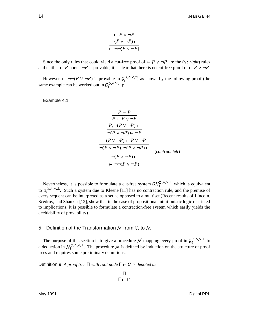$$
\frac{P \vee \neg P}{\neg (P \vee \neg P) \vdash}
$$
  
 
$$
\vdash \neg \neg (P \vee \neg P)
$$

Since the only rules that could yield a cut-free proof of  $\vdash P \lor \neg P$  are the ( $\lor$ : *right*) rules and neither  $\vdash P$  nor  $\vdash \neg P$  is provable, it is clear that there is no cut-free proof of  $\vdash P \lor \neg P$ .

However,  $\blacktriangleright \neg \neg (P \lor \neg P)$  is provable in  $\mathcal{G}_i^{(\lambda_1, \lambda_2, \neg)}$ , as shown by the following proof (the same example can be worked out in  $\mathcal{G}_i^{(3,0),(1,0)}$ :

Example 4.1

$$
\frac{P \vdash P}{P \vdash P \lor \neg P}
$$
\n
$$
\frac{P, \neg (P \lor \neg P) \vdash}{P, \neg (P \lor \neg P) \vdash \neg P}
$$
\n
$$
\frac{\neg (P \lor \neg P) \vdash \neg P}{\neg (P \lor \neg P) \vdash P \lor \neg P}
$$
\n
$$
\frac{\neg (P \lor \neg P), \neg (P \lor \neg P) \vdash}{\neg (P \lor \neg P) \vdash} \qquad (contract: left)
$$
\n
$$
\frac{\neg (P \lor \neg P) \vdash}{\vdash \neg \neg (P \lor \neg P)}
$$

Nevertheless, it is possible to formulate a cut-free system  $\mathcal{GK}_i^{(1)}$ ,  $\lambda_i^{(1)}$  which is equivalent to  $G_i^{(3)}$ ,  $^{(4)}$ , Such a system due to Kleene [11] has no contraction rule, and the premise of every sequent can be interpreted as a set as opposed to a multiset (Recent results of Lincoln, Scedrov, and Shankar [12], show that in the case of propositional intuitionistic logic restricted to implications, it is possible to formulate a contraction-free system which easily yields the decidability of provability).

#### 5 Definition of the Transformation  $\cal N$  from  ${\cal G}_i$  to  ${\cal N}_i$

The purpose of this section is to give a procedure N mapping every proof in  $\mathcal{G}_i^{(1)}, \ldots, (1)$  to a deduction in  $\mathcal{N}^{\{1,1\},\vee,\vee,\perp}_{i}$ . The procedure N is defined by induction on the structure of proof trees and requires some preliminary definitions.

**Definition 9** *A proof tree*  $\Pi$  *with root node*  $\Gamma$  *igherical as* 

$$
\Pi
$$

$$
\Gamma \vdash C
$$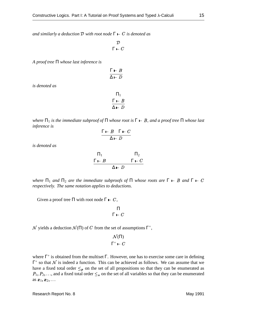and similarly a deduction  $\mathcal D$  with root node  $\Gamma$   $\vdash$   $C$  is denoted as

$$
\mathcal{D} \qquad \Gamma \vdash C
$$

*A proof tree* Π *whose last inference is*

 $\Gamma \vdash B$  $\Delta \vdash D$ 

*is denoted as*

$$
\frac{\Pi_1}{\Gamma \vdash B} \n\Delta \vdash D
$$

*where*  $\Pi_1$  *is the immediate subproof of*  $\Pi$  *whose root is*  $\Gamma \vdash B$ *, and a proof tree*  $\Pi$  *whose last inference is*

$$
\frac{\Gamma \vdash B \quad \Gamma \vdash C}{\Delta \vdash D}
$$

*is denoted as*

 $\Pi_1$  $\Gamma \vdash B$   $\Gamma$  $\Pi_2$  $\Gamma \vdash C$  $\Delta \vdash D$ 

*where*  $\Pi_1$  *and*  $\Pi_2$  *are the immediate subproofs of*  $\Pi$  *whose roots are*  $\Gamma \vdash B$  *and*  $\Gamma \vdash C$ *respectively. The same notation applies to deductions.*

Given a proof tree  $\Pi$  with root node  $\Gamma \vdash C$ ,

$$
\Pi
$$

$$
\Gamma \vdash C
$$

 $\mathcal N$  yields a deduction  $\mathcal N(\Pi)$  of C from the set of assumptions  $\Gamma^+$ ,

$$
\mathcal{N}(\Pi)
$$

$$
\Gamma^+ \vdash C
$$

where  $\Gamma^+$  is obtained from the multiset  $\Gamma$ . However, one has to exercise some care in defining  $\Gamma^+$  so that N is indeed a function. This can be achieved as follows. We can assume that we have a fixed total order  $\leq_p$  on the set of all propositions so that they can be enumerated as  $P_1, P_2, \ldots$ , and a fixed total order  $\leq_v$  on the set of all variables so that they can be enumerated as  $\boldsymbol{x}_1, \boldsymbol{x}_2, \ldots$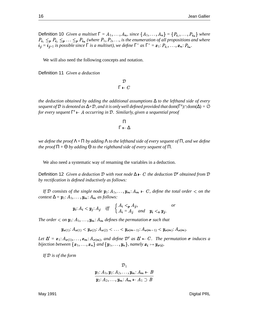Definition 10 *Given a multiset*  $\Gamma = A_1, \ldots, A_n$ , since  $\{A_1, \ldots, A_n\} = \{P_{i_1}, \ldots, P_{i_n}\}$  where  $P_{i_1} \leq_p P_{i_2} \leq_p \ldots \leq_p P_{i_n}$  (where  $P_1, P_2, \ldots$ , is the enumeration of all propositions and where  $i_j = i_{j+1}$  is possible since  $\Gamma$  is a multiset), we define  $\Gamma^+$  as  $\Gamma^+ = \pmb{x}_1$ :  $P_{i_1}, \ldots, \pmb{x_n}$ :  $P_{i_n}$ .

We will also need the following concepts and notation.

Definition 11 *Given a deduction*

 $\mathcal{D}% _{M_{1},M_{2}}^{\alpha,\beta}(\varepsilon)$  $Γ$   $\vdash$   $C$ 

*the deduction obtained by adding the additional assumptions* ∆ *to the lefthand side of every sequent of is denoted as* ∆+ *, and it is onlywell defined provided that* dom(Γ ) dom(∆) = ∅ *for every sequent* Γ - *occurring in . Similarly, given a sequential proof*

> Π  $Γ$   $\vdash$  Δ

*we define the proof* Λ+ Π *by adding* Λ *to the lefthand side of every sequent of* Π*, and we define the proof*  $\Pi$  +  $\Theta$  *by adding*  $\Theta$  *to the righthand side of every sequent of*  $\Pi$ *.* 

We also need a systematic way of renaming the variables in a deduction.

Definition 12 *Given a deduction*  $D$  *with root node* ∆ **⊢** *C the deduction*  $D'$  *obtained from*  $D$ *by rectification is defined inductively as follows:*

*If*  $\mathcal{D}$  consists of the single node  $y_1$ :  $A_1, \ldots, y_m$ :  $A_m \vdash C$ , define the total order  $\lt$  on the  $context \Delta = y_1: A_1, \ldots, y_m: A_m \text{ as follows:}$ 

$$
y_i: A_i < y_j: A_j \quad \text{iff} \quad \begin{cases} A_i <_{\mathbf{p}} A_j, \\ A_i = A_j \quad \text{and} \quad y_i <_{\mathbf{v}} y_j. \end{cases} \quad \text{or}
$$

The order  $<$  on  $y_1$ :  $A_1, \ldots, y_m$ :  $A_m$  defines the permutation  $\sigma$  such that

$$
\mathbf{y}_{\sigma(1)}\colon A_{\sigma(1)} < \mathbf{y}_{\sigma(2)}\colon A_{\sigma(2)} < \ldots < \mathbf{y}_{\sigma(m-1)}\colon A_{\sigma(m-1)} < \mathbf{y}_{\sigma(m)}\colon A_{\sigma(m)}
$$

Let  $\Delta' = x_1 : A_{\sigma(1)}, \ldots, x_m : A_{\sigma(m)}$ , and define  $\mathcal{D}'$  as  $\Delta' \vdash C$ . The permutation  $\sigma$  induces a bijection between  $\{x_1, \ldots, x_n\}$  and  $\{y_1, \ldots, y_n\}$ , namely  $x_i \mapsto y_{\sigma(i)}$ .

*If is of the form*

$$
\mathcal{D}_1
$$
  

$$
\mathbf{y}_1: A_1, \mathbf{y}_2: A_2, \dots, \mathbf{y}_m: A_m \vdash B
$$
  

$$
\mathbf{y}_2: A_2, \dots, \mathbf{y}_m: A_m \vdash A_1 \supset B
$$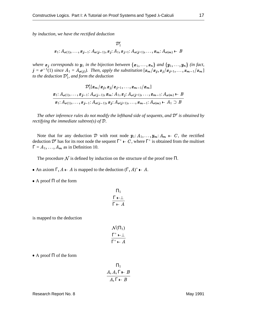*by induction, we have the rectified deduction*

$$
\mathcal{D}'_1
$$
  

$$
x_1: A_{\sigma(1)},\ldots,x_{j-1}: A_{\sigma(j-1)}, x_j: A_1, x_{j+1}: A_{\sigma(j+1)},\ldots,x_m: A_{\sigma(m)} \vdash B
$$

where  $x_j$  corresponds to  $y_1$  in the bijection between  $\{x_1, \ldots, x_n\}$  and  $\{y_1, \ldots, y_n\}$  (in fact,  $j = \sigma^{-1}(1)$  since  $A_1 = A_{\sigma(j)}$ . Then, apply the substitution  $[\mathbf{x}_m / \mathbf{x}_j, \mathbf{x}_j / \mathbf{x}_{j+1}, \ldots]$  $\bm{x_j}, \bm{x_j}/\bm{x_{j+1}}, \dots, \bm{x_{m-1}}/\bm{x_m} ]$ *to the deduction* 1 *, and form the deduction*

$$
\mathcal{D}'_1[x_m/x_j, x_j/x_{j+1}, \ldots, x_{m-1}/x_m]
$$
\n
$$
\frac{x_1: A_{\sigma(1)}, \ldots, x_{j-1}: A_{\sigma(j-1)}, x_m: A_1, x_j: A_{\sigma(j+1)}, \ldots, x_{m-1}: A_{\sigma(m)} \vdash B}{x_1: A_{\sigma(1)}, \ldots, x_{j-1}: A_{\sigma(j-1)}, x_j: A_{\sigma(j+1)}, \ldots, x_{m-1}: A_{\sigma(m)} \vdash A_1 \supset B}
$$

*The other inference rules do not modify the lefthand side of sequents, and is obtained by rectifying the immediate subtree(s) of .*

Note that for any deduction D with root node  $y_1: A_1, \ldots, y_m: A_m \vdash C$ , the rectified deduction  $\mathcal{D}'$  has for its root node the sequent  $\Gamma^+ \vdash C$ , where  $\Gamma^+$  is obtained from the multiset  $\Gamma = A_1, \ldots, A_m$  as in Definition 10.

The procedure  $\mathcal N$  is defined by induction on the structure of the proof tree  $\Pi$ .

- An axiom  $\Gamma$ ,  $A \vdash A$  is mapped to the deduction  $(\Gamma, A)^+ \vdash A$ .
- $\bullet$  A proof  $\Pi$  of the form

$$
\frac{\Gamma \vdash \perp}{\Gamma \vdash A}
$$

 $\mathbf{H}$ 

is mapped to the deduction

$$
\mathcal{N}(\Pi_1)
$$
\n
$$
\frac{\Gamma^+ \vdash \perp}{\Gamma^+ \vdash A}
$$

- $\bullet$  A proof  $\Pi$  of the form
- $\Pi_1$  $A, A, \Gamma \vdash B$  $, \Gamma \vdash B$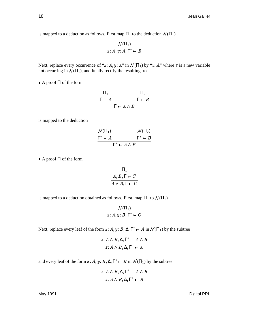is mapped to a deduction as follows. First map  $\Pi_1$  to the deduction  $\mathcal{N}(\Pi_1)$ 

$$
\mathcal{N}(\Pi_1)
$$
  

$$
\boldsymbol{x}: A, \boldsymbol{y}: A, \Gamma^+ \vdash B
$$

Next, replace every occurrence of " $x: A, y: A$ " in  $\mathcal{N}(\Pi_1)$  by " $z: A$ " where z is a new variable not occurring in  $\mathcal{N}(\Pi_1)$ , and finally rectify the resulting tree.

 $\bullet$  A proof  $\Pi$  of the form

$$
\frac{\Pi_1}{\Gamma \vdash A} \qquad \qquad \Gamma \vdash B
$$
\n
$$
\Gamma \vdash A \land B
$$

is mapped to the deduction

$$
\begin{array}{ccc}\n\mathcal{N}(\Pi_1) & & \mathcal{N}(\Pi_2) \\
\frac{\Gamma^+ \vdash A & & \Gamma^+ \vdash B \\
 & & \Gamma^+ \vdash A \land B\n\end{array}
$$

 $\bullet$  A proof  $\Pi$  of the form

$$
\frac{\Pi_1}{A \land B, \Gamma \vdash C}
$$
\n
$$
A \land B, \Gamma \vdash C
$$

is mapped to a deduction obtained as follows. First, map  $\Pi_1$  to  $\mathcal{N}(\Pi_1)$ 

$$
\mathcal{N}(\Pi_1)
$$
  

$$
\boldsymbol{x} \colon A, \boldsymbol{y} \colon B, \Gamma^+ \vdash C
$$

Next, replace every leaf of the form  $x: A, y: B, \Delta, \Gamma^+ \vdash$  $, y: B, \Delta, \Gamma^+ \vdash A$  in  $\mathcal{N}(\Pi_1)$  by the subtree

$$
\frac{z \colon A \land B, \Delta, \Gamma^+ \vdash A \land B}{z \colon A \land B, \Delta, \Gamma^+ \vdash A}
$$

and every leaf of the form  $x: A, y: B, \Delta, \Gamma^+ \vdash$  $, y: B, \Delta, \Gamma^+ \vdash B$  in  $\mathcal{N}(\Pi_1)$  by the subtree

$$
\frac{z \colon A \land B, \Delta, \Gamma^+ \vdash A \land B}{z \colon A \land B, \Delta, \Gamma^+ \vdash B}
$$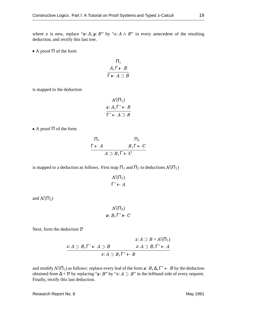where z is new, replace " $x: A, y: B$ " by "z:  $, y: B$ " by " $z: A \wedge B$ " in every antecedent of the resulting deduction, and rectify this last tree.

 $\bullet$  A proof  $\Pi$  of the form

$$
\frac{\Pi_1}{\Gamma \vdash A \supset B}
$$

is mapped to the deduction

$$
\mathcal{N}(\Pi_1)
$$
  

$$
\mathbf{x}: A, \Gamma^+ \vdash B
$$
  

$$
\Gamma^+ \vdash A \supset B
$$

 $\bullet$  A proof  $\Pi$  of the form

$$
\frac{\Pi_1}{\Gamma \vdash A} \qquad \qquad B, \Gamma \vdash C
$$
  

$$
A \supset B, \Gamma \vdash C
$$

is mapped to a deduction as follows. First map  $\Pi_1$  and  $\Pi_2$  to deductions  $\mathcal{N}(\Pi_1)$ 

$$
\mathcal{N}(\Pi_1)
$$

$$
\Gamma^+ \vdash A
$$

and  $\mathcal{N}(\Pi_2)$ 

$$
\mathcal{N}(\Pi_2)\\ \boldsymbol{x} \colon B, \Gamma^+ \vdash C
$$

Next, form the deduction  $D$ 

$$
z: A \supset B + \mathcal{N}(\Pi_1)
$$
  

$$
z: A \supset B, \Gamma^+ \vdash A \supset B \qquad \qquad z: A \supset B, \Gamma^+ \vdash A
$$
  

$$
z: A \supset B, \Gamma^+ \vdash B
$$

and modify  $\mathcal{N}(\Pi_2)$  as follows: replace every leaf of the form  $\bm{x}$ :  $B, \Delta, \Gamma^+ \vdash B$  by the deduction obtained from  $\Delta + \mathcal{D}$  by replacing "x: B" by "z:  $A \supseteq B$ " in the lefthand side of every sequent. Finally, rectify this last deduction.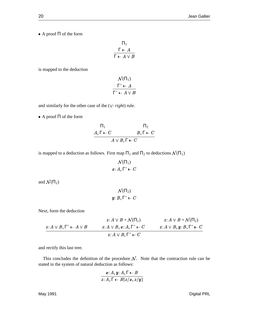$\bullet$  A proof  $\Pi$  of the form

$$
\frac{\Gamma \vdash A}{\Gamma \vdash A \lor B}
$$

is mapped to the deduction

$$
\mathcal{N}(\Pi_1)
$$
\n
$$
\frac{\Gamma^+ \vdash A}{\Gamma^+ \vdash A \lor B}
$$

and similarly for the other case of the (V: *right*) rule.

 $\bullet$  A proof  $\Pi$  of the form

$$
\frac{\Pi_1}{A, \Gamma \vdash C} \qquad \qquad B, \Gamma \vdash C
$$
  

$$
A \lor B, \Gamma \vdash C
$$

is mapped to a deduction as follows. First map  $\Pi_1$  and  $\Pi_2$  to deductions  $\mathcal{N}(\Pi_1)$ 

$$
\mathcal{N}(\Pi_1)
$$
  

$$
\boldsymbol{x}: A, \Gamma^+ \vdash C
$$

and  $\mathcal{N}(\Pi_2)$ 

$$
\mathcal{N}(\Pi_2)
$$
  

$$
y: B, \Gamma^+ \vdash C
$$

Next, form the deduction

$$
z: A \vee B + \mathcal{N}(\Pi_1) \qquad z: A \vee B + \mathcal{N}(\Pi_2)
$$
  

$$
z: A \vee B, \Gamma^+ \vdash A \vee B \qquad z: A \vee B, x: A, \Gamma^+ \vdash C \qquad z: A \vee B, y: B, \Gamma^+ \vdash C
$$
  

$$
z: A \vee B, \Gamma^+ \vdash C
$$

and rectify this last tree.

This concludes the definition of the procedure  $N$ . Note that the contraction rule can be stated in the system of natural deduction as follows:

$$
\frac{x:A, y:A, \Gamma \vdash B}{z:A, \Gamma \vdash B[z/x, z/y]}
$$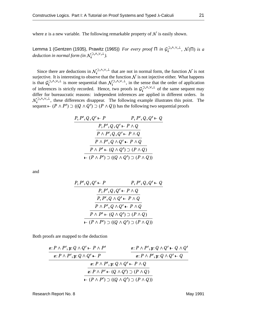where z is a new variable. The following remarkable property of  $N$  is easily shown.

Lemma 1 (Gentzen (1935), Prawitz (1965)) *For every proof*  $\Pi$  *in*  $\mathcal{G}_i^{(3),\wedge,\vee,\perp}$ ,  $\mathcal{N}(\Pi)$  *is a deduction in normal form (in*  $\mathcal{N}_i^{(1)}, \cdots, (1)^k$ ).

Since there are deductions in  $\mathcal{N}_i^{(2),\wedge,\vee,\perp}$  that are not in normal form, the function  $\mathcal N$  is not surjective. It is interesting to observe that the function  $N$  is not injective either. What happens is that  $G_i^{\lambda,\lambda,\nu,\perp}$  is more sequential than  $\mathcal{N}_i^{\lambda,\lambda,\nu,\perp}$ , in the sense that the order of application of inferences is strictly recorded. Hence, two proofs in  $\mathcal{G}_i^{(3,0),(1,0)}$  of the same sequent may differ for bureaucratic reasons: independent inferences are applied in different orders. In  $\mathcal{N}_i^{(2),(\lambda,\vee,\perp)}$ , these differences disappear. The following example illustrates this point. The sequent  $\vdash$  ( $P \land P'$ )  $\supset$  (( $Q \land Q'$ )  $\supset$  ( $P \land Q$ )) has the following two sequential proofs

$$
\frac{P, P', Q, Q' \vdash P \qquad P, P', Q, Q' \vdash Q}{P, P', Q, Q' \vdash P \land Q}
$$
\n
$$
\frac{P \land P', Q, Q' \vdash P \land Q}{P \land P', Q \land Q' \vdash P \land Q}
$$
\n
$$
\frac{P \land P' \vdash (Q \land Q') \supset (P \land Q)}{P \land P' \vdash (Q \land Q') \supset (P \land Q)}
$$
\n
$$
\vdash (P \land P') \supset ((Q \land Q') \supset (P \land Q))
$$

and

$$
P, P', Q, Q' \vdash P
$$
  
\n
$$
P, P', Q, Q' \vdash P \land Q
$$
  
\n
$$
P, P', Q, Q' \vdash P \land Q
$$
  
\n
$$
P \land P', Q \land Q' \vdash P \land Q
$$
  
\n
$$
P \land P' \vdash (Q \land Q') \supset (P \land Q)
$$
  
\n
$$
\vdash (P \land P') \supset ((Q \land Q') \supset (P \land Q))
$$

Both proofs are mapped to the deduction

$$
\frac{x \cdot P \wedge P', y \cdot Q \wedge Q' \vdash P \wedge P'}{x \cdot P \wedge P', y \cdot Q \wedge Q' \vdash P}
$$
\n
$$
\frac{x \cdot P \wedge P', y \cdot Q \wedge Q' \vdash Q \wedge Q'}{x \cdot P \wedge P', y \cdot Q \wedge Q' \vdash P \wedge Q}
$$
\n
$$
\frac{x \cdot P \wedge P', y \cdot Q \wedge Q' \vdash P \wedge Q}{x \cdot P \wedge P' \vdash (Q \wedge Q') \supset (P \wedge Q)}
$$
\n
$$
\vdash (P \wedge P') \supset ((Q \wedge Q') \supset (P \wedge Q))
$$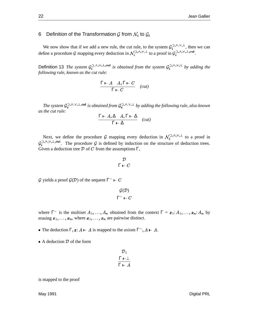#### 6 Definition of the Transformation  ${\cal G}$  from  ${\cal N}_i$  to  ${\cal G}_i$

We now show that if we add a new rule, the cut rule, to the system  $\mathcal{G}^{(3,0),(1,0)}$ , then we can define a procedure G mapping every deduction in  $\mathcal{N}^{(3,\wedge,\vee,\perp)}_i$  to a proof in  $\mathcal{G}^{(3,\wedge,\vee,\perp,cut)}_i$ .

Definition 13 *The system*  $\mathcal{G}_i^{(1), (1), (2), (2)}$  *is obtained from the system*  $\mathcal{G}_i^{(1), (1), (1)}$  *by adding the following rule, known as the cut rule:*

$$
\frac{\Gamma \vdash A \quad A, \Gamma \vdash C}{\Gamma \vdash C} \quad (cut)
$$

The system  $\mathcal{G}_c^{\supset , \wedge , \vee , \perp , cut}$  is obtained from  $\mathcal{G}_c^{\supset , \wedge , \vee , \perp}$  by adding the following rule, also known *as the cut rule:*

$$
\frac{\Gamma \vdash A, \Delta \quad A, \Gamma \vdash \Delta}{\Gamma \vdash \Delta} \quad (cut)
$$

Next, we define the procedure G mapping every deduction in  $\mathcal{N}_i^{(1),\vee,\vee}$  to a proof in  $\mathcal{G}_i^{(1)}, \ldots, (1)}$ . The procedure G is defined by induction on the structure of deduction trees. Given a deduction tree  $D$  of C from the assumptions  $\Gamma$ ,

$$
\mathcal{D} \qquad \Gamma \vdash C
$$

 $\mathcal G$  yields a proof  $\mathcal G(\mathcal D)$  of the sequent Γ<sup>−</sup> ► C

$$
\mathcal{G}(\mathcal{D})
$$

$$
\Gamma^- \vdash C
$$

where  $\Gamma^-$  is the multiset  $A_1, \ldots, A_n$  obtained from the context  $\Gamma = x_1 : A_1, \ldots, x_n : A_n$  by erasing  $x_1, \ldots, x_n$ , where  $x_1, \ldots, x_n$  are pairwise distinct.

• The deduction  $\Gamma$ ,  $\boldsymbol{x}$ :  $A \vdash A$  is mapped to the axiom  $\Gamma^-$ ,  $A \vdash A$ .

• A deduction  $D$  of the form

$$
\frac{\mathcal{D}_1}{\Gamma \vdash \bot}
$$
\n
$$
\frac{\Gamma \vdash \bot}{\Gamma \vdash A}
$$

is mapped to the proof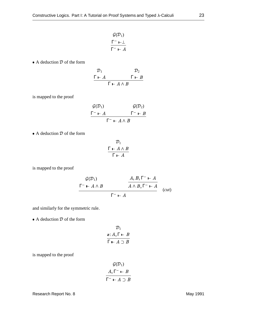$$
\frac{\mathcal{G}(\mathcal{D}_1)}{\Gamma^- \vdash A}
$$

• A deduction  $D$  of the form

$$
\begin{array}{c}\n\mathcal{D}_1 & \mathcal{D}_2 \\
\Gamma \vdash A & \Gamma \vdash B \\
\hline\n\Gamma \vdash A \land B\n\end{array}
$$

is mapped to the proof

$$
\frac{\mathcal{G}(\mathcal{D}_1)}{\Gamma - \mathbf{H} \qquad \Gamma - \mathbf{H} \wedge B}
$$
\n
$$
\frac{\mathcal{G}(\mathcal{D}_2)}{\Gamma - \mathbf{H} \wedge B}
$$

• A deduction  $D$  of the form

$$
\frac{\Gamma \vdash A \land B}{\Gamma \vdash A}
$$

is mapped to the proof

$$
\frac{\mathcal{G}(\mathcal{D}_1)}{\Gamma^- \vdash A \land B} \qquad \frac{A, B, \Gamma^- \vdash A}{A \land B, \Gamma^- \vdash A}
$$
 (cut)

and similarly for the symmetric rule.

• A deduction  $D$  of the form

$$
\mathcal{D}_1
$$
  

$$
x: A, \Gamma \vdash B
$$
  

$$
\Gamma \vdash A \supset B
$$

is mapped to the proof

$$
\mathcal{G}(\mathcal{D}_1)
$$
\n
$$
\frac{A, \Gamma^- \vdash B}{\Gamma^- \vdash A \supset B}
$$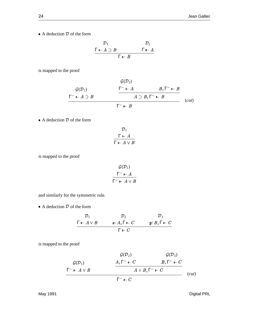• A deduction  $D$  of the form

$$
\begin{array}{ccc}\n\mathcal{D}_1 & \mathcal{D}_2 \\
\Gamma \vdash A \supset B & \Gamma \vdash A \\
\Gamma \vdash B\n\end{array}
$$

is mapped to the proof

$$
\begin{array}{ccc}\n & \mathcal{G}(\mathcal{D}_1) & \mathcal{F}^- \leftarrow A & B, \Gamma^- \leftarrow B \\
 & \mathcal{F}^- \leftarrow A \supset B & A \supset B, \Gamma^- \leftarrow B & (cut) \\
 & & \Gamma^- \leftarrow B & (cut)\n\end{array}
$$

• A deduction  $D$  of the form

$$
\frac{\mathcal{D}_1}{\Gamma \vdash A}
$$
  

$$
\Gamma \vdash A \lor B
$$

is mapped to the proof

$$
\frac{\mathcal{G}(\mathcal{D}_1)}{\Gamma^- \vdash A}
$$
\n
$$
\frac{\Gamma^- \vdash A}{\Gamma^- \vdash A \lor B}
$$

and similarly for the symmetric rule.

• A deduction  $D$  of the form

$$
\begin{array}{ccc}\n\mathcal{D}_1 & \mathcal{D}_2 & \mathcal{D}_3 \\
\Gamma \vdash A \lor B & \mathbf{x}: A, \Gamma \vdash C & \mathbf{y}: B, \Gamma \vdash C \\
\Gamma \vdash C\n\end{array}
$$

is mapped to the proof

$$
\begin{array}{ccc}\n & \mathcal{G}(\mathcal{D}_1) & \mathcal{G}(\mathcal{D}_2) \\
 & A, \Gamma^- \vdash C & B, \Gamma^- \vdash C \\
\hline\n & A \lor B, \Gamma^- \vdash C & \text{(cut)} \\
 & & \Gamma^- \vdash C\n\end{array}
$$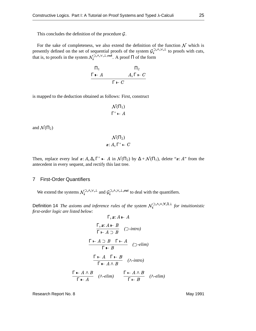This concludes the definition of the procedure  $\mathcal{G}$ . .

For the sake of completeness, we also extend the definition of the function  $\mathcal N$  which is presently defined on the set of sequential proofs of the system  $\mathcal{G}_i^{(1)}, \dots, (1)$  to proofs with cuts, that is, to proofs in the system  $\mathcal{N}_i^{(\lambda)}$ ,  $\lambda^{(\lambda)}$ ,  $\lambda^{(\lambda)}$ , A proof  $\Pi$  of the form

$$
\Gamma_1 \qquad \qquad \Pi_2
$$
\n
$$
\Gamma \vdash A \qquad \qquad A, \Gamma \vdash C
$$
\n
$$
\Gamma \vdash C
$$

is mapped to the deduction obtained as follows: First, construct

$$
\mathcal{N}(\Pi_1)
$$

$$
\Gamma^+ \vdash A
$$

and  $\mathcal{N}(\Pi_2)$ 

$$
\mathcal{N}(\Pi_2)
$$
  

$$
x: A, \Gamma^+ \vdash C
$$

Then, replace every leaf  $x: A, \Delta, \Gamma^+ \vdash A$  in  $, \Delta, \Gamma^+ \vdash A$  in  $\mathcal{N}(\Pi_2)$  by  $\Delta + \mathcal{N}(\Pi_1)$ , delete " $x : A$ " from the antecedent in every sequent, and rectify this last tree.

#### 7 First-Order Quantifiers

We extend the systems  $\mathcal{N}_i^{(1)}$ ,  $\cdots$ ,  $\cdots$  and  $\mathcal{G}_i^{(1)}$ ,  $\cdots$ ,  $\cdots$ ,  $\cdots$  to deal with the quantifiers.

Definition 14 *The axioms and inference rules of the system*  $\mathcal{N}_i^{(2),(\lambda,\forall,\forall,\exists,\bot)}$  *for intuitionistic first-order logic are listed below:*

$$
\Gamma, x : A \vdash A
$$
\n
$$
\frac{\Gamma, x : A \vdash B}{\Gamma \vdash A \supset B} \quad (\supset \text{-intro})
$$
\n
$$
\frac{\Gamma \vdash A \supset B \quad \Gamma \vdash A}{\Gamma \vdash B} \quad (\supset \text{-elim})
$$
\n
$$
\frac{\Gamma \vdash A \quad \Gamma \vdash B}{\Gamma \vdash A \land B} \quad (\wedge \text{-intro})
$$
\n
$$
\frac{\Gamma \vdash A \land B}{\Gamma \vdash A} \quad (\wedge \text{-elim}) \quad \frac{\Gamma \vdash A \land B}{\Gamma \vdash B} \quad (\wedge \text{-elim})
$$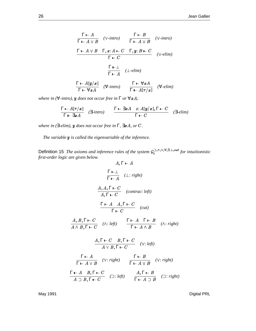$$
\frac{\Gamma \vdash A}{\Gamma \vdash A \lor B} \quad (\lor\text{-intro}) \qquad \frac{\Gamma \vdash B}{\Gamma \vdash A \lor B} \quad (\lor\text{-intro})
$$
\n
$$
\frac{\Gamma \vdash A \lor B \quad \Gamma, x: A \vdash C \quad \Gamma, y: B \vdash C}{\Gamma \vdash C} \quad (\lor\text{-elim})
$$
\n
$$
\frac{\Gamma \vdash \perp}{\Gamma \vdash A} \quad (\perp\text{-elim})
$$
\n
$$
\frac{\Gamma \vdash A[y/x]}{\Gamma \vdash A[y/x]} \quad (\forall\text{-intro}) \qquad \frac{\Gamma \vdash \forall xA}{\Gamma \vdash A[\tau/x]} \quad (\forall\text{-elim})
$$

*where in (*∀-intro),  $y$  does not occur free in  $Γ$  or  $∀x$   $A;$ 

$$
\frac{\Gamma \vdash A[\tau/x]}{\Gamma \vdash \exists x A} \quad (\exists\text{-intro}) \qquad \frac{\Gamma \vdash \exists x A \quad z: A[y/x], \Gamma \vdash C}{\Gamma \vdash C} \quad (\exists\text{-elim})
$$

where in (∃-elim),  $y$  does not occur free in  $\Gamma$ ,  $\exists x A$ , or  $C$ .

*The* variable **y** is called the eigenvariable of the inference.

Definition 15 *The axioms and inference rules of the system*  $\mathcal{G}^{\supset,\wedge,\vee,\forall,\exists,\perp,cut}$  for *intuitionistic first-order logic are given below.*

$$
A, \Gamma \vdash A
$$
\n
$$
\frac{\Gamma \vdash \bot}{\Gamma \vdash A} \quad (\bot: right)
$$
\n
$$
\frac{A, A, \Gamma \vdash C}{A, \Gamma \vdash C} \quad (contract: left)
$$
\n
$$
\frac{\Gamma \vdash A \quad A, \Gamma \vdash C}{\Gamma \vdash C} \quad (cut)
$$
\n
$$
\frac{A, B, \Gamma \vdash C}{A \land B, \Gamma \vdash C} \quad (\land: left) \quad \frac{\Gamma \vdash A \quad \Gamma \vdash B}{\Gamma \vdash A \land B} \quad (\land: right)
$$
\n
$$
\frac{A, \Gamma \vdash C \quad B, \Gamma \vdash C}{A \lor B, \Gamma \vdash C} \quad (\lor: left)
$$
\n
$$
\frac{\Gamma \vdash A}{\Gamma \vdash A \lor B} \quad (\lor: right) \quad \frac{\Gamma \vdash B}{\Gamma \vdash A \lor B} \quad (\lor: right)
$$
\n
$$
\frac{\Gamma \vdash A}{A \supset B, \Gamma \vdash C} \quad (\supset: left) \quad \frac{A, \Gamma \vdash B}{\Gamma \vdash A \supset B} \quad (\supset: right)
$$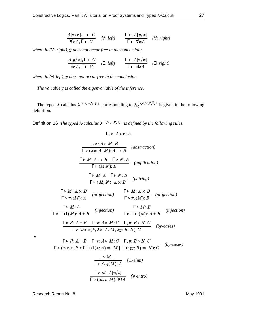$$
\frac{A[\tau/\mathbf{x}], \Gamma \vdash C}{\forall \mathbf{x} A, \Gamma \vdash C} \quad (\forall: \text{left}) \qquad \frac{\Gamma \vdash A[\mathbf{y}/\mathbf{x}]}{\Gamma \vdash \forall \mathbf{x} A} \quad (\forall: \text{right})
$$

 $\mathbf{w}$ *here* in ( $\forall$ : *right),*  $\mathbf{y}$  *does not occur free* in *the conclusion*;

$$
\frac{A[y/x], \Gamma \vdash C}{\exists x A, \Gamma \vdash C} \quad (\exists: left) \qquad \frac{\Gamma \vdash A[\tau/x]}{\Gamma \vdash \exists x A} \quad (\exists: right)
$$

 $\mathbf{w}$ *here* in  $(\exists: \mathit{left}), \mathbf{y}$  does not occur free in the conclusion.

*The* variable **y** is called the eigenvariable of the inference.

The typed  $\lambda$ -calculus  $\lambda^{-\lambda, \lambda, +, \forall, \exists, \bot}$  corresponding to  $\mathcal{N}_i^{(2), \Lambda, \vee, \forall, \exists, \bot}$  is given in the following definition.

Definition 16 *The typed*  $\lambda$ -calculus  $\lambda \rightarrow x, +, \forall, \exists, \bot$  is defined by the following rules.

$$
\Gamma, x: A \triangleright x: A
$$
\n
$$
\frac{\Gamma, x: A \triangleright M: B}{\Gamma \triangleright (\lambda x: A, M): A \rightarrow B} \quad (abstraction)
$$
\n
$$
\frac{\Gamma \triangleright M: A \rightarrow B \Gamma \triangleright N: A}{\Gamma \triangleright (MN): B} \quad (application)
$$
\n
$$
\frac{\Gamma \triangleright M: A \rightarrow B \Gamma \triangleright N: B}{\Gamma \triangleright (MN): A \times B} \quad (pairing)
$$
\n
$$
\frac{\Gamma \triangleright M: A \times B}{\Gamma \triangleright \pi_1(M): A} \quad (projection) \quad \frac{\Gamma \triangleright M: A \times B}{\Gamma \triangleright \pi_2(M): B} \quad (projection)
$$
\n
$$
\frac{\Gamma \triangleright M: A}{\Gamma \triangleright \text{inl}(M): A + B} \quad (injection) \quad \frac{\Gamma \triangleright M: B}{\Gamma \triangleright \text{inr}(M): A + B} \quad (injection)
$$
\n
$$
\frac{\Gamma \triangleright P: A + B \Gamma, x: A \triangleright M: C \Gamma, y: B \triangleright N: C}{\Gamma \triangleright \text{case}(P, \lambda x: A, M, \lambda y: B, N): C} \quad (by-cases)
$$
\n
$$
\frac{\Gamma \triangleright P: A + B \Gamma, x: A \triangleright M: C \Gamma, y: B \triangleright N: C}{\Gamma \triangleright (\text{case } P \text{ of } \text{inl}(x: A) \Rightarrow M \mid \text{inr}(y: B) \Rightarrow N): C} \quad (by-cases)
$$
\n
$$
\frac{\Gamma \triangleright M: \bot}{\Gamma \triangleright (\text{case } P \text{ of } \text{inl}(x: A) \Rightarrow M \mid \text{inr}(y: B) \Rightarrow N): C} \quad (by-cases)
$$
\n
$$
\frac{\Gamma \triangleright M: \bot}{\Gamma \triangleright (\lambda t: \iota M): A} \quad (\bot \text{elim})
$$

Research Report No. 8 May 1991

*or*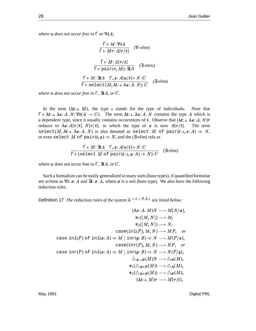where **u** does not occur free in  $\Gamma$  or  $\forall t A$ ;

$$
\frac{\Gamma \triangleright M : \forall t A}{\Gamma \triangleright M \tau : A[\tau/t]} \quad (\forall \text{-elim})
$$
\n
$$
\frac{\Gamma \triangleright M : A[\tau/t]}{\Gamma \triangleright \text{pair}(\tau, M) : \exists t A} \quad (\exists \text{-intro})
$$
\n
$$
\frac{\Gamma \triangleright M : \exists t A \quad \Gamma, x : A[u/t] \triangleright N : C}{\Gamma \triangleright \text{select}(M, \lambda t : \iota. \lambda x : A, N) : C} \quad (\exists \text{-elim})
$$

where  $\bm{u}$  does not occur free in  $\Gamma$ ,  $\exists \bm{t} A$ , or  $C$ .

In the term  $(\lambda t: \iota, M)$ , the type  $\iota$  stands for the type of individuals. Note that  $\Gamma \triangleright \lambda t$ :  $\iota$ .  $\lambda x$ :  $A$ .  $N$ :  $\forall t (A \rightarrow C)$ . The term  $\lambda t$ :  $\iota$ .  $\lambda x$ :  $A$ .  $N$  contains the type  $A$  which is a *dependent* type, since it usually contains occurrences of t. Observe that  $(\lambda t: \iota. \lambda x: A. N)\tau$ reduces to  $\lambda x$ :  $A[\tau/t]$ .  $N[\tau/t]$ , in which the type of x is now  $A[\tau/t]$ . The ]. The term  $\texttt{select}(M,\lambda t;\iota.~\lambda x;A.~N)$  is also denoted as  $\texttt{select}~M$  of  $\texttt{pair}(t;\iota,x;A) \Rightarrow N,$ or even select  $M$  of  $\text{pair}(t, x) \Rightarrow N$ , and the (∃*-elim*) rule as

$$
\frac{\Gamma \triangleright M: \exists t A \quad \Gamma, x: A[u/t] \triangleright N: C}{\Gamma \triangleright (\text{select } M \text{ of pair}(t: \iota, x: A) \Rightarrow N): C} \quad (\exists \text{-elim})
$$

where *u* does not occur free in  $\Gamma$ ,  $\exists t A$ , or *C*.

Such a formalism can be easily generalized to many sorts (base types), if quantified formulae are written as  $\forall t$ :  $\sigma$ . A and  $\exists t$ :  $\sigma$ . A, where  $\sigma$  is a sort (base type). We also have the following reduction rules.

Definition 17 *The reduction rules of the system*  $\lambda \rightarrow x, +, \forall, \exists, \bot$  *are listed below:* 

$$
(\lambda x : A. M)N \longrightarrow M[N/x],
$$
  
\n
$$
\pi_1(\langle M, N \rangle) \longrightarrow M,
$$
  
\n
$$
\pi_2(\langle M, N \rangle) \longrightarrow N,
$$
  
\n
$$
\cose(in1(P), M, N) \longrightarrow MP, \text{ or}
$$
  
\n
$$
\case in1(P) \text{ of } in1(x : A) \Rightarrow M \mid \text{inv}(y : B) \Rightarrow N \longrightarrow M[P/x],
$$
  
\n
$$
\case(inr(P), M, N) \longrightarrow NP, \text{ or}
$$
  
\n
$$
\case inr(P) \text{ of } in1(x : A) \Rightarrow M \mid \text{inv}(y : B) \Rightarrow N \longrightarrow N[P/y],
$$
  
\n
$$
\Delta_{A \rightarrow B}(M)N \longrightarrow \Delta_B(M),
$$
  
\n
$$
\pi_1(\Delta_{A \times B}(M)) \longrightarrow \Delta_A(M),
$$
  
\n
$$
\pi_2(\Delta_{A \times B}(M)) \longrightarrow \Delta_B(M),
$$
  
\n
$$
(\lambda t : \iota M) \tau \longrightarrow M[\tau/t],
$$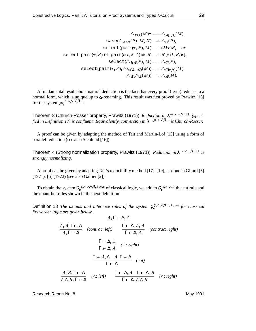$$
\triangle_{\forall tA}(M)\tau \longrightarrow \triangle_{A[\tau/t]}(M),
$$
\n
$$
\text{case}(\triangle_{A+B}(P), M, N) \longrightarrow \triangle_{C}(P),
$$
\n
$$
\text{select}(\text{pair}(\tau, P), M) \longrightarrow (M\tau)P, \text{ or}
$$
\n
$$
\text{select}(\text{pair}(\tau, P)) \text{ of } \text{pair}(t: \iota, x: A) \Rightarrow N \longrightarrow N[\tau/t, P/x],
$$
\n
$$
\text{select}(\triangle_{\exists tA}(P), M) \longrightarrow \triangle_{C}(P),
$$
\n
$$
\text{select}(\text{pair}(\tau, P), \triangle_{\forall t(A \to C)}(M)) \longrightarrow \triangle_{C[\tau/t]}(M),
$$
\n
$$
\triangle_{A}(\triangle_{\bot}(M)) \longrightarrow \triangle_{A}(M).
$$

A fundamental result about natural deduction is the fact that every proof (term) reduces to a normal form, which is unique up to  $\alpha$ -renaming. This result was first proved by Prawitz [15] for the system  $\mathcal{N}_i^{(\mathcal{D}, \wedge, \vee, \forall, \exists, \bot)}.$ 

Theorem 3 (Church-Rosser property, Prawitz (1971)) *Reduction in* λ<sup>→, x,+, ∀,∃,⊥ (speci-</sup> fied in Definition 17) is confluent. Equivalently, conversion in  $\lambda \rightarrow x, +, \forall, \exists, \bot$  is Church-Rosser.

A proof can be given by adapting the method of Tait and Martin-Löf [13] using a form of parallel reduction (see also Stenlund [16]).

Theorem 4 (Strong normalization property, Prawitz (1971)) *Reduction in*  $\lambda^{\rightarrow, \times, +, \forall, \exists, \bot}$  is *strongly normalizing.*

A proof can be given by adapting Tait's reducibility method [17], [19], as done in Girard [5] (1971), [6] (1972) (see also Gallier [2]).

To obtain the system  $\mathcal{G}_c^{\supset,\wedge,\vee,\forall,\exists,\perp,cut}$  of classical logic, we add to  $\mathcal{G}_c^{\supset,\wedge,\vee,\perp}$  the cut rule and the quantifier rules shown in the next definition.

Definition 18 *The axioms and inference rules of the system*  $\mathcal{G}_c^{\supset,\wedge,\vee,\forall,\exists,\perp,cut}$  for classical *first-order logic are given below.*

$$
A, \Gamma \vdash \Delta, A
$$
\n
$$
\frac{A, A, \Gamma \vdash \Delta}{A, \Gamma \vdash \Delta} \quad (contract: left) \quad \frac{\Gamma \vdash \Delta, A, A}{\Gamma \vdash \Delta, A} \quad (contract: right)
$$
\n
$$
\frac{\Gamma \vdash \Delta, \bot}{\Gamma \vdash \Delta, A} \quad (\bot: right)
$$
\n
$$
\frac{\Gamma \vdash A, \Delta \quad A, \Gamma \vdash \Delta}{\Gamma \vdash \Delta} \quad (cut)
$$
\n
$$
\frac{A, B, \Gamma \vdash \Delta}{A \land B, \Gamma \vdash \Delta} \quad (\wedge: left) \quad \frac{\Gamma \vdash \Delta, A \quad \Gamma \vdash \Delta, B}{\Gamma \vdash \Delta, A \land B} \quad (\wedge: right)
$$

Research Report No. 8 May 1991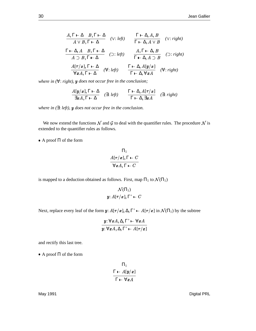$$
\frac{A, \Gamma \vdash \Delta \quad B, \Gamma \vdash \Delta}{A \lor B, \Gamma \vdash \Delta} \quad (\lor: left) \quad \frac{\Gamma \vdash \Delta, A, B}{\Gamma \vdash \Delta, A \lor B} \quad (\lor: right)
$$
\n
$$
\frac{\Gamma \vdash \Delta, A \quad B, \Gamma \vdash \Delta}{A \supset B, \Gamma \vdash \Delta} \quad (\supset: left) \quad \frac{A, \Gamma \vdash \Delta, B}{\Gamma \vdash \Delta, A \supset B} \quad (\supset: right)
$$
\n
$$
\frac{A[\tau/x], \Gamma \vdash \Delta}{\forall x A, \Gamma \vdash \Delta} \quad (\forall: left) \quad \frac{\Gamma \vdash \Delta, A[y/x]}{\Gamma \vdash \Delta, \forall x A} \quad (\forall: right)
$$

 $\mathbf{w}$ *here* in ( $\forall$ : *right),*  $\mathbf{y}$  *does not occur free in the conclusion;* 

$$
\frac{A[y/x], \Gamma \vdash \Delta}{\exists x A, \Gamma \vdash \Delta} \quad (\exists: left) \qquad \frac{\Gamma \vdash \Delta, A[\tau/x]}{\Gamma \vdash \Delta, \exists x A} \quad (\exists: right)
$$

 $\mathbf{w}$ *here in* ( $\exists$ : *left*),  $\mathbf{y}$  *does not occur free in the conclusion.* 

We now extend the functions  $\mathcal N$  and  $\mathcal G$  to deal with the quantifier rules. The procedure  $\mathcal N$  is extended to the quantifier rules as follows.

 $\bullet$  A proof  $\Pi$  of the form

$$
\frac{\Pi_1}{A[\tau/x], \Gamma \vdash C}
$$
  

$$
\forall x A, \Gamma \vdash C
$$

is mapped to a deduction obtained as follows. First, map  $\Pi_1$  to  $\mathcal{N}(\Pi_1)$ 

$$
\mathcal{N}(\Pi_1)
$$
  

$$
y: A[\tau/x], \Gamma^+ \vdash C
$$

Next, replace every leaf of the form  $y: A[\tau/x], \Delta, \Gamma^+ \vdash A[\tau/x]$  in  $\mathcal{N}(\Pi_1)$  by the subtree

$$
\frac{y \colon \forall x A, \Delta, \Gamma^+ \vdash \forall x A}{y \colon \forall x A, \Delta, \Gamma^+ \vdash A[\tau/x]}
$$

and rectify this last tree.

 $\bullet$  A proof  $\Pi$  of the form

$$
\frac{\Pi_1}{\Gamma \vdash A[y/x]} \over \Gamma \vdash \forall x A
$$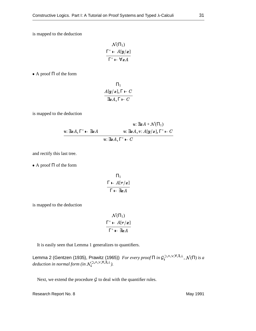is mapped to the deduction

$$
\frac{\mathcal{N}(\Pi_1)}{\Gamma^+ \vdash A[y/x]} \over \Gamma^+ \vdash \forall x A
$$

 $\bullet$  A proof  $\Pi$  of the form

$$
\frac{\Pi_1}{\exists x A, \Gamma \vdash C}
$$

$$
\frac{\exists x A, \Gamma \vdash C}{\Box x \vdash C}
$$

is mapped to the deduction

$$
u: \exists x A, \Gamma^+ \vdash \exists x A
$$
  

$$
u: \exists x A, v: A[y/x], \Gamma^+ \vdash C
$$
  

$$
u: \exists x A, \Gamma^+ \vdash C
$$

and rectify this last tree.

 $\bullet$  A proof  $\Pi$  of the form

$$
\frac{\Gamma \vdash A[\tau/x]}{\Gamma \vdash \exists x A}
$$

is mapped to the deduction

$$
\frac{\mathcal{N}(\Pi_1)}{\Gamma^+ \vdash A[\tau/x]} \over \Gamma^+ \vdash \exists x A
$$

It is easily seen that Lemma 1 generalizes to quantifiers.

Lemma 2 (Gentzen (1935), Prawitz (1965)) *For every proof*  $\Pi$  *in*  $\mathcal{G}^{\supset, \wedge, \vee, \forall, \exists, \bot}$  ,  $\mathcal{N}(\Pi)$  *is a* deduction in normal form (in  $\mathcal{N}_i^{(1)}, \cdots, \vee_{i}^{(n)}$ ,  $\vdots$ ).

Next, we extend the procedure  $\mathcal G$  to deal with the quantifier rules.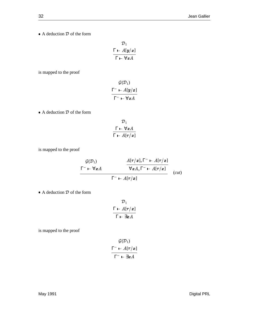• A deduction  $D$  of the form

$$
\frac{\mathcal{D}_1}{\Gamma \vdash A[y/x]} \over \Gamma \vdash \forall x A
$$

is mapped to the proof

$$
\frac{\mathcal{G}(\mathcal{D}_1)}{\Gamma^- \vdash A[y/x]} \over \Gamma^- \vdash \forall x A
$$

• A deduction  $D$  of the form

$$
\frac{\mathcal{D}_1}{\Gamma \vdash \forall x A}
$$

$$
\frac{\Gamma \vdash \forall x A}{\Gamma \vdash A[\tau/x]}
$$

is mapped to the proof

$$
\frac{\mathcal{G}(\mathcal{D}_1)}{\Gamma^- \vdash \forall x A} \qquad \frac{A[\tau/x], \Gamma^- \vdash A[\tau/x]}{\forall x A, \Gamma^- \vdash A[\tau/x]} \qquad (cut)
$$
\n
$$
\Gamma^- \vdash A[\tau/x] \qquad (cut)
$$

• A deduction  $D$  of the form

$$
\frac{\mathcal{D}_1}{\Gamma \vdash A[\tau/x]} \over \Gamma \vdash \exists x A
$$

is mapped to the proof

$$
\frac{\mathcal{G}(\mathcal{D}_1)}{\Gamma^- \vdash A[\tau/x]} \over \Gamma^- \vdash \exists x A
$$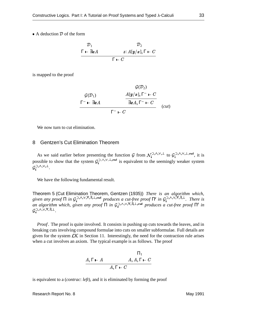• A deduction  $D$  of the form

$$
\frac{\mathcal{D}_1}{\Gamma \vdash \exists x A} \qquad \qquad z: A[y/x], \Gamma \vdash C
$$

$$
\Gamma \vdash C
$$

is mapped to the proof

$$
\mathcal{G}(\mathcal{D}_1)
$$
\n
$$
\mathcal{G}(\mathcal{D}_1)
$$
\n
$$
\mathcal{G}(\mathcal{D}_1)
$$
\n
$$
\mathcal{G}(\mathcal{D}_2)
$$
\n
$$
\mathcal{G}(\mathcal{D}_1)
$$
\n
$$
\mathcal{G}(\mathcal{D}_2)
$$
\n
$$
\mathcal{G}(\mathcal{D}_2)
$$
\n
$$
\mathcal{G}(\mathcal{D}_1)
$$
\n
$$
\mathcal{G}(\mathcal{D}_2)
$$
\n
$$
\mathcal{G}(\mathcal{D}_2)
$$
\n
$$
\mathcal{G}(\mathcal{D}_1)
$$
\n
$$
\mathcal{G}(\mathcal{D}_2)
$$
\n
$$
\mathcal{G}(\mathcal{D}_2)
$$
\n
$$
\mathcal{G}(\mathcal{D}_2)
$$
\n
$$
\mathcal{G}(\mathcal{D}_1)
$$
\n
$$
\mathcal{G}(\mathcal{D}_2)
$$
\n
$$
\mathcal{G}(\mathcal{D}_2)
$$
\n
$$
\mathcal{G}(\mathcal{D}_1)
$$
\n
$$
\mathcal{G}(\mathcal{D}_2)
$$
\n
$$
\mathcal{G}(\mathcal{D}_2)
$$
\n
$$
\mathcal{G}(\mathcal{D}_2)
$$
\n
$$
\mathcal{G}(\mathcal{D}_1)
$$
\n
$$
\mathcal{G}(\mathcal{D}_2)
$$
\n
$$
\mathcal{G}(\mathcal{D}_2)
$$
\n
$$
\mathcal{G}(\mathcal{D}_1)
$$
\n
$$
\mathcal{G}(\mathcal{D}_2)
$$
\n
$$
\mathcal{G}(\mathcal{D}_2)
$$
\n
$$
\mathcal{G}(\mathcal{D}_1)
$$
\n
$$
\mathcal{G}(\mathcal{D}_2)
$$
\n
$$
\mathcal{G}(\mathcal{D}_2)
$$

We now turn to cut elimination.

### 8 Gentzen's Cut Elimination Theorem

As we said earlier before presenting the function G from  $\mathcal{N}_i^{(3)} \wedge \cdots \wedge j^{(k)}$  to  $\mathcal{G}_i^{(3)} \wedge \cdots \wedge j^{(k)}$  it is possible to show that the system  $\mathcal{G}_i^{(1)}$ ,  $\cdots$ ,  $\mathcal{G}_i^{(m)}$  is equivalent to the seemingly weaker system  $\mathcal{G}_i^{\supset, \wedge, \vee, \perp}.$ 

We have the following fundamental result.

Theorem 5 (Cut Elimination Theorem, Gentzen (1935)) *There is an algorithm which,*  $g$ *iven any proof*  $\Pi$  *in*  $\mathcal{G}_i^{(\lambda,\lambda,\vee,\forall,\exists,\bot,cut}$  produces a cut-free proof  $\Pi'$  *in*  $\mathcal{G}_i^{(\lambda,\wedge,\vee,\forall,\exists,\bot}$ . There is  $\alpha$  *an algorithm which, given any proof*  $\Pi$  *in*  $\mathcal{G}_c^{\supset \wedge,\vee,\forall,\exists,\perp,\text{cut}}$  produces a cut-free proof  $\Pi'$  *in*  $\mathcal{G}^{\supset ,\wedge,\vee,\forall,\exists,\perp}_{c}.$ 

*Proof*. The proof is quite involved. It consists in pushing up cuts towards the leaves, and in breaking cuts involving compound formulae into cuts on smaller subformulae. Full details are given for the system  $\mathcal{LK}$  in Section 11. Interestingly, the need for the contraction rule arises when a cut involves an axiom. The typical example is as follows. The proof

$$
A, \Gamma \vdash A \qquad A, A, \Gamma \vdash C
$$
  

$$
A, \Gamma \vdash C
$$

is equivalent to a (*contrac*: *left*), and it is eliminated by forming the proof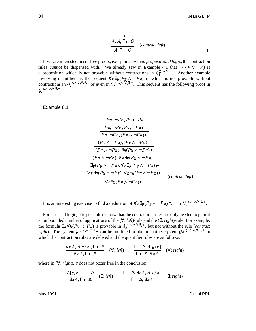$$
\Pi_1
$$
\n
$$
A, A, \Gamma \vdash C
$$
\n
$$
(contract: left)
$$
\n
$$
\Box
$$

If we are interested in cut-free proofs, except in *classical propositional logic*, the contraction rules *cannot* be dispensed with. We already saw in Example 4.1 that  $\neg\neg(P \lor \neg P)$  is a proposition which is not provable without contractions in  $\mathcal{G}_i^{(2),\wedge,\vee,-}$ . Another example involving quantifiers is the sequent  $\forall x \exists y (Py \land \neg Px)$  ⊢ which is not provable without contractions in  $\mathcal{G}_i^{(\lambda,\nu,\forall,\exists,-)}$  or even in  $\mathcal{G}_c^{(\lambda,\nu,\forall,\exists,-)}$ . This sequent has the following proof in  $\mathcal{G}_i^{\supset,\wedge,\vee,\forall,\exists,\neg}$  :

Example 8.1

$$
\frac{Pu, \neg Px, Pv \vdash Pu}{Pu, \neg Px, Pv, \neg Pu \vdash}
$$
\n
$$
\frac{Pu, \neg Px, Pv, \neg Pu \vdash}{Pu, \neg Px, (Pv \land \neg Pu) \vdash}
$$
\n
$$
\frac{(Pu \land \neg Px), (Pv \land \neg Pu) \vdash}{(Pu \land \neg Px), \exists y (Py \land \neg Pu) \vdash}
$$
\n
$$
\frac{(\neg Pu, \land \neg Px), \forall x \exists y (Py \land \neg Px) \vdash}{\exists y (Py \land \neg Px), \forall x \exists y (Py \land \neg Px) \vdash}
$$
\n
$$
\frac{\forall x \exists y (Py \land \neg Px), \forall x \exists y (Py \land \neg Px) \vdash}{\forall x \exists y (Py \land \neg Px) \vdash}
$$
\n
$$
\frac{\forall x \exists y (Py \land \neg Px) \vdash}{\forall x \exists y (Py \land \neg Px) \vdash}
$$
\n
$$
\frac{\forall x \exists y (Py \land \neg Px) \vdash}{\forall x \exists y (Py \land \neg Px) \vdash}
$$
\n
$$
\frac{\forall x \exists y (Py \land \neg Px) \vdash}{\forall x \exists y (Py \land \neg Px) \vdash}
$$
\n
$$
\frac{\forall x \exists y (Py \land \neg Px) \vdash}{\forall x \exists y (Py \land \neg Px) \vdash}
$$
\n
$$
\frac{\forall x \exists y (Py \land \neg Px) \vdash}{\forall x \exists y (Py \land \neg Px) \vdash}
$$
\n
$$
\frac{\forall x \exists y (Py \land \neg Px) \vdash}{\forall x \exists y (Py \land \neg Px) \vdash}
$$

It is an interesting exercise to find a deduction of  $\forall x \exists y (Py \land \neg Px) \supset \bot$  in  $\mathcal{N}_i^{(2), \land, \lor, \forall, \exists, \bot}$ .

For classical logic, it is possible to show that the contraction rules are only needed to permit an unbounded number of applications of the (∀: *left*)-rule and the (∃: *right*)-rule. For example, the formula  $\exists x \forall y (Py \supset Px)$  is provable in  $\mathcal{G}_c^{\supset , \wedge, \vee, \forall, \exists, \perp}$ , but not without the rule (*contrac*: *right*). The system  $\mathcal{G}_c^{\supset,\wedge,\vee,\forall,\exists,\perp}$  can be modified to obtain another system  $\mathcal{GK}_c^{\supset,\wedge,\vee,\forall,\exists,\perp}$  in which the contraction rules are deleted and the quantifier rules are as follows:

$$
\frac{\nabla x A, A[\tau/x], \Gamma \vdash \Delta}{\nabla x A, \Gamma \vdash \Delta} \quad (\forall: left) \qquad \frac{\Gamma \vdash \Delta, A[y/x]}{\Gamma \vdash \Delta, \forall x A} \quad (\forall: right)
$$

where in  $(\forall : \text{right})$ , y does not occur free in the conclusion;

$$
\frac{A[y/x], \Gamma \vdash \Delta}{\exists x A, \Gamma \vdash \Delta} \quad (\exists: left) \qquad \frac{\Gamma \vdash \Delta, \exists x A, A[\tau/x]}{\Gamma \vdash \Delta, \exists x A} \quad (\exists: right)
$$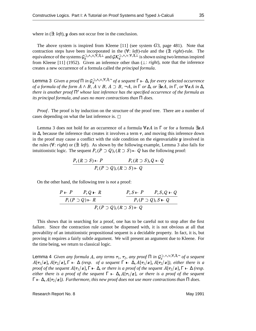where in  $(\exists: \text{ left})$ , y does not occur free in the conclusion.

The above system is inspired from Kleene  $[11]$  (see system  $G3$ , page 481). Note that contraction steps have been incorporated in the (∀: *left*)-rule and the (∃: *right*)-rule. The equivalence of the systems  $\mathcal{G}_c^{\supset,\wedge,\vee,\forall,\exists,\perp}$  and  $\mathcal{GK}_c^{\supset,\wedge,\vee,\forall,\exists,\perp}$  is shown using two lemmas inspired from Kleene [11] (1952). Given an inference other than  $(\perp$ : *right*), note that the inference creates a new occurrence of a formula called the *principal formula*.

Lemma 3 Given a proof  $\Pi$  in  $\mathcal{G}_{c}^{\supset,\wedge,\vee,\forall,\exists,\neg}$  of a sequent  $\Gamma \vdash \Delta$ , for every selected occurrence of a formula of the form  $A \wedge B$ ,  $A \vee B$ ,  $A \supset B$ ,  $\neg A$ , in  $\Gamma$  or  $\Delta$ , or  $\exists x A$ , in  $\Gamma$ , or  $\forall x A$  in  $\Delta$ , *there is another proof* Π *whose last inference has the specified occurrence of the formula as its principal formula, and uses no more contractions than* Π *does.*

*Proof*. The proof is by induction on the structure of the proof tree. There are a number of cases depending on what the last inference is.  $\square$ 

Lemma 3 does not hold for an occurrence of a formula  $\forall x A$  in  $\Gamma$  or for a formula  $\exists x A$ in  $\Delta$ , because the inference that creates it involves a term  $\tau$ , and moving this inference down in the proof may cause a conflict with the side condition on the eigenvariable  $y$  involved in the rules (∀: *right*) or (∃: *left*). As shown by the following example, Lemma 3 also fails for intuitionistic logic. The sequent  $P, (P \supset Q), (R \supset S) \vdash Q$  has the following proof: . . .

$$
\frac{P, (R \supset S) \vdash P}{P, (P \supset Q), (R \supset S) \vdash Q}
$$

On the other hand, the following tree is *not* a proof:

$$
\frac{P \vdash P \qquad P, Q \vdash R}{P, (P \supset Q) \vdash R} \qquad \qquad \frac{P, S \vdash P \qquad P, S, Q \vdash Q}{P, (P \supset Q), S \vdash Q}
$$
  

$$
P, (P \supset Q), (R \supset S) \vdash Q
$$

This shows that in searching for a proof, one has to be careful not to stop after the first failure. Since the contraction rule cannot be dispensed with, it is not obvious at all that provability of an intuitionistic propositional sequent is a decidable property. In fact, it is, but proving it requires a fairly subtle argument. We will present an argument due to Kleene. For the time being, we return to classical logic.

Lemma 4 *Given any formula A, any terms*  $\tau_1$ ,  $\tau_2$ , *any proof*  $\Pi$  *in*  $\mathcal{G}_c^{\supset \wedge, \vee, \forall, \exists, \neg}$  *of a sequent*  $A[\tau_1/x], A[\tau_2/x], \Gamma \vdash \Delta$  (resp. of a sequent  $\Gamma \vdash \Delta, A[\tau_1/x], A[\tau_2/x],$  either there is a  $p$ roof of the sequent  $A[\tau_1/x], \Gamma \vdash \Delta$ , or there is a proof of the sequent  $A[\tau_2/x], \Gamma \vdash \Delta$  (resp.  $\epsilon$  *either there is a proof of the sequent*  $\Gamma \vdash \Delta$ ,  $A[\tau_1/x]$ , *or there is a proof of the sequent*  $\Gamma$   $\vdash$   $\Delta$ ,  $A[\tau_2/\mathbf{x}]$ ). Furthermore, this new proof does not use more contractions than  $\Pi$  does.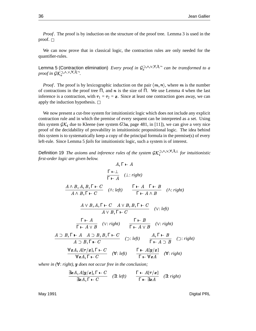*Proof*. The proof is by induction on the structure of the proof tree. Lemma 3 is used in the proof.  $\Box$ 

We can now prove that in classical logic, the contraction rules are only needed for the quantifier-rules.

Lemma 5 (Contraction elimination) *Every proof in*  $\mathcal{G}_c^{\supset \wedge,\vee,\forall,\exists,\neg}$  *can be transformed to a* proof in  $\mathcal{GK}_c^{(\lambda_1,\lambda_2,\forall,\exists,-)}$ .

*Proof*. The proof is by lexicographic induction on the pair  $\langle m, n \rangle$ , where m is the number of contractions in the proof tree  $\Pi$ , and  $n$  is the size of  $\Pi$ . We use Lemma 4 when the last inference is a contraction, with  $\tau_1 = \tau_2 = \mathbf{x}$ . Since at least one contraction goes away, we can apply the induction hypothesis.  $\Box$ 

We now present a cut-free system for intuitionistic logic which does not include any explicit contraction rule and in which the premise of every sequent can be interpreted as a set. Using this system  $\mathcal{GK}_i$  due to Kleene (see system  $G3a$ , page 481, in [11]), we can give a very nice proof of the decidability of provability in intuitionistic propositional logic. The idea behind this system is to systematically keep a copy of the principal formula in the premise(s) of every left-rule. Since Lemma 5 *fails* for intuitionistic logic, such a system is of interest.

Definition 19 *The axioms and inference rules of the system*  $\mathcal{GK}_i^{(1),(\vee,\forall,\exists,\bot)}$  *for intuitionistic first-order logic are given below.*

$$
A, \Gamma \vdash A
$$
\n
$$
\frac{\Gamma \vdash \bot}{\Gamma \vdash A} \quad (\bot: right)
$$
\n
$$
\frac{A \land B, A, B, \Gamma \vdash C}{A \land B, \Gamma \vdash C} \quad (\land: left) \quad \frac{\Gamma \vdash A \quad \Gamma \vdash B}{\Gamma \vdash A \land B} \quad (\land: right)
$$
\n
$$
\frac{A \lor B, A, \Gamma \vdash C \quad A \lor B, B, \Gamma \vdash C}{A \lor B, \Gamma \vdash C} \quad (\lor: left)
$$
\n
$$
\frac{\Gamma \vdash A}{\Gamma \vdash A \lor B} \quad (\lor: right) \quad \frac{\Gamma \vdash B}{\Gamma \vdash A \lor B} \quad (\lor: right)
$$
\n
$$
A \supset B, \Gamma \vdash A \quad A \supset B, B, \Gamma \vdash C \quad (\supset: left) \quad \frac{A, \Gamma \vdash B}{\Gamma \vdash A \supset B} \quad (\supset: right)
$$
\n
$$
\frac{\forall x A, A[\tau/x], \Gamma \vdash C}{\forall x A, \Gamma \vdash C} \quad (\forall: left) \quad \frac{\Gamma \vdash A[y/x]}{\Gamma \vdash \forall x A} \quad (\forall: right)
$$

 $\mathbf{w}$ *here* in ( $\forall$ : *right),*  $\mathbf{y}$  *does not occur free in the conclusion;* 

$$
\frac{\exists x A, A[y/x], \Gamma \vdash C}{\exists x A, \Gamma \vdash C} \quad (\exists: left) \qquad \frac{\Gamma \vdash A[\tau/x]}{\Gamma \vdash \exists x A} \quad (\exists: right)
$$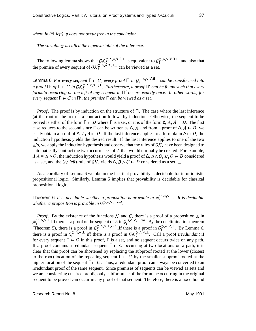$\mathbf{w}$ *here* in  $(\exists: \mathit{left}), \mathbf{y}$  does not occur free in the conclusion.

*The* variable **y** is called the eigenvariable of the inference.

The following lemma shows that  $\mathcal{GK}_i^{(1)}, \dots, (\forall i)$ ,  $\exists i$  is equivalent to  $\mathcal{G}_i^{(2)}, \dots, (\forall i)$ ,  $\exists i$ , and also that the premise of every sequent of  $\mathcal{GK}_i^{(\lambda,\vee,\vee,\exists,\perp)}$  can be viewed as a set.

Lemma 6 For every sequent  $\Gamma \vdash C$ , every proof  $\Pi$  in  $\mathcal{G}_i^{(\Sigma),(\Lambda,\vee,\forall,\exists,\bot)}$  can be transformed into  $a$  *proof*  $\Pi'$  *of*  $\Gamma$   $\vdash$   $C$  *in*  $\mathcal{GK}_i^{>(0,0),(\vee,\forall,\exists,\bot)}$ . Furthermore, a proof  $\Pi'$  can be found such that every *formula occurring on the left of any sequent in* Π *occurs exactly once. In other words, for every sequent*  $\Gamma \vdash C$  *in*  $\Pi'$ *, the premise*  $\Gamma$  *can be viewed as a set.* 

*Proof*. The proof is by induction on the structure of Π. The case where the last inference (at the root of the tree) is a contraction follows by induction. Otherwise, the sequent to be proved is either of the form  $\Gamma \vdash D$  where  $\Gamma$  is a set, or it is of the form  $\Delta$ ,  $A$ ,  $A \vdash D$ . The first case reduces to the second since  $\Gamma$  can be written as  $\Delta$ , A, and from a proof of  $\Delta$ ,  $A \vdash D$ , we easily obtain a proof of  $\Delta$ ,  $A$ ,  $A \vdash D$ . If the last inference applies to a formula in  $\Delta$  or D, the induction hypothesis yields the desired result. If the last inference applies to one of the two A's, we apply the induction hypothesis and observe that the rules of  $\mathcal{GK}_i$  have been designed to automatically contract the two occurrences of  $A$  that would normally be created. For example, if  $A = B \wedge C$ , the induction hypothesis would yield a proof of  $\Delta, B \wedge C, B, C \vdash D$  considered as a set, and the ( $\wedge$ : *left*)-rule of  $\mathcal{GK}_i$  yields  $\Delta, B \wedge C \vdash D$  considered as a set.

As a corollary of Lemma 6 we obtain the fact that provability is decidable for intuitionistic propositional logic. Similarly, Lemma 5 implies that provability is decidable for classical propositional logic.

Theorem 6 *It is decidable whether a proposition is provable in*  $\mathcal{N}_i^{(2), \wedge, \vee, \perp}$ . *It is decidable* whether a proposition is provable in  $\mathcal{G}_c^{(\lambda_1,\lambda_2,\pm,\mathbf{cut})}$ .

*Proof.* By the existence of the functions N and G, there is a proof of a proposition A in  $\mathcal{N}_i^{(3,0,1)}$  iff there is a proof of the sequent  $\vdash A$  in  $\mathcal{G}_i^{(3,0,1)}$ ,  $\vdash^{cut}$ . By the cut elimination theorem (Theorem 5), there is a proof in  $\mathcal{G}^{(1)}_{i}(\gamma, \gamma)$ ,  $\mathcal{L}^{cut}$  iff there is a proof in  $\mathcal{G}^{(1)}_{i}(\gamma, \gamma)$ , By Lemma 6, there is a proof in  $G_i^{(1)}$ ,  $\cdots$  iff there is a proof in  $\mathcal{GK}_i^{(1)}$ ,  $\cdots$ , Call a proof *irredundant* if for every sequent  $\Gamma \vdash C$  in this proof,  $\Gamma$  is a set, and no sequent occurs twice on any path. If a proof contains a redundant sequent  $\Gamma \vdash C$  occurring at two locations on a path, it is clear that this proof can be shortened by replacing the subproof rooted at the lower (closest to the root) location of the repeating sequent  $\Gamma \vdash C$  by the smaller subproof rooted at the higher location of the sequent  $\Gamma \vdash C$ . Thus, a redundant proof can always be converted to an irredundant proof of the same sequent. Since premises of sequents can be viewed as sets and we are considering cut-free proofs, only subformulae of the formulae occurring in the original sequent to be proved can occur in any proof of that sequent. Therefore, there is a fixed bound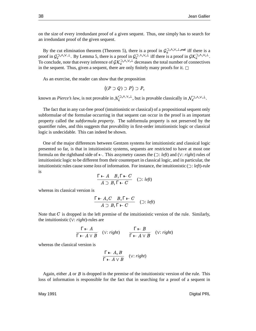on the size of every irredundant proof of a given sequent. Thus, one simply has to search for an irredundant proof of the given sequent.

By the cut elimination theorem (Theorem 5), there is a proof in  $\mathcal{G}_c^{\supset,\wedge,\vee,\perp,\text{cut}}$  iff there is a proof in  $\mathcal{G}_c^{\supset \wedge,\vee,\perp}$ . By Lemma 5, there is a proof in  $\mathcal{G}_c^{\supset \wedge,\vee,\perp}$  iff there is a proof in  $\mathcal{GK}_c^{\supset \wedge,\vee,\perp}$ . To conclude, note that every inference of  $\mathcal{GK}_{c}^{\supset,\wedge,\vee,\perp}$  decreases the total number of connectives in the sequent. Thus, given a sequent, there are only finitely many proofs for it.

As an exercise, the reader can show that the proposition

$$
((P \supset Q) \supset P) \supset P,
$$

known as *Pierce's law*, is not provable in  $\mathcal{N}_i^{(3),\wedge,\vee,\perp}$ , but is provable classically in  $\mathcal{N}_c^{(3),\wedge,\vee,\perp}$ .

The fact that in any cut-free proof (intuitionistic or classical) of a propositionalsequent only subformulae of the formulae occurring in that sequent can occur in the proof is an important property called the *subformula property*. The subformula property is not preserved by the quantifier rules, and this suggests that provability in first-order intuitionistic logic or classical logic is undecidable. This can indeed be shown.

One of the major differences between Gentzen systems for intuitionistic and classical logic presented so far, is that in intuitionistic systems, sequents are restricted to have at most one formula on the righthand side of  $\vdash$ . This assymetry causes the  $(\supset: left)$  and  $(\vee: right)$  rules of intuitionistic logic to be different from their counterpart in classical logic, and in particular, the intuitionistic rules cause some *loss* of information. For instance, the intuitionistic  $( \supset : \text{left})$ -rule is

$$
\frac{\Gamma \vdash A \quad B, \Gamma \vdash C}{A \supset B, \Gamma \vdash C} \quad (\supset: left)
$$

whereas its classical version is

$$
\frac{\Gamma \vdash A, C \quad B, \Gamma \vdash C}{A \supset B, \Gamma \vdash C} \quad (\supset: left)
$$

Note that  $C$  is dropped in the left premise of the intuitionistic version of the rule. Similarly, the intuitionistic ( : *right*)-rules are

$$
\frac{\Gamma \vdash A}{\Gamma \vdash A \lor B} \quad (\lor: \text{right}) \qquad \frac{\Gamma \vdash B}{\Gamma \vdash A \lor B} \quad (\lor: \text{right})
$$

whereas the classical version is

$$
\frac{\Gamma \vdash A, B}{\Gamma \vdash A \lor B} \quad (\lor: right)
$$

Again, either  $A$  or  $B$  is dropped in the premise of the intuitionistic version of the rule. This loss of information is responsible for the fact that in searching for a proof of a sequent in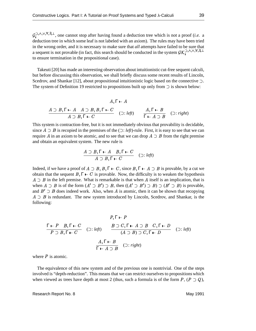$\mathcal{G}_i^{(\Sigma,\wedge,\vee,\forall,\exists,\bot)}$ , one cannot stop after having found a deduction tree which is not a proof (*i.e.* a deduction tree in which some leaf is not labeled with an axiom). The rules may have been tried in the wrong order, and it is necessary to make sure that *all* attempts have failed to be sure that a sequent is not provable (in fact, this search should be conducted in the system  $\mathcal{GK}_i^{(3),(\vee,\vee,\exists,\perp)}$ to ensure termination in the propositional case).

Takeuti [20] has made an interesting observation about intuitionistic cut-free sequent calculi, but before discussing this observation, we shall briefly discuss some recent results of Lincoln, Scedrov, and Shankar [12], about propositional intuitionistic logic based on the connective ⊃. The system of Definition 19 restricted to propositions built up only from  $\supset$  is shown below:

$$
A, \Gamma \vdash A
$$
\n
$$
A \supset B, \Gamma \vdash A \quad A \supset B, B, \Gamma \vdash C
$$
\n
$$
\overline{A \supset B, \Gamma \vdash C}
$$
\n
$$
\overline{C} : left
$$
\n
$$
\overline{C \vdash A \supset B} \quad (\supset: right)
$$

This system is contraction-free, but it is not immediately obvious that provability is decidable, since  $A \supset B$  is recopied in the premises of the  $(\supset: left)$ -rule. First, it is easy to see that we can require A in an axiom to be atomic, and to see that we can drop  $A \supset B$  from the right premise and obtain an equivalent system. The new rule is

$$
\frac{A \supset B, \Gamma \vdash A \quad B, \Gamma \vdash C}{A \supset B, \Gamma \vdash C} \quad (\supset: left)
$$

Indeed, if we have a proof of  $A \supset B$ ,  $B, \Gamma \vdash C$ , since  $B, \Gamma \vdash A \supset B$  is provable, by a cut we obtain that the sequent  $B, \Gamma \vdash C$  is provable. Now, the difficulty is to weaken the hypothesis  $A \supset B$  in the left premise. What is remarkable is that when A itself is an implication, that is when  $A \supset B$  is of the form  $(A' \supset B') \supset B$ , then ((.)  $\mathcal{B}'$ )  $\supset$  *B*, then  $((A' \supset B') \supset B) \supset (B')$  $'$ )  $\supset$   $(B' \supset B)$  is provable, and  $B' \supset B$  does indeed work. Also, when A is atomic, then it can be shown that recopying  $A \supseteq B$  is redundant. The new system introduced by Lincoln, Scedrov, and Shankar, is the following:

$$
P, \Gamma \vdash P
$$
\n
$$
\frac{\Gamma \vdash P \quad B, \Gamma \vdash C}{P \supset B, \Gamma \vdash C}
$$
\n
$$
\frac{B \supset C, \Gamma \vdash A \supset B \quad C, \Gamma \vdash D}{(A \supset B) \supset C, \Gamma \vdash D}
$$
\n
$$
\frac{A, \Gamma \vdash B}{\Gamma \vdash A \supset B}
$$
\n
$$
\frac{(\supset : \text{right})}{\Gamma \vdash A \supset B}
$$

where  $P$  is atomic.

The equivalence of this new system and of the previous one is nontrivial. One of the steps involved is "depth-reduction". This means that we can restrict ourselves to propositions which when viewed as trees have depth at most 2 (thus, such a formula is of the form  $P$ ,  $(P \supset Q)$ ,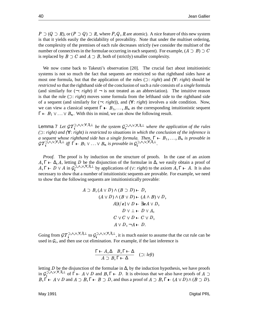$P \supset (Q \supset R)$ , or  $(P \supset Q) \supset R$ , where  $P, Q, R$  are atomic). A nice feature of this new system is that it yields easily the decidability of provability. Note that under the multiset ordering, the complexity of the premises of each rule decreases strictly (we consider the multiset of the number of connectives in the formulae occurring in each sequent). For example,  $(A \supset B) \supset C$ is replaced by  $B \supset C$  and  $A \supset B$ , both of (strictly) smaller complexity.

We now come back to Takeuti's observation [20]. The crucial fact about intuitionistic systems is not so much the fact that sequents are restricted so that righthand sides have at most one formula, but that the application of the rules ( : *right*) and (∀: *right*) should be *restricted* so that the righthand side of the conclusion of such a rule consists of a *single* formula (and similarly for  $(\neg$ : *right*) if  $\neg$  is not treated as an abbreviation). The intuitive reason is that the rule  $($ ): *right*) moves some formula from the lefthand side to the righthand side of a sequent (and similarly for  $(\neg: right)$ ), and  $(\forall: right)$  involves a side condition. Now, we can view a classical sequent  $\Gamma \vdash B_1, \ldots, B_n$  as the corresponding intuitionistic sequent  $\Gamma \vdash B_1 \lor \dots \lor B_n$ . With this in mind, we can show the following result.

Lemma 7 Let  $\mathcal{GT}_i^{(\lambda_1, \lambda_2, \nu_3, \beta)}$  be the system  $\mathcal{G}_c^{(\lambda_1, \lambda_2, \nu_3, \beta)}$  where the application of the rules *(* : *right) and (*∀: *right) is restricted to situations in which the conclusion of the inference is a sequent whose righthand side has a single formula. Then,* Γ <sup>1</sup> . . . *is provable in*  $\mathcal{GT}_i^{\supseteq, \wedge, \vee, \forall, \exists, \bot}$  iff  $\Gamma \vdash B_1 \vee \ldots \vee B_n$  is provable in  $\mathcal{G}_i^{\supset, \wedge, \vee, \forall, \exists, \bot}$ .

*Proof.* The proof is by induction on the structure of proofs. In the case of an axiom  $A, \Gamma \vdash \Delta, A$ , letting D be the disjunction of the formulae in  $\Delta$ , we easily obtain a proof of -  $\Gamma \vdash D \lor A$  in  $\mathcal{G}_i^{\supseteq, \land, \lor, \forall, \exists, \bot}$  by applications of  $(\lor: \mathit{right})$  to the axiom  $A, \Gamma \vdash A$ . It is a  $,\Gamma$  – A. It is also necessary to show that a number of intuitionistic sequents are provable. For example, we need to show that the following sequents are intuitionistically provable:

$$
A \supset B, (A \vee D) \wedge (B \supset D) \vdash D,
$$
  
\n
$$
(A \vee D) \wedge (B \vee D) \vdash (A \wedge B) \vee D,
$$
  
\n
$$
A[t/x] \vee D \vdash \exists x A \vee D,
$$
  
\n
$$
D \vee \bot \vdash D \vee A,
$$
  
\n
$$
C \vee C \vee D \vdash C \vee D,
$$
  
\n
$$
A \vee D, \neg A \vdash D.
$$

Going from  $\mathcal{GI}_i^{(\lambda,\vee,\forall,\exists,\perp)}$  to  $\mathcal{GI}_i^{(\lambda,\vee,\forall,\exists,\perp)}$ , it is much easier to assume that the cut rule can be used in  $\mathcal{G}_i$ , and then use cut elimination. For example, if the last inference is

$$
\frac{\Gamma \vdash A, \Delta \quad B, \Gamma \vdash \Delta}{A \supset B, \Gamma \vdash \Delta} \quad (\supset: left)
$$

letting D be the disjunction of the formulae in  $\Delta$ , by the induction hypothesis, we have proofs in  $\mathcal{G}_i^{[0,1],\vee,\vee,[0,1],\perp}$  of  $\Gamma \vdash A \vee D$  and  $B,\Gamma \vdash D$ . It is obvious that we also have proofs of  $A \supset$  $B, \Gamma \vdash A \lor D$  and  $A \supset B, \Gamma \vdash B \supset D$ , and thus a proof of  $A \supset B, \Gamma \vdash (A \lor D) \land (B \supset D)$ .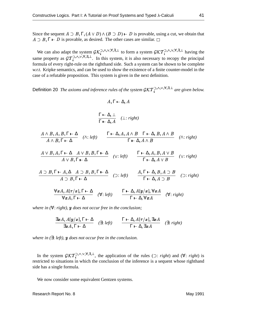Since the sequent  $A \supset B, \Gamma, (A \vee D) \wedge (B \supset D) \vdash D$  is provable, using a cut, we obtain that  $A \supset B, \Gamma \vdash D$  is provable, as desired. The other cases are similar. 

We can also adapt the system  $\mathcal{GK}_i^{(\Sigma,\wedge,\vee,\forall,\exists,\bot)}$  to form a system  $\mathcal{G}_i$  $T^{\supset,\wedge,\vee,\forall,\exists,\perp}_{i}$  having the same property as  $\mathcal{GT}_i^{\supset,\wedge,\vee,\forall,\exists,\perp}$ . In this system, it is also necessary to recopy the principal formula of every right-rule on the righthand side. Such a system can be shown to be complete *w.r.t.* Kripke semantics, and can be used to show the existence of a finite counter-model in the case of a refutable proposition. This system is given in the next definition.

Definition 20 *The axioms and inference rules of the system*  $\mathcal{GKT}_i^{(\lambda,\nu,\forall,\exists,\bot)}$  are given below.

$$
A, \Gamma \vdash \Delta, A
$$

$$
\frac{\Gamma \vdash \Delta, \perp}{\Gamma \vdash \Delta, A} \quad (\perp: right)
$$

$$
\frac{A \land B, A, B, \Gamma \vdash \Delta}{A \land B, \Gamma \vdash \Delta} \quad (\land: left) \qquad \frac{\Gamma \vdash \Delta, A, A \land B \quad \Gamma \vdash \Delta, B, A \land B}{\Gamma \vdash \Delta, A \land B} \quad (\land: right)
$$

$$
\frac{A \lor B, A, \Gamma \vdash \Delta \quad A \lor B, B, \Gamma \vdash \Delta}{A \lor B, \Gamma \vdash \Delta} \quad (\lor: left) \qquad \frac{\Gamma \vdash \Delta, A, B, A \lor B}{\Gamma \vdash \Delta, A \lor B} \quad (\lor: right)
$$

$$
\frac{A \supset B, \Gamma \vdash A, \Delta \quad A \supset B, B, \Gamma \vdash \Delta}{A \supset B, \Gamma \vdash \Delta} \quad (\supset: left) \qquad \frac{A, \Gamma \vdash \Delta, B, A \supset B}{\Gamma \vdash \Delta, A \supset B} \quad (\supset: right)
$$

$$
\frac{\nabla x A, A[\tau/x], \Gamma \vdash \Delta}{\nabla x A, \Gamma \vdash \Delta} \quad (\forall : \text{left}) \qquad \frac{\Gamma \vdash \Delta, A[y/x], \forall x A}{\Gamma \vdash \Delta, \forall x A} \quad (\forall : \text{right})
$$

 $\mathbf{w}$ *Mere* in  $(\forall : \text{right})$ ,  $\mathbf{y}$  *does not occur free in the conclusion;* 

$$
\frac{\exists x A, A[y/x], \Gamma \vdash \Delta}{\exists x A, \Gamma \vdash \Delta} \quad (\exists: left) \qquad \frac{\Gamma \vdash \Delta, A[\tau/x], \exists x A}{\Gamma \vdash \Delta, \exists x A} \quad (\exists: right)
$$

 $\mathbf{w}$ *here in* ( $\exists$ : *left*),  $\mathbf{y}$  *does not occur free in the conclusion.* 

In the system  $\mathcal{G}_i$  $\mathcal{T}_{i}^{\supset \{N, V, \forall, \exists, \bot\}}$ , the application of the rules ( $\supset : \text{right}$ ) and ( $\forall : \text{right}$ ) is restricted to situations in which the conclusion of the inference is a sequent whose righthand side has a single formula.

We now consider some equivalent Gentzen systems.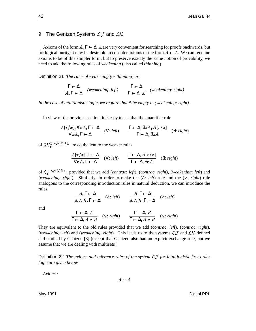### 9 The Gentzen Systems  $\mathcal{L}\mathcal{J}$  and  $\mathcal{LK}$

Axioms of the form  $A, \Gamma \vdash \Delta$ , A are very convenient for searching for proofs backwards, but for logical purity, it may be desirable to consider axioms of the form  $A \vdash A$ . We can redefine axioms to be of this simpler form, but to preserve exactly the same notion of provability, we need to add the following rules of *weakening* (also called *thinning*).

Definition 21 *The rules of weakening (or thinning) are*

$$
\frac{\Gamma \vdash \Delta}{A, \Gamma \vdash \Delta}
$$
 (weakening: left) 
$$
\frac{\Gamma \vdash \Delta}{\Gamma \vdash \Delta, A}
$$
 (weakening: right)

*In the case of intuitionistic logic, we require that* ∆ *be empty in (weakening*: *right).*

In view of the previous section, it is easy to see that the quantifier rule

$$
\frac{A[\tau/x], \forall x A, \Gamma \vdash \Delta}{\forall x A, \Gamma \vdash \Delta} \quad (\forall : \text{left}) \qquad \frac{\Gamma \vdash \Delta, \exists x A, A[\tau/x]}{\Gamma \vdash \Delta, \exists x A} \quad (\exists : \text{right})
$$

of  $\mathcal{GK}_{c}^{0,\wedge,\vee,\vee,\exists,\perp}$  are equivalent to the weaker rules

$$
\frac{A[\tau/x], \Gamma \vdash \Delta}{\forall x A, \Gamma \vdash \Delta} \quad (\forall: left) \qquad \frac{\Gamma \vdash \Delta, A[\tau/x]}{\Gamma \vdash \Delta, \exists x A} \quad (\exists: right)
$$

of  $\mathcal{G}_c^{(1)}$ ,  $\wedge$ ,  $\vee$ ,  $\exists$ ,  $\bot$ , provided that we add (*contrac*: *left*), (*contrac*: *right*), (*weakening*: *left*) and (*weakening: right*). Similarly, in order to make the  $(\wedge: \text{ left})$  rule and the  $(\vee: \text{ right})$  rule analogous to the corresponding introduction rules in natural deduction, we can introduce the rules

$$
\frac{A, \Gamma \vdash \Delta}{A \land B, \Gamma \vdash \Delta} \quad (\wedge: \text{left}) \qquad \frac{B, \Gamma \vdash \Delta}{A \land B, \Gamma \vdash \Delta} \quad (\wedge: \text{left})
$$

and

$$
\frac{\Gamma \vdash \Delta, A}{\Gamma \vdash \Delta, A \lor B} \quad (\lor: \text{right}) \qquad \frac{\Gamma \vdash \Delta, B}{\Gamma \vdash \Delta, A \lor B} \quad (\lor: \text{right})
$$

They are equivalent to the old rules provided that we add (*contrac*: *left*), (*contrac*: *right*), (*weakening: left*) and (*weakening: right*). This leads us to the systems  $\mathcal{L}\mathcal{J}$  and  $\mathcal{L}\mathcal{K}$  defined and studied by Gentzen [3] (except that Gentzen also had an explicit exchange rule, but we assume that we are dealing with multisets).

Definition 22 *The axioms and inference rules of the system for intuitionistic first-order logic are given below.*

*Axioms:*

 $A - A$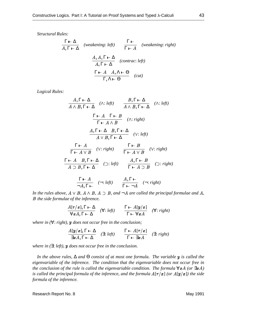*Structural Rules:*

$$
\frac{\Gamma \vdash \Delta}{A, \Gamma \vdash \Delta} \quad (\text{weakening: left}) \qquad \frac{\Gamma \vdash}{\Gamma \vdash A} \quad (\text{weakening: right})
$$
\n
$$
\frac{A, A, \Gamma \vdash \Delta}{A, \Gamma \vdash \Delta} \quad (\text{contract: left})
$$
\n
$$
\frac{\Gamma \vdash A \quad A, \Lambda \vdash \Theta}{\Gamma, \Lambda \vdash \Theta} \quad (\text{cut})
$$

*Logical Rules:*

$$
\frac{A, \Gamma \vdash \Delta}{A \land B, \Gamma \vdash \Delta} \quad (\land: left) \quad \frac{B, \Gamma \vdash \Delta}{A \land B, \Gamma \vdash \Delta} \quad (\land: left)
$$
\n
$$
\frac{\Gamma \vdash A \quad \Gamma \vdash B}{\Gamma \vdash A \land B} \quad (\land: right)
$$
\n
$$
\frac{A, \Gamma \vdash \Delta \quad B, \Gamma \vdash \Delta}{A \lor B, \Gamma \vdash \Delta} \quad (\lor: left)
$$
\n
$$
\frac{\Gamma \vdash A}{\Gamma \vdash A \lor B} \quad (\lor: right) \quad \frac{\Gamma \vdash B}{\Gamma \vdash A \lor B} \quad (\lor: right)
$$
\n
$$
\frac{\Gamma \vdash A}{A \supset B, \Gamma \vdash \Delta} \quad (\supset: left) \quad \frac{A, \Gamma \vdash B}{\Gamma \vdash A \supset B} \quad (\supset: right)
$$

$$
\frac{\Gamma \vdash A}{\neg A, \Gamma \vdash} \quad (\neg: left) \qquad \frac{A, \Gamma \vdash}{\Gamma \vdash \neg A} \quad (\neg: right)
$$

In the rules above,  $A \vee B$ ,  $A \wedge B$ ,  $A \supset B$ , and  $\neg A$  are called the principal formulae and A, *the side formulae of the inference.*

$$
\frac{A[\tau/x], \Gamma \vdash \Delta}{\forall x A, \Gamma \vdash \Delta} \quad (\forall : \text{left}) \qquad \frac{\Gamma \vdash A[y/x]}{\Gamma \vdash \forall x A} \quad (\forall : \text{right})
$$

 $\mathbf{w}$ *here* in ( $\forall$ : *right),*  $\mathbf{y}$  *does not occur free* in *the conclusion*;

$$
\frac{A[y/x], \Gamma \vdash \Delta}{\exists x A, \Gamma \vdash \Delta} \quad (\exists: left) \qquad \frac{\Gamma \vdash A[\tau/x]}{\Gamma \vdash \exists x A} \quad (\exists: right)
$$

 $\mathbf{w}$ *here in* ( $\exists$ : *left*),  $\mathbf{y}$  *does not occur free in the conclusion.* 

*In the above rules,* ∆ *and*  $\Theta$  *consist of at most one formula. The variable* **y** *is called the eigenvariable of the inference. The condition that the eigenvariable does not occur free in the conclusion of the rule is called the eigenvariable condition. The formula*  $\forall x A$  (or  $\exists x A$ ) is called the principal formula of the inference, and the formula  $A[\tau/x]$  (or  $A[y/x]$ ) the side ]*) the side formula of the inference.*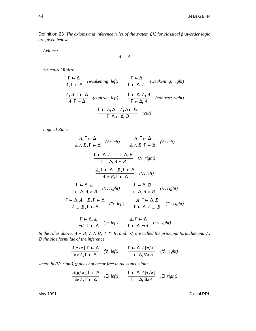Definition 23 *The axioms and inference rules of the system for classical first-order logic are given below.*

*Axioms:*

$$
A \vdash A
$$

*Structural Rules:*

$$
\frac{\Gamma \vdash \Delta}{A, \Gamma \vdash \Delta} \quad (\text{weakening: left}) \qquad \frac{\Gamma \vdash \Delta}{\Gamma \vdash \Delta, A} \quad (\text{weakening: right})
$$
\n
$$
\frac{A, A, \Gamma \vdash \Delta}{A, \Gamma \vdash \Delta} \quad (\text{contract: left}) \qquad \frac{\Gamma \vdash \Delta, A, A}{\Gamma \vdash \Delta, A} \quad (\text{contract: right})
$$
\n
$$
\frac{\Gamma \vdash A, \Delta \quad A, \Lambda \vdash \Theta}{\Gamma, \Lambda \vdash \Delta, \Theta} \quad (\text{cut})
$$

*Logical Rules:*

$$
\frac{A, \Gamma \vdash \Delta}{A \land B, \Gamma \vdash \Delta} \quad (\land: left) \quad \frac{B, \Gamma \vdash \Delta}{A \land B, \Gamma \vdash \Delta} \quad (\land: left)
$$
\n
$$
\frac{\Gamma \vdash \Delta, A \quad \Gamma \vdash \Delta, B}{\Gamma \vdash \Delta, A \land B} \quad (\land: right)
$$
\n
$$
\frac{A, \Gamma \vdash \Delta \quad B, \Gamma \vdash \Delta}{A \lor B, \Gamma \vdash \Delta} \quad (\lor: left)
$$
\n
$$
\frac{\Gamma \vdash \Delta, A}{\Gamma \vdash \Delta, A \lor B} \quad (\lor: right) \quad \frac{\Gamma \vdash \Delta, B}{\Gamma \vdash \Delta, A \lor B} \quad (\lor: right)
$$
\n
$$
\frac{\Gamma \vdash \Delta, A \quad B, \Gamma \vdash \Delta}{A \supset B, \Gamma \vdash \Delta} \quad (\supset: left) \quad \frac{A, \Gamma \vdash \Delta, B}{\Gamma \vdash \Delta, A \supset B} \quad (\supset: right)
$$
\n
$$
\frac{\Gamma \vdash \Delta, A \quad B, \Gamma \vdash \Delta}{\neg A, \Gamma \vdash \Delta} \quad (\supset: left) \quad \frac{A, \Gamma \vdash \Delta}{\Gamma \vdash \Delta, \neg A} \quad (\supset: right)
$$

*In the rules above,*  $A \vee B$ ,  $A \wedge B$ ,  $A \supset B$ , and  $\neg A$  are called the principal formulae and A, *the side formulae of the inference.*

$$
\frac{A[\tau/x], \Gamma \vdash \Delta}{\forall x A, \Gamma \vdash \Delta} \quad (\forall; left) \qquad \frac{\Gamma \vdash \Delta, A[y/x]}{\Gamma \vdash \Delta, \forall x A} \quad (\forall; right)
$$

 $\forall$  *does not occur free in the conclusion;* 

$$
\frac{A[y/x], \Gamma \vdash \Delta}{\exists x A, \Gamma \vdash \Delta} \quad (\exists: left) \qquad \frac{\Gamma \vdash \Delta, A[\tau/x]}{\Gamma \vdash \Delta, \exists x A} \quad (\exists: right)
$$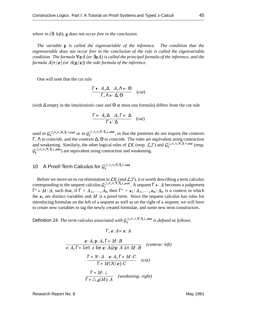$\mathbf{w}$ *here* in  $(\exists: \mathit{left}), \mathbf{y}$  does not occur free in the conclusion.

*The* variable **y** is called the eigenvariable of the inference. The condition that the *eigenvariable does not occur free in the conclusion of the rule is called the eigenvariable*  $i$  *condition. The formula*  $\forall x A$  (or  $\exists x A$ ) is called the principal formula of the inference, and the formula  $A[\tau/x]$  (or  $A[y/x]$ ) the side formula of the inference.

One will note that the cut rule

$$
\frac{\Gamma \vdash A, \Delta \quad A, \Lambda \vdash \Theta}{\Gamma, \Lambda \vdash \Delta, \Theta} \quad (cut)
$$

(with ∆ empty in the intuitionistic case and Θ at most one formula) differs from the cut rule

$$
\frac{\Gamma \vdash A, \Delta \quad A, \Gamma \vdash \Delta}{\Gamma \vdash \Delta} \quad (cut)
$$

used in  $\mathcal{G}_c^{-,\wedge,\vee,\forall,\exists,\neg,cut}$  or in  $\mathcal{G}_i^{-,\wedge,\vee,\forall,\exists,\perp,cut}$ , in that the premises do not require the contexts Γ, Λ to coincide, and the contexts ∆, Θ to coincide. The rules are equivalent using contraction and weakening. Similarly, the other logical rules of  $LK$  (resp.  $LJ$ ) and  $\mathcal{G}_c^{(3,0,1)}$ ,  $\forall$ ,  $\exists$ ,  $\neg$ ,  $\alpha u$  (resp.  $\mathcal{G}_i^{(\Sigma,\wedge,\vee,\forall,\exists,\perp,cut})$  are equivalent using contraction and weakening.

# 10 A Proof-Term Calculus for  $\mathcal{G}_i^{(\gamma,\wedge,\vee,\forall,\exists,\perp,cut)}$

Before we move on to cut elimination in  $\mathcal{LK}$  (and  $\mathcal{LJ}$ ), it is worth describing a term calculus corresponding to the sequent calculus  $\mathcal{G}_i^{(\lambda_1,\lambda_2,\lambda_3,\lambda_4)}$ . A sequent  $\Gamma \vdash A$  becomes a judgement  $\Gamma^* \triangleright M: A$ , such that, if  $\Gamma = A_1, \ldots, A_n$  then  $\Gamma^* = x_1: A_1, \ldots, x_n: A_n$  is a context in which the  $x_i$  are distinct variables and M is a proof term. Since the sequent calculus has rules for introducing formulae on the left of a sequent as well as on the right of a sequent, we will have to create new variables to tag the newly created formulae, and some new term constructors.

Definition 24 *The term calculus associated with*  $\mathcal{G}_i^{(2), \wedge, \vee, \forall, \exists, \bot, cut}$  *is defined as follows.* 

$$
\Gamma,\textbf{\textit{x}}\colon A\triangleright\textbf{\textit{x}}\colon A
$$

$$
x: A, y: A, \Gamma \triangleright M: B
$$
  
\n
$$
z: A, \Gamma \triangleright \text{let } z \text{ be } x: A @ y: A \text{ in } M: B
$$
 (contrac: left)  
\n
$$
\frac{\Gamma \triangleright N: A \quad x: A, \Gamma \triangleright M: C}{\Gamma \triangleright M[N/x]: C}
$$
 (cut)  
\n
$$
\frac{\Gamma \triangleright M: \bot}{\Gamma \triangleright \Delta_A(M): A}
$$
 (weakening: right)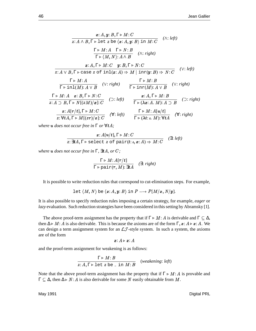$$
x: A, y: B, \Gamma \triangleright M: C
$$
  
\n
$$
\overline{z: A \land B, \Gamma \triangleright \text{let } z \text{ be } \langle x: A, y: B \rangle \text{ in } M: C}
$$
 ( $\land$ : left)  
\n
$$
\frac{\Gamma \triangleright M: A \quad \Gamma \triangleright N: B}{\Gamma \triangleright \langle M, N \rangle: A \land B}
$$
 ( $\land$ : right)  
\n
$$
x: A, \Gamma \triangleright M: C \quad y: B, \Gamma \triangleright N: C
$$
  
\n
$$
\overline{z: A \lor B, \Gamma \triangleright \text{case } z \text{ of } \text{inl}(x: A) \Rightarrow M \mid \text{inr}(y: B) \Rightarrow N: C}
$$
 ( $\lor$ : left)  
\n
$$
\frac{\Gamma \triangleright M: A}{\Gamma \triangleright \text{inl}(M): A \lor B}
$$
 ( $\lor$ : right)  
\n
$$
\frac{\Gamma \triangleright M: A}{\Gamma \triangleright \text{inl}(M): A \lor B}
$$
 ( $\lor$ : right)  
\n
$$
\frac{\Gamma \triangleright M: A}{\Gamma \triangleright \text{inl}(M): A \lor B}
$$
 ( $\lor$ : left)  
\n
$$
\frac{x: A, \Gamma \triangleright M: B}{\Gamma \triangleright (\lambda x: A, M): A \supset B}
$$
 ( $\supset$ : right)  
\n
$$
\frac{x: A[\tau/t], \Gamma \triangleright M: C}{\overline{z: \forall t A, \Gamma \triangleright M[(z\tau)/x]: C}}
$$
 ( $\forall$ : left)  
\n
$$
\frac{\Gamma \triangleright M: A[u/t]}{\Gamma \triangleright (\lambda t: \iota M): \forall t A}
$$
 ( $\forall$ : right)

where **u** does not occur free in  $\Gamma$  or  $\forall t A$ ;

$$
x: A[u/t], \Gamma \triangleright M:C
$$
  

$$
z: \exists t A, \Gamma \triangleright \text{select } z \text{ of pair}(t; \iota, x; A) \Rightarrow M:C
$$
 ( \exists: left)

where  $\bm{u}$  does not occur free in  $\Gamma$ ,  $\exists \bm{t} A$ , or  $C$ ;

$$
\frac{\Gamma \triangleright M \colon A[\tau/t]}{\Gamma \triangleright \text{pair}(\tau, M) \colon \exists t A} \quad (\exists \colon \text{right})
$$

It is possible to write reduction rules that correspond to cut-elimination steps. For example,

$$
\mathtt{let}\ \langle\, M,N\rangle\ \mathtt{be}\ \langle\, x;A,y;B\rangle\ \mathtt{in}\ P\longrightarrow P[M/\pmb{x},N/\pmb{y}].
$$

It is also possible to specify reduction rules imposing a certain strategy, for example, *eager* or *lazy* evaluation. Such reduction strategies have been considered in this setting by Abramsky [1].

The above proof-term assignment has the property that if  $\Gamma \triangleright M$ : A is derivable and  $\Gamma \subseteq \Delta$ , then  $\Delta \triangleright M$ : A is also derivable. This is because the axioms are of the form  $\Gamma$ ,  $x: A \triangleright x: A$ . We can design a term assignment system for an  $\mathcal{L}\mathcal{J}$ -style system. In such a system, the axioms are of the form

$$
\boldsymbol{x}\colon A\triangleright \boldsymbol{x}\colon A
$$

and the proof-term assignment for weakening is as follows:

$$
\frac{\Gamma \triangleright M : B}{z: A, \Gamma \triangleright \text{let } z \text{ be } \text{in } M : B} \quad \text{(weakening: left)}
$$

Note that the above proof-term assignment has the property that if  $\Gamma \triangleright M$ : A is provable and  $\Gamma \subseteq \Delta$ , then  $\Delta \triangleright N$ : A is also derivable for some N easily obtainable from M.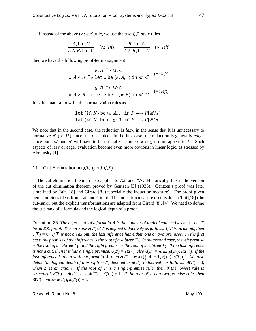If instead of the above ( $\wedge$ : *left*) rule, we use the two  $\mathcal{L}\mathcal{J}$ -style rules

$$
\frac{A, \Gamma \vdash C}{A \land B, \Gamma \vdash C} \quad (\land: left) \qquad \frac{B, \Gamma \vdash C}{A \land B, \Gamma \vdash C} \quad (\land: left)
$$

then we have the following proof-term assignment:

$$
x: A, \Gamma \triangleright M: C
$$
  
 
$$
z: A \wedge B, \Gamma \triangleright \text{let } z \text{ be } \langle x: A, \_ \rangle \text{ in } M: C \quad (\wedge: \text{ left})
$$

$$
y: B, \Gamma \triangleright M: C
$$
  
z:  $A \wedge B, \Gamma \triangleright \text{let } z \text{ be } \langle , y: B \rangle \text{ in } M: C$  ( $\wedge$ : *left*)

It is then natural to write the normalization rules as

$$
\begin{aligned} & \text{let } \langle M, N \rangle \text{ be } \langle \pmb{x} : A, \_ \rangle \text{ in } P \longrightarrow P[M/\pmb{x}], \\ & \text{let } \langle M, N \rangle \text{ be } \langle \_, \pmb{y} : B \rangle \text{ in } P \longrightarrow P[N/\pmb{y}]. \end{aligned}
$$

We note that in the second case, the reduction is *lazy*, in the sense that it is unnecessary to normalize N (or M) since it is discarded. In the first case, the reduction is generally *eager* since both M and N will have to be normalized, unless x or y do not appear in P. Such aspects of lazy or eager evaluation become even more obvious in linear logic, as stressed by Abramsky [1].

### 11 Cut Elimination in  $LK$  (and  $\mathcal{LJ}$ )

The cut elimination theorem also applies to  $\mathcal{LK}$  and  $\mathcal{LJ}$ . Historically, this is the version of the cut elimination theorem proved by Gentzen [3] (1935). Gentzen's proof was later simplified by Tait [18] and Girard [8] (especially the induction measure). The proof given here combines ideas from Tait and Girard. The induction measure used is due to Tait [18] (the cut-rank), but the explicit transformations are adapted from Girard [8], [4]. We need to define the cut-rank of a formula and the logical depth of a proof.

Definition 25 The degree  $|A|$  of a formula A is the number of logical connectives in A. Let T be an  $\mathcal{LK}\text{-}proof.$  The  $cut\text{-}rank\ \textbf{c}(T)$  of  $T$  is defined inductively as follows. If  $T$  is an axiom, then ( ) = 0*. If is not an axiom, the last inference has either one or two premises. In the first* case, the premise of that inference is the root of a subtree  $T_1. \,$  In the second case, the left premise is the root of a subtree  $T_1$ , and the right premise is the root of a subtree  $T_2.$  If the last inference *is* not a cut, then if it has a single premise,  $c(T) = c(T_1)$ , else  $c(T) = max(c(T_1), c(T_2))$ . If the *last inference is a cut with cut formula A, then*  $c(T) = max({|A| + 1, c(T_1), c(T_2)}).$  *We also define* the logical depth of a proof tree T, denoted as  $d(T)$ , inductively as follows:  $d(T) = 0$ , *when is an axiom. If the root of is a single-premise rule, then if the lowest rule is* structural,  $d(T) = d(T_1)$ , else  $d(T) = d(T_1) + 1$ . If the root of T is a two-premise rule, then  $\boldsymbol{d}(T) = \boldsymbol{max}(\boldsymbol{d}(T_1),\boldsymbol{d}(T_2)) + 1.$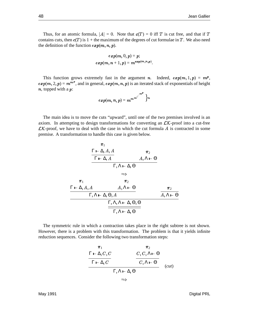Thus, for an atomic formula,  $|A| = 0$ . Note that  $c(T) = 0$  iff T is cut free, and that if T contains cuts, then  $c(T)$  is  $1 +$  the maximum of the degrees of cut formulae in T. We also need the definition of the function  $exp(m, n, p)$ .

$$
exp(m,0,p)=p;\\exp(m,n+1,p)=m^{exp(m,n,p)}.
$$

This function grows extremely fast in the argument *n*. Indeed,  $exp(m, 1, p) = m^p$ ,  $exp(m, 2, p) = m^{m^{p}}$ , and in general,  $exp(m, n, p)$  is an iterated stack of exponentials of height  $n$ , topped with a  $p$ :

$$
exp(m,n,p)=m^{m^m}\sum^{m^p}\Big\}n
$$

The main idea is to move the cuts "upward", until one of the two premises involved is an axiom. In attempting to design transformations for converting an  $\mathcal{LK}$ -proof into a cut-free  $\mathcal{LK}$ -proof, we have to deal with the case in which the cut formula A is contracted in some premise. A transformation to handle this case is given below.

|                                            | $\pi_1$                      |                                                          |                            |                            |  |
|--------------------------------------------|------------------------------|----------------------------------------------------------|----------------------------|----------------------------|--|
|                                            | $\Gamma \vdash \Delta, A, A$ |                                                          | $\pi_2$                    |                            |  |
|                                            | $\Gamma \vdash \Delta, A$    |                                                          | $A, \Lambda \vdash \Theta$ |                            |  |
| $\Gamma, \Lambda \vdash \Delta, \Theta$    |                              |                                                          |                            |                            |  |
|                                            |                              | $\Rightarrow$                                            |                            |                            |  |
| $\pi_1$                                    |                              | $\pi_2$                                                  |                            |                            |  |
| $\Gamma \vdash \Delta, A, A$               |                              | $A, \Lambda \vdash \Theta$                               |                            | $\pi_2$                    |  |
| $\Gamma, \Lambda \vdash \Delta, \Theta, A$ |                              |                                                          |                            | $A, \Lambda \vdash \Theta$ |  |
|                                            |                              | $\Gamma, \Lambda, \Lambda \vdash \Delta, \Theta, \Theta$ |                            |                            |  |
|                                            |                              | $\Gamma, \Lambda \vdash \Delta, \Theta$                  |                            |                            |  |

The symmetric rule in which a contraction takes place in the right subtree is not shown. However, there is a problem with this transformation. The problem is that it yields infinite reduction sequences. Consider the following two transformation steps:

$$
\frac{\Gamma \vdash \Delta, C, C}{\Gamma \vdash \Delta, C} \qquad \qquad \frac{C, C, \Lambda \vdash \Theta}{C, \Lambda \vdash \Theta}
$$
\n
$$
\frac{\Gamma \vdash \Delta, C}{\Gamma, \Lambda \vdash \Delta, \Theta} \qquad (cut)
$$
\n
$$
\Rightarrow
$$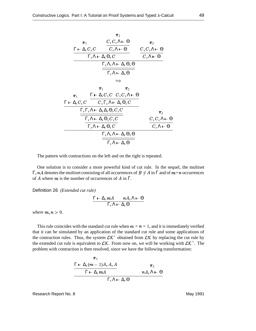$$
\frac{\pi_1}{\Gamma \vdash \Delta, C, C} \quad \frac{C, C, \Lambda \vdash \Theta}{C, \Lambda \vdash \Theta} \quad \frac{\pi_2}{C, \Lambda \vdash \Theta}
$$
\n
$$
\frac{\Gamma, \Lambda \vdash \Delta, \Theta, C}{\Gamma, \Lambda \vdash \Delta, \Theta, C} \quad \frac{C, C, \Lambda \vdash \Theta}{C, \Lambda \vdash \Theta}
$$
\n
$$
\frac{\Gamma, \Lambda, \Lambda \vdash \Delta, \Theta, \Theta}{\Gamma, \Lambda \vdash \Delta, \Theta}
$$
\n
$$
\Rightarrow
$$
\n
$$
\pi_1 \quad \pi_2
$$
\n
$$
\frac{\pi_1}{\Gamma \vdash \Delta, C, C} \quad \frac{\Gamma \vdash \Delta, C, C \quad C, C, \Lambda \vdash \Theta}{C, \Gamma, \Lambda \vdash \Delta, \Theta, C}
$$
\n
$$
\frac{\Gamma, \Gamma, \Lambda \vdash \Delta, \Delta, \Theta, C, C}{\Gamma, \Lambda \vdash \Delta, \Theta, C, C} \quad \frac{\pi_2}{\Gamma, \Lambda \vdash \Delta, \Theta, C}
$$
\n
$$
\frac{\Gamma, \Lambda \vdash \Delta, \Theta, C}{\Gamma, \Lambda \vdash \Delta, \Theta, \Theta} \quad \frac{C, C, \Lambda \vdash \Theta}{C, \Lambda \vdash \Theta}
$$

The pattern with contractions on the left and on the right is repeated.

One solution is to consider a more powerful kind of cut rule. In the sequel, the multiset Γ, *nA* denotes the multiset consisting of all occurrences of  $B \neq A$  in Γ and of  $m+n$  occurrences of A where  $m$  is the number of occurrences of A in  $\Gamma$ .

Definition 26 *(Extended cut rule)*

$$
\frac{\Gamma \vdash \Delta, mA \qquad nA, \Lambda \vdash \Theta}{\Gamma, \Lambda \vdash \Delta, \Theta}
$$

where  $m, n > 0$ .

This rule coincides with the standard cut rule when  $m = n = 1$ , and it is immediately verified that it can be simulated by an application of the standard cut rule and some applications of the contraction rules. Thus, the system  $\mathcal{LK}^+$  obtained from  $\mathcal{LK}$  by replacing the cut rule by the extended cut rule is equivalent to  $\mathcal{LK}$ . From now on, we will be working with  $\mathcal{LK}^+$ . The problem with contraction is then resolved, since we have the following transformation:

$$
\frac{\Gamma \vdash \Delta, (m-1)A, A, A}{\Gamma \vdash \Delta, mA} \qquad \qquad \pi_2
$$
\n
$$
\frac{\Gamma \vdash \Delta, mA}{\Gamma, \Lambda \vdash \Delta, \Theta}
$$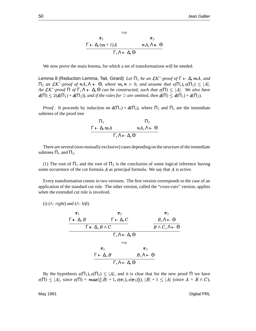$$
\Rightarrow \qquad \pi_1
$$
\n
$$
\Gamma \vdash \Delta, (m+1)A \qquad \qquad nA, \Delta \vdash \Theta
$$
\n
$$
\Gamma, \Delta \vdash \Delta, \Theta
$$

We now prove the main lemma, for which a set of transformations will be needed.

Lemma 8 (Reduction Lemma, Tait, Girard) *Let*  $\Pi_1$  *be an*  $\mathcal{LK}^+$ *-proof of*  $\Gamma \vdash \Delta, mA$ , and  $\Pi_2$  *an*  $\mathcal{LK}^+$ -proof of  $nA, \Lambda \vdash \Theta$ , when  $A \vdash \Theta$ , where  $m, n > 0$ , and assume that  $c(\Pi_1), c(\Pi_2) \leq |A|$ . the contract of the contract of the contract of the contract of the contract of the contract of *An*  $\mathcal{LK}^+$ -proof  $\Pi$  of  $\Gamma$ ,  $\Lambda \vdash \Delta$ ,  $\Theta$  can be constructed, such that  $c(\Pi) \leq |A|$ . We als - *. We also have*  $d(\Pi) \leq 2(d(\Pi_1) + d(\Pi_2))$ , and if the rules for  $\supset$  are omitted, then  $d(\Pi) \leq d(\Pi_1) + d(\Pi_2)$ .

*Proof*. It proceeds by induction on  $d(\Pi_1) + d(\Pi_2)$ , where  $\Pi_1$  and  $\Pi_2$  are the immediate subtrees of the proof tree

$$
\frac{\Pi_1 \qquad \qquad \Pi_2}{\Gamma \vdash \Delta, mA \qquad \qquad nA, \Delta \vdash \Theta}
$$
\n
$$
\Gamma, \Delta \vdash \Delta, \Theta
$$

There are several (non-mutually exclusive) cases depending on the structure of the immediate subtrees  $\Pi_1$  and  $\Pi_2$ .

(1) The root of  $\Pi_1$  and the root of  $\Pi_2$  is the conclusion of some logical inference having some occurrence of the cut formula  $A$  as principal formula. We say that  $A$  is *active*.

Every transformation comes in two versions. The first version corresponds to the case of an application of the standard cut rule. The other version, called the "cross-cuts" version, applies when the extended cut rule is involved.

(i) (
$$
\wedge
$$
: *right*) and ( $\wedge$ : *left*)

| $\pi_1$                                 | $\pi_2$                                 |                            | $\pi_3$                             |  |  |
|-----------------------------------------|-----------------------------------------|----------------------------|-------------------------------------|--|--|
| $\Gamma \vdash \Delta, B$               | $\Gamma \vdash \Delta, C$               |                            | $B, \Lambda \vdash \Theta$          |  |  |
| $\Gamma \vdash \Delta, B \wedge C$      |                                         |                            | $B \wedge C, \Lambda \vdash \Theta$ |  |  |
| $\Gamma, \Lambda \vdash \Delta, \Theta$ |                                         |                            |                                     |  |  |
|                                         | $\Rightarrow$                           |                            |                                     |  |  |
|                                         | $\pi_1$                                 | $\pi_3$                    |                                     |  |  |
|                                         | $\Gamma \vdash \Delta, B$               | $B, \Lambda \vdash \Theta$ |                                     |  |  |
|                                         | $\Gamma, \Lambda \vdash \Delta, \Theta$ |                            |                                     |  |  |

By the hypothesis  $c(\Pi_1)$ ,  $c(\Pi_2) \leq |A|$ , and it  $|A|$ , and it is clear that for the new proof  $\Pi$  we have  $c(\Pi) \leq |A|$ , since c  $|A|$ , since  $c(\Pi) = max({ |B| + 1, c(\pi_1), c(\pi_3)}), |B| + 1 \leq |A|$  (since A |A| (since  $A = B \wedge C$ ),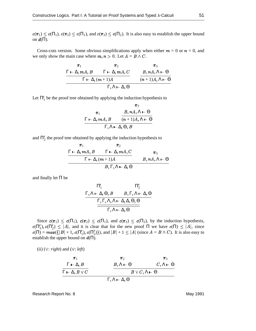$c(\pi_1) \leq c(\Pi_1), c(\pi_2) \leq c(\Pi_1)$ , and  $c(\pi_3) \leq c(\Pi_2)$ . It is also easy to establish the upper bound on  $d(\Pi)$ .

Cross-cuts version. Some obvious simplifications apply when either  $m = 0$  or  $n = 0$ , and we only show the main case where  $m, n > 0$ . Let  $A = B \wedge C$ .

| $\pi_1$ | $\pi$                                                       | $\pi_3$                         |
|---------|-------------------------------------------------------------|---------------------------------|
|         | $\Gamma \vdash \Delta, mA, B$ $\Gamma \vdash \Delta, mA, C$ | $B, nA, \Lambda \vdash \Theta$  |
|         | $\Gamma$ – $\Delta$ , $(m+1)A$                              | $(n+1)A, \Lambda \vdash \Theta$ |
|         | $\Gamma, \Lambda \vdash \Delta, \Theta$                     |                                 |

Let  $\Pi_1'$  be the proof tree obtained by applying the induction hypothesis to

$$
\begin{array}{c}\n\pi_3 \\
\pi_1 \\
\Gamma \vdash \Delta, mA, B \\
\hline\n\Gamma, \Lambda \vdash \Delta, \Theta, B\n\end{array}
$$

and  $\Pi_2'$  the proof tree obtained by applying the induction hypothesis to

$$
\frac{\Gamma \vdash \Delta, mA, B \qquad \Gamma \vdash \Delta, mA, C}{\Gamma \vdash \Delta, (m+1)A} \qquad \qquad \pi_3
$$
\n
$$
B, nA, \Lambda \vdash \Theta
$$

and finally let Π be

$$
\frac{\Pi'_1 \qquad \Pi'_2}{\Gamma, \Lambda \vdash \Delta, \Theta, B \qquad B, \Gamma, \Lambda \vdash \Delta, \Theta}
$$
\n
$$
\frac{\Gamma, \Gamma, \Lambda, \Lambda \vdash \Delta, \Delta, \Theta, \Theta}{\Gamma, \Lambda \vdash \Delta, \Theta}
$$

Since  $c(\pi_1) \leq c(\Pi_1)$ ,  $c(\pi_2) \leq c(\Pi_1)$ , and  $c(\pi_3) \leq c(\Pi_2)$ , by the induction hypothesis,  $c(\Pi'_1), c(\Pi'_2) \leq |A|$ , and it  $|A|$ , and it is clear that for the new proof  $\Pi$  we have  $c(\Pi) \leq |A|$ , since  $c(\Pi) = \max(\{|B| + 1, c(\Pi_1'), c(\Pi_2')\})$ , and  $|B| + 1 \leq |A|$  (since A |A| (since  $A = B \wedge C$ ). It is also easy to establish the upper bound on  $d(\Pi)$ .

(ii) (
$$
\vee
$$
: *right*) and ( $\vee$ : *left*)  
\n
$$
\begin{array}{c}\n\pi_1 & \pi_2 & \pi_3 \\
\Gamma \vdash \Delta, B & \Delta \vdash \Theta & C, \Delta \vdash \Theta \\
\hline\n\Gamma \vdash \Delta, B \vee C & \overline{\Gamma, \Delta \vdash \Delta, \Theta}\n\end{array}
$$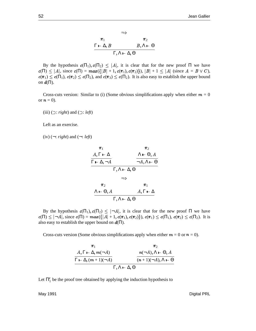$$
\Rightarrow
$$
\n
$$
\pi_1 \qquad \pi_2
$$
\n
$$
\Gamma \vdash \Delta, B \qquad \qquad B, \Lambda \vdash \Theta
$$
\n
$$
\Gamma, \Lambda \vdash \Delta, \Theta
$$

By the hypothesis  $c(\Pi_1)$ ,  $c(\Pi_2) \leq |A|$ , it is c  $|A|$ , it is clear that for the new proof  $\Pi$  we have  $c(\Pi) \leq |A|$ , since c  $|A|$ , since  $c(\Pi) = max({ |B| + 1, c(\pi_1), c(\pi_2)}), |B| + 1 \leq |A|$  (since A |A| (since  $A = B \vee C$ ),  $c(\pi_1) \leq c(\Pi_1), c(\pi_2) \leq c(\Pi_2)$ , and  $c(\pi_3) \leq c(\Pi_2)$ . It is also easy to establish the upper bound on  $d(\Pi)$ .

Cross-cuts version: Similar to (i) (Some obvious simplifications apply when either  $m = 0$ or  $n = 0$ ).

(iii)  $\bigcirc$ : *right*) and  $\bigcirc$ : *left*)

Left as an exercise.

 $(iv)$  ( $\neg$ : *right*) and ( $\neg$ : *left*)

$$
\begin{array}{c}\n\pi_1 & \pi_2 \\
\hline\nA, \Gamma \vdash \Delta & \Delta \vdash \Theta, A \\
\hline\n\Gamma \vdash \Delta, \neg A & \neg A, \Delta \vdash \Theta \\
\hline\n\Gamma, \Delta \vdash \Delta, \Theta & \\
\hline\n\pi_2 & \pi_1 \\
\Delta \vdash \Theta, A & A, \Gamma \vdash \Delta \\
\Gamma, \Delta \vdash \Delta, \Theta\n\end{array}
$$

By the hypothesis  $c(\Pi_1)$ ,  $c(\Pi_2) \leq |\neg A|$ , it is  $|\neg A|$ , it is clear that for the new proof  $\Pi$  we have  $c(\Pi) \leq |\neg A|$ , since  $|\neg A|$ , since  $c(\Pi) = max({ |A| + 1, c(\pi_1), c(\pi_2)}), c(\pi_1) \leq c(\Pi_1), c(\pi_2) \leq c(\Pi_2)$ . It is also easy to establish the upper bound on  $d(\Pi)$ .

Cross-cuts version (Some obvious simplifications apply when either  $m = 0$  or  $n = 0$ ).

$$
\begin{array}{c}\n\pi_1 & \pi_2 \\
\hline\nA, \Gamma \vdash \Delta, m(\neg A) & n(\neg A), \Lambda \vdash \Theta, A \\
\hline\n\Gamma \vdash \Delta, (m+1)(\neg A) & (n+1)(\neg A), \Lambda \vdash \Theta \\
\hline\n\Gamma, \Lambda \vdash \Delta, \Theta\n\end{array}
$$

Let  $\Pi_1'$  be the proof tree obtained by applying the induction hypothesis to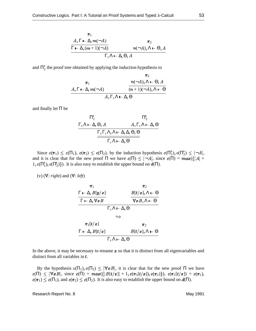$$
\frac{\pi_1}{\Gamma \vdash \Delta, m(\neg A)} \qquad \qquad \pi_2
$$
\n
$$
\frac{\Gamma \vdash \Delta, (m+1)(\neg A)}{\Gamma, \Delta \vdash \Delta, \Theta, A} \qquad n(\neg A), \Delta \vdash \Theta, A
$$

and  $\Pi_2'$  the proof tree obtained by applying the induction hypothesis to

$$
\pi_1
$$
\n
$$
A, \Gamma \vdash \Delta, m(\neg A)
$$
\n
$$
A, \Gamma, \Lambda \vdash \Delta, \Theta
$$
\n
$$
A, \Gamma, \Lambda \vdash \Delta, \Theta
$$

and finally let Π be

$$
\frac{\Pi'_1 \qquad \qquad \Pi'_2}{\Gamma, \Lambda \vdash \Delta, \Theta, A \qquad \qquad A, \Gamma, \Lambda \vdash \Delta, \Theta}
$$
\n
$$
\frac{\Gamma, \Gamma, \Lambda, \Lambda \vdash \Delta, \Delta, \Theta, \Theta}{\Gamma, \Lambda \vdash \Delta, \Theta}
$$

Since  $c(\pi_1) \leq c(\Pi_1)$ ,  $c(\pi_2) \leq c(\Pi_2)$ , by the induction hypothesis  $c(\Pi'_1)$ ,  $c(\Pi'_2) \leq |\neg A|$ , and the contract of the contract of the contract of the contract of the contract of the contract of the contract of the contract of the contract of the contract of the contract of the contract of the contract of the contra and it is clear that for the new proof  $\Pi$  we have  $c(\Pi) \leq |\neg A|$ , since  $|\neg A|$ , since  $c(\Pi) = max({|A| + \dots}$  $1, c(\Pi'_1), c(\Pi'_2)$ . It is also easy to establish the upper bound on  $d(\Pi)$ .

(v) (∀: *right*) and (∀: *left*)

$$
\frac{\tau_1}{\Gamma \vdash \Delta, B[y/x]} \qquad \qquad \frac{B[t/x], \Delta \vdash \Theta}{\forall x B, \Delta \vdash \Theta}
$$
\n
$$
\overrightarrow{\Gamma \vdash \Delta, \forall x B} \qquad \qquad \overrightarrow{\forall x B, \Delta \vdash \Theta}
$$
\n
$$
\Rightarrow
$$
\n
$$
\pi_1[t/x] \qquad \qquad \pi_2
$$
\n
$$
\frac{\Gamma \vdash \Delta, B[t/x]}{\Gamma, \Delta \vdash \Delta, \Theta}
$$

In the above, it may be necessary to rename  $x$  so that it is distinct from all eigenvariables and distinct from all variables in *t*.

By the hypothesis  $c(\Pi_1)$ ,  $c(\Pi_2) \leq |\forall xB|$ , it is  $|\forall x B|$ , it is clear that for the new proof  $\Pi$  we have  $c(\Pi) \, \leq \, |\forall x B|, \, \, \sin$  $|\forall x B|$ , since  $c(\Pi) = max({\{|B[t/x]| + 1, c(\pi_1[t/x]), c(\pi_2)\}\rangle}, c(\pi_1[t/x]) = c(\pi_1),$  $c(\pi_1) \leq c(\Pi_1)$ , and  $c(\pi_2) \leq c(\Pi_2)$ . It is also easy to establish the upper bound on  $d(\Pi)$ .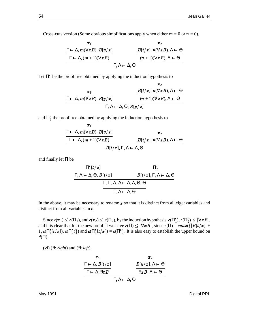the contract of the contract of the contract of the contract of the contract of the contract of the contract of

Cross-cuts version (Some obvious simplifications apply when either  $m = 0$  or  $n = 0$ ).

$$
\frac{\pi_1}{\Gamma \vdash \Delta, m(\forall xB), B[y/x]} \qquad \qquad \frac{B[t/x], n(\forall xB), \Delta \vdash \Theta}{(n+1)(\forall xB), \Delta \vdash \Theta}
$$
\n
$$
\frac{\Gamma \vdash \Delta, (m+1)(\forall xB)}{\Gamma, \Delta \vdash \Delta, \Theta}
$$

Let  $\Pi_1'$  be the proof tree obtained by applying the induction hypothesis to

$$
\frac{\pi_1}{\Gamma\vdash \Delta, m(\forall xB), B[y/x]} \qquad \frac{B[t/x], n(\forall xB), \Delta\vdash \Theta}{(n+1)(\forall xB), \Delta\vdash \Theta}
$$
\n
$$
\Gamma, \Delta\vdash \Delta, \Theta, B[y/x]
$$

and  $\Pi_2'$  the proof tree obtained by applying the induction hypothesis to

 $\sim$  . The contract of the contract of the contract of the contract of the contract of the contract of the contract of the contract of the contract of the contract of the contract of the contract of the contract of the co

$$
\frac{\Gamma \vdash \Delta, m(\forall xB), B[y/x]}{\Gamma \vdash \Delta, (m+1)(\forall xB)} \qquad \qquad \pi_2
$$
\n
$$
\frac{B[t/x], n(\forall xB), \Delta \vdash \Theta}{B[t/x], \Gamma, \Delta \vdash \Delta, \Theta}
$$

and finally let Π be

$$
\frac{\Pi'_{1}[t/x]}{\Gamma, \Lambda \vdash \Delta, \Theta, B[t/x]} \qquad B[t/x], \Gamma, \Lambda \vdash \Delta, \Theta
$$
\n
$$
\frac{\Gamma, \Gamma, \Lambda, \Lambda \vdash \Delta, \Delta, \Theta, \Theta}{\Gamma, \Lambda \vdash \Delta, \Theta}
$$

In the above, it may be necessary to rename  $x$  so that it is distinct from all eigenvariables and distinct from all variables in *t*.

Since  $c(\pi_1) \leq c(\Pi_1)$ , and  $c(\pi_2) \leq c(\Pi_2)$ , by the induction hypothesis,  $c(\Pi'_1)$ ,  $c(\Pi'_2) \leq |\forall x B|$ , and it is clear that for the new proof  $\Pi$  we have  $c(\Pi) \leq |\forall x B|$ , since  $|\forall x B|$ , since  $c(\Pi) = max({\{|B[t/x]| + \{f \in A\}|^2})$  $1, c(\Pi'_1[t/x]), c(\Pi'_2)\}\$  and  $c(\Pi'_1[t/x]) = c(\Pi'_1)$ . It is also easy to establish the upper bound on  $d(\Pi).$ 

(vi) (∃: *right*) and (∃: *left*)

$$
\frac{\Gamma \vdash \Delta, B[t/x]}{\Gamma \vdash \Delta, \exists x B}
$$
\n
$$
\frac{B[y/x], \Lambda \vdash \Theta}{\exists x B, \Lambda \vdash \Theta}
$$
\n
$$
\Gamma, \Lambda \vdash \Delta, \Theta
$$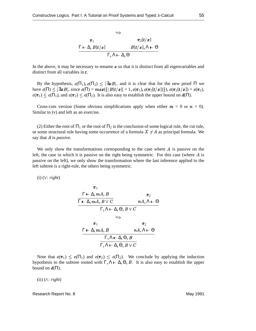$$
\Rightarrow
$$
\n
$$
\pi_1 \qquad \pi_2[t/x]
$$
\n
$$
\Gamma \vdash \Delta, B[t/x] \qquad B[t/x], \Lambda \vdash \Theta
$$
\n
$$
\Gamma, \Lambda \vdash \Delta, \Theta
$$

In the above, it may be necessary to rename  $x$  so that it is distinct from all eigenvariables and distinct from all variables in *t*.

By the hypothesis,  $c(\Pi_1)$ ,  $c(\Pi_2) \leq |\exists x B|$ , and  $|\exists x B|$ , and it is clear that for the new proof  $\Pi$  we have  $c(\Pi) \leq |\exists x B|$ , since  $|\exists x B|, \text{ since } c(\Pi) = max(\{|B[t/x]| + 1, c(\pi_1), c(\pi_2[t/x])\}), c(\pi_2[t/x]) = c(\pi_2),$  $c(\pi_1) \leq c(\Pi_1)$ , and  $c(\pi_2) \leq c(\Pi_2)$ . It is also easy to establish the upper bound on  $d(\Pi)$ .

Cross-cuts version (Some obvious simplifications apply when either  $m = 0$  or  $n = 0$ ). Similar to (v) and left as an exercise.

(2) Either the root of  $\Pi_1$  or the root of  $\Pi_2$  is the conclusion of some logical rule, the cut rule, or some structural rule having some occurrence of a formula  $X \neq A$  as principal formula. We say that A is *passive*.

We only show the transformations corresponding to the case where  $A$  is passive on the left, the case in which it is passive on the right being symmetric. For this case (where  $A$  is passive on the left), we only show the transformation where the last inference applied to the left subtree is a right-rule, the others being symmetric.

(i) ( : *right*)

$$
\pi_1
$$
\n
$$
\Gamma \vdash \Delta, mA, B
$$
\n
$$
\Gamma \vdash \Delta, mA, B \lor C
$$
\n
$$
\Gamma, \Lambda \vdash \Delta, \Theta, B \lor C
$$
\n
$$
\Rightarrow
$$
\n
$$
\pi_1
$$
\n
$$
\Gamma \vdash \Delta, mA, B
$$
\n
$$
\Gamma \vdash \Delta, mA, B
$$
\n
$$
\Gamma, \Lambda \vdash \Delta, \Theta, B \lor C
$$
\n
$$
\Gamma, \Lambda \vdash \Delta, \Theta, B \lor C
$$

Note that  $c(\pi_1) \leq c(\Pi_1)$  and  $c(\pi_2) \leq c(\Pi_2)$ . We conclude by applying the induction hypothesis to the subtree rooted with  $\Gamma, \Lambda \vdash \Delta, \Theta, B$ . It is also easy to establish the upper bound on  $d(\Pi)$ .

(ii) ( : *right*)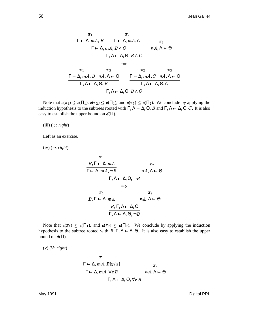$$
\frac{\Gamma \vdash \Delta, mA, B \quad \Gamma \vdash \Delta, mA, C \quad \pi_3}{\Gamma \vdash \Delta, mA, B \land C} \quad nA, \Lambda \vdash \Theta
$$
\n
$$
\longrightarrow
$$
\n
$$
\pi_1 \quad \pi_3 \quad \pi_2 \quad nA, \Lambda \vdash \Theta
$$
\n
$$
\longrightarrow
$$
\n
$$
\frac{\Gamma \vdash \Delta, mA, B \quad nA, \Lambda \vdash \Theta}{\Gamma, \Lambda \vdash \Delta, \Theta, B} \quad \frac{\Gamma \vdash \Delta, mA, C \quad nA, \Lambda \vdash \Theta}{\Gamma, \Lambda \vdash \Delta, \Theta, C}
$$

Note that  $c(\pi_1) \leq c(\Pi_1)$ ,  $c(\pi_2) \leq c(\Pi_1)$ , and  $c(\pi_3) \leq c(\Pi_2)$ . We conclude by applying the induction hypothesis to the subtrees rooted with  $\Gamma, \Lambda \vdash \Delta, \Theta, B$  and  $\Gamma, \Lambda \vdash \Delta, \Theta, C$ . It is also easy to establish the upper bound on  $d(\Pi)$ .

 $(iii)$   $($   $\supset$ : *right* $)$ 

Left as an exercise.

 $(iv)$  ( $\neg: right)$ 

$$
\pi_1
$$
\n
$$
B, \Gamma \vdash \Delta, mA
$$
\n
$$
\pi_2
$$
\n
$$
\Gamma \vdash \Delta, mA, \neg B
$$
\n
$$
\Gamma, \Lambda \vdash \Delta, \Theta, \neg B
$$
\n
$$
\Rightarrow
$$
\n
$$
\pi_1
$$
\n
$$
B, \Gamma \vdash \Delta, mA
$$
\n
$$
nA, \Lambda \vdash \Theta
$$
\n
$$
B, \Gamma, \Lambda \vdash \Delta, \Theta
$$
\n
$$
\Gamma, \Lambda \vdash \Delta, \Theta, \neg B
$$

Note that  $c(\pi_1) \leq c(\Pi_1)$ , and  $c(\pi_2) \leq c(\Pi_2)$ . We conclude by applying the induction hypothesis to the subtree rooted with  $B, \Gamma, \Lambda \vdash \Delta, \Theta$ . It is also easy to establish the upper bound on  $d(\Pi)$ .

(v) (∀: *right*)

$$
\frac{\pi_1}{\Gamma \vdash \Delta, mA, B[y/x]} \qquad \pi_2
$$
\n
$$
\frac{\Gamma \vdash \Delta, mA, \forall xB} {\Gamma, \Delta \vdash \Delta, \Theta, \forall xB} \qquad nA, \Delta \vdash \Theta
$$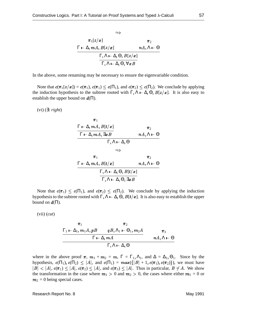$$
\Rightarrow
$$
\n
$$
\pi_1[z/x] \qquad \pi_2
$$
\n
$$
\Gamma \vdash \Delta, mA, B[z/x] \qquad nA, \Lambda \vdash \Theta
$$
\n
$$
\frac{\Gamma, \Lambda \vdash \Delta, \Theta, B[z/x]}{\Gamma, \Lambda \vdash \Delta, \Theta, \forall x B}
$$

In the above, some renaming may be necessary to ensure the eigenvariable condition.

Note that  $c(\pi_1[z/x]) = c(\pi_1), c(\pi_1) \leq c(\Pi_1)$ , and  $c(\pi_2) \leq c(\Pi_2)$ . We conclude by applying the induction hypothesis to the subtree rooted with  $\Gamma, \Lambda \vdash \Delta, \Theta, B[z/x]$ . It is also easy to establish the upper bound on  $d(\Pi)$ .

$$
(vi) (\exists: right)
$$

$$
\frac{\tau_1}{\Gamma \vdash \Delta, mA, B[t/x]} \qquad \pi_2
$$
\n
$$
\frac{\Gamma \vdash \Delta, mA, \exists x B \qquad \qquad nA, \Delta \vdash \Theta}{\Gamma, \Delta \vdash \Delta, \Theta}
$$
\n
$$
\Rightarrow
$$
\n
$$
\frac{\tau_1}{\Gamma \vdash \Delta, mA, B[t/x]} \qquad \qquad nA, \Delta \vdash \Theta
$$
\n
$$
\frac{\Gamma \vdash \Delta, nA, B[t/x]}{\Gamma, \Delta \vdash \Delta, \Theta, B[t/x]}
$$

Note that  $c(\pi_1) \leq c(\Pi_1)$ , and  $c(\pi_2) \leq c(\Pi_2)$ . We conclude by applying the induction hypothesis to the subtree rooted with  $\Gamma, \Lambda \vdash \Delta, \Theta, B[t/x]$ . It is also easy to establish the upper bound on  $d(\Pi)$ .

(vii) (*cut*)

$$
\frac{\Gamma_1 \vdash \Delta_1, m_1 A, p B \qquad q B, \Delta_1 \vdash \Theta_1, m_2 A}{\Gamma \vdash \Delta, m A \qquad n A, \Delta \vdash \Theta}
$$
\n
$$
\frac{\pi_2}{\Gamma \vdash \Delta, m A \qquad n A, \Delta \vdash \Theta}
$$

where in the above proof  $\pi$ ,  $m_1 + m_2 = m$ ,  $\Gamma = \Gamma_1, \Lambda_1$ , and  $\Delta = \Delta_1, \Theta_1$ . Since by the hypothesis,  $c(\Pi_1)$ ,  $c(\Pi_2) \leq |A|$ , and  $c($ |A|, and  $c(\Pi_1) = max({\{|B| + 1, c(\pi_1), c(\pi_2)}\})$ , we must have \_\_\_\_\_\_\_\_\_\_\_\_\_  $\cdots$   $|A|, \, c(\pi_1) \leq |A|, \, c(\pi_2) \leq$  $|A|, c(\pi_2) \leq |A|,$  and  $c(\pi)$  $|A|$ , and  $c(\pi_3) \leq |A|$ . Thus in |A|. Thus in particular,  $B \neq A$ . We show the transformation in the case where  $m_1 > 0$  and  $m_2 > 0$ , the cases where either  $m_1 = 0$  or  $m_2 = 0$  being special cases.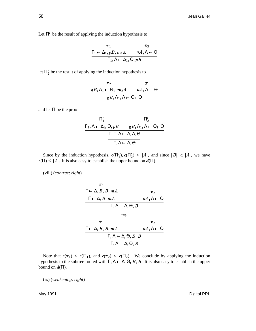Let  $\Pi_1'$  be the result of applying the induction hypothesis to

$$
\frac{\pi_1}{\Gamma_1 \vdash \Delta_1, pB, m_1A} \qquad nA, \Lambda \vdash \Theta
$$
  

$$
\Gamma_1, \Lambda \vdash \Delta_1, \Theta, pB
$$

let  $\Pi_2'$  be the result of applying the induction hypothesis to

$$
\begin{array}{cc}\n\pi_2 & \pi_3 \\
qB, \Lambda_1 \vdash \Theta_1, m_2A & nA, \Lambda \vdash \Theta \\
qB, \Lambda_1, \Lambda \vdash \Theta_1, \Theta\n\end{array}
$$

and let Π be the proof

$$
\frac{\Pi'_1 \qquad \Pi'_2}{\Gamma_1, \Lambda \vdash \Delta_1, \Theta, pB \qquad qB, \Lambda_1, \Lambda \vdash \Theta_1, \Theta}
$$
\n
$$
\frac{\Gamma, \Gamma, \Lambda \vdash \Delta, \Delta, \Theta}{\Gamma, \Lambda \vdash \Delta, \Theta}
$$

Since by the induction hypothesis,  $c(\Pi'_1)$ ,  $c(\Pi'_2) \leq |A|$ , and sin |A|, and since  $|B| < |A|$ , we h  $|A|$ , we have  $c(\Pi) \leq |A|$ . It is als |A|. It is also easy to establish the upper bound on  $d(\Pi)$ .

(viii) (*contrac*: *right*)

$$
\frac{\tau_1}{\Gamma \vdash \Delta, B, B, mA} \qquad \qquad \pi_2
$$
\n
$$
\frac{\Gamma \vdash \Delta, B, mA}{\Gamma \vdash \Delta, B, mA} \qquad \qquad nA, \Lambda \vdash \Theta
$$
\n
$$
\Rightarrow
$$
\n
$$
\frac{\tau_1}{\Gamma \vdash \Delta, B, B, mA} \qquad \qquad nA, \Lambda \vdash \Theta
$$
\n
$$
\frac{\Gamma \vdash \Delta, B, B, mA}{\Gamma, \Lambda \vdash \Delta, \Theta, B, B} \qquad \qquad \frac{\Gamma, \Lambda \vdash \Delta, \Theta, B}{\Gamma, \Lambda \vdash \Delta, \Theta, B}
$$

Note that  $c(\pi_1) \leq c(\Pi_1)$ , and  $c(\pi_2) \leq c(\Pi_2)$ . We conclude by applying the induction hypothesis to the subtree rooted with  $\Gamma, \Lambda \vdash \Delta, \Theta, B, B$ . It is also easy to establish the upper bound on  $d(\Pi)$ .

(ix) (*weakening*: *right*)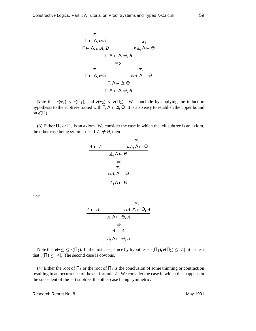$$
\frac{\tau_1}{\Gamma \vdash \Delta, mA, B} \qquad \qquad \pi_2
$$
\n
$$
\frac{\Gamma \vdash \Delta, mA, B}{\Gamma, \Lambda \vdash \Delta, \Theta, B} \qquad \qquad nA, \Lambda \vdash \Theta
$$
\n
$$
\Rightarrow
$$
\n
$$
\pi_1 \qquad \qquad \pi_2
$$
\n
$$
\frac{\Gamma \vdash \Delta, mA \qquad \qquad nA, \Lambda \vdash \Theta}{\Gamma, \Lambda \vdash \Delta, \Theta, B}
$$

Note that  $c(\pi_1) \leq c(\Pi_1)$ , and  $c(\pi_2) \leq c(\Pi_2)$ . We conclude by applying the induction hypothesis to the subtrees rooted with  $\Gamma, \Lambda \vdash \Delta, \Theta$ . It is also easy to establish the upper bound on  $d(\Pi)$ .

(3) Either  $\Pi_1$  or  $\Pi_2$  is an axiom. We consider the case in which the left subtree is an axiom, the other case being symmetric. If  $A \notin \Theta$ , then

and the contract of the contract of the contract of the contract of the contract of the contract of the contract of the contract of the contract of the contract of the contract of the contract of the contract of the contra

$$
A \vdash A \qquad nA, \Lambda \vdash \Theta
$$
\n
$$
\Rightarrow
$$
\n
$$
\pi_2
$$
\n
$$
\Rightarrow
$$
\n
$$
\pi_2
$$
\n
$$
\frac{nA, \Lambda \vdash \Theta}{A, \Lambda \vdash \Theta}
$$

else

$$
A \vdash A \qquad nA, \Lambda \vdash \Theta, A
$$
\n
$$
\Rightarrow
$$
\n
$$
A, \Lambda \vdash \Theta, A
$$
\n
$$
\Rightarrow
$$
\n
$$
A \vdash A
$$
\n
$$
\overline{A, \Lambda \vdash \Theta, A}
$$

Note that  $c(\pi_2) \leq c(\Pi_2)$ . In the first case, since by hypothesis  $c(\Pi_1)$ ,  $c(\Pi_2) \leq |A|$ , it is clea  $|A|$ , it is clear that  $c(\Pi) \leq |A|$ . The sec  $|A|$ . The second case is obvious.

(4) Either the root of  $\Pi_1$  or the root of  $\Pi_2$  is the conclusion of some thinning or contraction resulting in an occurrence of the cut formula  $A$ . We consider the case in which this happens in the succedent of the left subtree, the other case being symmetric.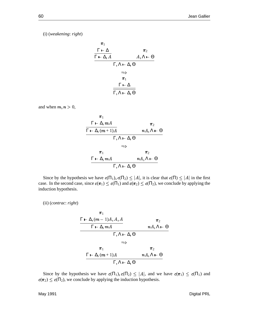(i) (*weakening*: *right*)

$$
\frac{\Gamma \vdash \Delta \qquad \qquad \pi_2}{\Gamma \vdash \Delta, A} \qquad \qquad A, \Delta \vdash \Theta
$$
\n
$$
\Rightarrow \qquad \qquad \pi_1
$$
\n
$$
\frac{\Gamma \vdash \Delta}{\Gamma, \Delta \vdash \Delta, \Theta}
$$

and when  $m, n > 0$ ,

$$
\frac{\tau_1}{\Gamma \vdash \Delta, mA} \qquad \tau_2
$$
\n
$$
\frac{\Gamma \vdash \Delta, (m+1)A}{\Gamma, \Lambda \vdash \Delta, \Theta} \qquad nA, \Lambda \vdash \Theta
$$
\n
$$
\Rightarrow \qquad \tau_1
$$
\n
$$
\frac{\Gamma \vdash \Delta, mA \qquad nA, \Lambda \vdash \Theta}{\Gamma, \Lambda \vdash \Delta, \Theta}
$$

Since by the hypothesis we have  $c(\Pi_1)$ ,  $c(\Pi_2) \leq |A|$ , it is cle |A|, it is clear that  $c(\Pi) \leq |A|$  in the fin  $\left| A \right|$  in the first case. In the second case, since  $c(\pi_1) \leq c(\Pi_1)$  and  $c(\pi_2) \leq c(\Pi_2)$ , we conclude by applying the induction hypothesis.

(ii) (*contrac*: *right*)

$$
\frac{\Gamma \vdash \Delta, (m-1)A, A, A \qquad \pi_2}{\Gamma \vdash \Delta, mA \qquad \qquad nA, \Lambda \vdash \Theta}
$$
\n
$$
\Rightarrow
$$
\n
$$
\pi_1 \qquad \qquad \pi_2
$$
\n
$$
\frac{\Gamma \vdash \Delta, (m+1)A \qquad \qquad nA, \Lambda \vdash \Theta}{\Gamma, \Lambda \vdash \Delta, \Theta}
$$

Since by the hypothesis we have  $c(\Pi_1)$ ,  $c(\Pi_2) \leq |A|$ , and we  $|A|$ , and we have  $c(\pi_1) \leq c(\Pi_1)$  and  $c(\pi_2) \leq c(\Pi_2)$ , we conclude by applying the induction hypothesis.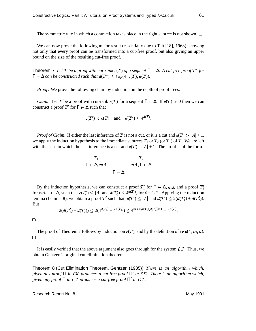The symmetric rule in which a contraction takes place in the right subtree is not shown.  $\Box$ 

We can now prove the following major result (essentially due to Tait [18], 1968), showing not only that every proof can be transformed into a cut-free proof, but also giving an upper bound on the size of the resulting cut-free proof.

**Theorem 7** Let T be a proof with cut-rank  $c(T)$  of a sequent  $\Gamma \vdash \Delta$ *. A cut-free proof*  $T^*$  for  $\Gamma \vdash \Delta$  can be constructed such that  $d(T^*) \leq exp(4, c(T), d(T)).$ 

*Proof.* We prove the following claim by induction on the depth of proof trees.

*Claim*: Let T be a proof with cut-rank  $c(T)$  for a sequent  $\Gamma \vdash \Delta$ . If  $c(T) > 0$  then we can construct a proof  $T'$  for  $\Gamma \vdash \Delta$  such that

$$
c(T') < c(T) \quad \text{and} \quad d(T') \leq 4^{d(T)}.
$$

*Proof of Claim*: If either the last inference of T is not a cut, or it is a cut and  $c(T) > |A| + 1$ , we apply the induction hypothesis to the immediate subtrees  $T_1$  or  $T_2$  (or  $T_1$ ) of T. We are left with the case in which the last inference is a cut and  $c(T) = |A| + 1$ . The proof is of the form

$$
\frac{T_1}{\Gamma \vdash \Delta, mA} \qquad \qquad \frac{T_2}{\Gamma \vdash \Delta}
$$

By the induction hypothesis, we can construct a proof  $T_1'$  for  $\Gamma \vdash \Delta$ , mA and a proof  $T_2'$ for  $nA, \Gamma \vdash \Delta$ , such the  $\Gamma \vdash \Delta$ , such that  $c(T_i') \leq |A|$  and  $d(T_i)$ |A| and  $d(T_i') \leq 4^{d(T_i)}$ , for  $i = 1, 2$ . Applying the reduction lemma (Lemma 8), we obtain a proof  $T'$  such that,  $c(T') \leq |A|$  and  $d(T)$ |A| and  $d(T') \leq 2(d(T'_1) + d(T'_2)).$ But

$$
2(d(T'_1)+d(T'_2))\leq 2(4^{d(T_1)}+4^{d(T_2)})\leq 4^{max(d(T_1),d(T_2))+1}=4^{d(T)}.
$$

 $\Box$ 

The proof of Theorem 7 follows by induction on  $c(T)$ , and by the definition of  $exp(4, m, n)$ .  $\Box$ 

It is easily verified that the above argument also goes through for the system  $\mathcal{L}\mathcal{J}$ . Thus, we obtain Gentzen's original cut elimination theorem.

Theorem 8 (Cut Elimination Theorem, Gentzen (1935)) *There is an algorithm which, given any proof* Π *in produces a cut-free proof* Π *in . There is an algorithm which,* given any proof  $\Pi$  in  $\mathcal{L} \mathcal{J}$  produces a cut-free proof  $\Pi'$  in  $\mathcal{L} \mathcal{J}.$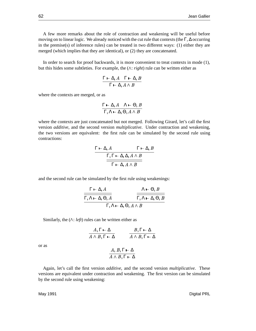A few more remarks about the role of contraction and weakening will be useful before moving on to linear logic. We already noticed with the cut rule that contexts (the  $\Gamma$ ,  $\Delta$  occurring in the premise(s) of inference rules) can be treated in two different ways: (1) either they are merged (which implies that they are identical), or (2) they are concatenated.

In order to search for proof backwards, it is more convenient to treat contexts in mode (1), but this hides some subtleties. For example, the  $(\wedge : right)$  rule can be written either as

$$
\frac{\Gamma \vdash \Delta, A \quad \Gamma \vdash \Delta, B}{\Gamma \vdash \Delta, A \land B}
$$

where the contexts are merged, or as

$$
\frac{\Gamma \vdash \Delta, A \quad \Lambda \vdash \Theta, B}{\Gamma, \Lambda \vdash \Delta, \Theta, A \land B}
$$

where the contexts are just concatenated but not merged. Following Girard, let's call the first version *additive*, and the second version *multiplicative*. Under contraction and weakening, the two versions are equivalent: the first rule can be simulated by the second rule using contractions:

$$
\frac{\Gamma \vdash \Delta, A \qquad \Gamma \vdash \Delta, B}{\frac{\Gamma, \Gamma \vdash \Delta, \Delta, A \wedge B}{\Gamma \vdash \Delta, A \wedge B}}
$$

and the second rule can be simulated by the first rule using weakenings:

$$
\frac{\Gamma \vdash \Delta, A}{\Gamma, \Lambda \vdash \Delta, \Theta, A} \qquad \qquad \frac{\Lambda \vdash \Theta, B}{\Gamma, \Lambda \vdash \Delta, \Theta, B}
$$
\n
$$
\Gamma, \Lambda \vdash \Delta, \Theta, A \wedge B
$$

Similarly, the  $(\wedge: \text{left})$  rules can be written either as

$$
\frac{A, \Gamma \vdash \Delta}{A \land B, \Gamma \vdash \Delta} \qquad \frac{B, \Gamma \vdash \Delta}{A \land B, \Gamma \vdash \Delta}
$$

or as

$$
\frac{A, B, \Gamma \vdash \Delta}{A \land B, \Gamma \vdash \Delta}
$$

Again, let's call the first version *additive*, and the second version *multiplicative*. These versions are equivalent under contraction and weakening. The first version can be simulated by the second rule using weakening: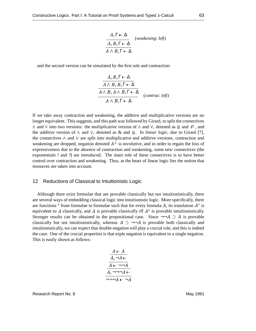$$
\frac{A, \Gamma \vdash \Delta}{A, B, \Gamma \vdash \Delta}
$$
 (weakening: left)  

$$
\overline{A \land B, \Gamma \vdash \Delta}
$$

and the second version can be simulated by the first rule and contraction:

$$
\frac{A, B, \Gamma \vdash \Delta}{A \land B, B, \Gamma \vdash \Delta}
$$
\n
$$
\frac{A \land B, A \land B, \Gamma \vdash \Delta}{A \land B, \Gamma \vdash \Delta}
$$
 (contrac: left)

If we take away contraction and weakening, the additive and multiplicative versions are no longer equivalent. Thissuggests, and this path was followed by Girard, to split the connectives A and V into two versions: the *multiplicative* version of A and V, denoted as  $\otimes$  and  $\mathcal{P}$ , and the *additive* version of  $\wedge$  and  $\vee$ , denoted as & and  $\oplus$ . In *linear logic*, due to Girard [7], the connectives  $\wedge$  and  $\vee$  are split into multiplicative and additive versions, contraction and weakening are dropped, negation denoted  $A^{\perp}$  is involutive, and in order to regain the loss of expressiveness due to the absence of contraction and weakening, some new connectives (the exponentials ! and ?) are introduced. The main role of these connectives is to have better control over contraction and weakening. Thus, at the heart of linear logic lies the notion that resources are taken into account.

## 12 Reductions of Classical to Intuitionistic Logic

Although there exist formulae that are provable classically but not intuitionistically, there are several ways of embedding classical logic into intuitionistic logic. More specifically, there are functions  $*$  from formulae to formulae such that for every formula A, its translation  $A^*$  is equivalent to A classically, and A is provable classically iff  $A^*$  is provable intuitionistically. Stronger results can be obtained in the propositional case. Since  $\neg\neg A \supset A$  is provable classically but not intuitionistically, whereas  $A \supset \neg\neg A$  is provable both classically and intuitionistically, we can expect that double-negation will play a crucial role, and this is indeed the case. One of the crucial properties is that triple negation is equivalent to a single negation. This is easily shown as follows:

$$
\frac{A \vdash A}{A, \neg A \vdash}
$$
\n
$$
\frac{A \vdash \neg \neg A}{A, \neg \neg \neg A \vdash}
$$
\n
$$
\frac{A, \neg \neg \neg A \vdash}{\neg \neg \neg A \vdash \neg A}
$$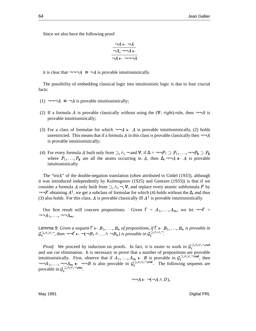Since we also have the following proof

$$
\frac{\neg A \vdash \neg A}{\neg A, \neg \neg A \vdash}
$$
  

$$
\neg A \vdash \neg \neg \neg A
$$

it is clear that  $\neg\neg\neg A \equiv \neg A$  is provable intuitionistically.

The possibility of embedding classical logic into intuitionistic logic is due to four crucial facts:

- (1)  $\neg\neg\neg A \equiv \neg A$  is provable intuitionistically;
- (2) If a formula A is provable classically without using the  $(\forall : \text{right})$ -rule, then  $\neg\neg A$  is provable intuitionistically;
- (3) For a class of formulae for which  $\neg\neg A \vdash A$  is provable intuitionistically, (2) holds unrestricted. This means that if a formula A in this class is provable classically then  $\neg\neg$ is provable intuitionistically;
- (4) For every formula A built only from  $\supset$ ,  $\wedge$ ,  $\neg$  and  $\forall$ , if  $\Delta = \neg \neg P_1 \supset P_1, \dots, \neg \neg P_k \supset P_k$ where  $P_1, \ldots, P_k$  are all the atoms occurring in A, then  $\Delta, \neg\neg A \vdash A$  is provable intuitionistically.

The "trick" of the double-negation translation (often attributed to Gödel (1933), although it was introduced independently by Kolmogorov (1925) and Gentzen (1933)) is that if we consider a formula A only built from  $\supset$ ,  $\wedge$ ,  $\neg$ ,  $\forall$ , and replace every atomic subformula P by . .  $\neg\neg P$  obtaining  $A^{\dagger}$ , we get a subclass of formulae for which (4) holds without the  $\Delta$ , and thus (3) also holds. For this class, A is provable classically iff  $A^{\dagger}$  is provable intuitionistically.

Our first result will concern propositions. Given  $\Gamma = A_1, \ldots, A_m$ , we let  $\neg\neg\Gamma =$  $\neg\neg A_1, \ldots, \neg\neg A_m.$ 

Lemma 9 *Given a sequent*  $\Gamma \vdash B_1, \ldots, B_n$  *of propositions, if*  $\Gamma \vdash B_1, \ldots, B_n$  *is provable in*  $\mathcal{G}_c^{(\lambda_1,\lambda_2,\cdots,\lambda_n)}$  then  $\neg\neg\Gamma \vdash \neg(\neg B_1 \land \ldots \land \neg B_n)$  is provable in  $\mathcal{G}_i^{(\lambda_1,\lambda_2,\cdots,\lambda_n)}$ .

*Proof.* We proceed by induction on proofs. In fact, it is easier to work in  $\mathcal{G}_i^{(2), \wedge, \vee, \neg, cut}$ and use cut elimination. It is necessary to prove that a number of propositions are provable intuitionistically. First, observe that if  $A_1, \ldots, A_m \vdash B$  is provable in  $\mathcal{G}_i^{(1)}, \ldots, (1)^m$  then  $\neg\neg A_1, \ldots, \neg\neg A_m \vdash \neg\neg B$  is also provable in  $\mathcal{G}_i^{(\gamma_1, \gamma_2, \ldots, cut)}$ . The following sequents are provable in  $\mathcal{G}^{\supset,\wedge,\vee,\neg,\textit{cut}}$ .

$$
\neg\neg A \vdash \neg(\neg A \land D),
$$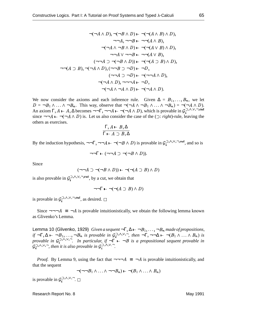$$
\neg(\neg A \land D), \neg(\neg B \land D) \vdash \neg(\neg(A \land B) \land D),
$$
  
\n
$$
\neg\neg A, \neg\neg B \vdash \neg\neg(A \land B),
$$
  
\n
$$
\neg(\neg A \land \neg B \land D) \vdash \neg(\neg(A \lor B) \land D),
$$
  
\n
$$
\neg\neg A \lor \neg\neg B \vdash \neg\neg(A \lor B),
$$
  
\n
$$
(\neg\neg A \supset \neg(\neg B \land D)) \vdash \neg(\neg(A \supset B) \land D),
$$
  
\n
$$
(\neg\neg A \supset \neg(\neg B \land D)) \vdash \neg(\neg(A \supset B) \land D),
$$
  
\n
$$
(\neg\neg A \supset \neg D) \vdash \neg D,
$$
  
\n
$$
(\neg\neg A \supset \neg D) \vdash \neg(\neg\neg A \land D),
$$
  
\n
$$
\neg(\neg A \land D), \neg\neg\neg\neg A \land D) \vdash \neg(\neg A \land D).
$$

We now consider the axioms and each inference rule. Given  $\Delta = B_1, \ldots, B_n$ , we let  $D = \neg B_1 \land \dots \land \neg B_n$ . This way, observe that  $\neg(\neg A \land \neg B_1 \land \dots \land \neg B_n) = \neg(\neg A \land D)$ . An axiom  $\Gamma$ ,  $A \vdash A$ ,  $\Delta$  becomes  $\neg$ -,  $\Delta$  becomes  $\neg\neg\Gamma$ ,  $\neg\neg A \vdash \neg(\neg A \land D)$ , which is provable in  $\mathcal{G}_i^{(3)} \land \neg \neg C_i^{(4)}$ since  $\neg\neg A \rightarrow \neg(\neg A \land D)$  is. Let us also consider the case of the  $(\supset: right)$ -rule, leaving the others as exercises.

$$
\frac{\Gamma, A \vdash B, \Delta}{\Gamma \vdash A \supset B, \Delta}
$$

By the induction hypothesis,  $\neg\neg\Gamma$ ,  $\neg\neg A \vdash \neg(\neg B \land D)$  is provable in  $\mathcal{G}_i^{(2), \wedge, \vee, \neg, cut}$ , and so is

$$
\neg\neg\Gamma \vdash (\neg\neg A \supset \neg(\neg B \land D)).
$$

Since

$$
(\neg\neg A \supset \neg(\neg B \land D)) \vdash \neg(\neg(A \supset B) \land D)
$$

is also provable in  $\mathcal{G}_i^{(\lambda_1, \lambda_2, \cdots, cut)}$ , by a cut, we obtain that

$$
\neg\neg\Gamma \vdash \neg(\neg(A \supset B) \land D)
$$

is provable in  $\mathcal{G}_i^{(\lambda,\lambda)}$ ,  $\neg_i$ , as desired.

Since  $\neg\neg\neg A \equiv \neg A$  is provable intuitionistically, we obtain the following lemma known as Glivenko's Lemma.

Lemma 10 (Glivenko, 1929) *Given a sequent*  $\neg \Gamma, \Delta \vdash \neg B_1, \ldots, \neg B_n$  made of propositions, *if*  $\neg$   $\neg$ ,  $\Delta$   $\longleftarrow$   $\neg$ ,  $\neg$ ,  $\neg$ ,  $\neg$ , *is provable in*  $\mathcal{G}^{\supset \wedge \vee \vee}$ , *then*  $\neg$ ,  $\neg$ ,  $\neg$  $\Delta$   $\longleftarrow$   $\neg$  $(B_1 \wedge \ldots \wedge B_n)$  *is*<br>*nonvable* in  $\mathcal{G}^{\supset \wedge \vee \vee}$ , *k nonvivelants f*,  $p$ *rovable* in  $\mathcal{G}_i^{(1), (1), (2)}$ . In particular, if  $\neg \Gamma \vdash \neg B$  is a propositional sequent provable in  $\mathcal{G}_c^{(\lambda_1,\lambda_2,\cdots,\lambda_n)}$  then it is also provable in  $\mathcal{G}_i^{(\lambda_1,\lambda_2,\cdots,\lambda_n)}$ .

*Proof.* By Lemma 9, using the fact that  $\neg\neg\neg A \equiv \neg A$  is provable intuitionistically, and that the sequent

$$
\neg(\neg\neg B_1 \land \ldots \land \neg\neg B_n) \vdash \neg (B_1 \land \ldots \land B_n)
$$

is provable in  $\mathcal{G}_i^{(3)} \xrightarrow{\wedge} \mathcal{S} \square$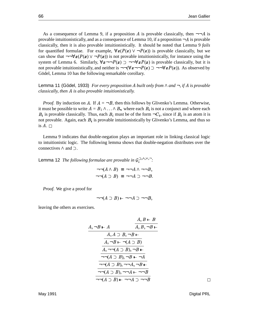As a consequence of Lemma 9, if a proposition A is provable classically, then  $\neg\neg A$  is provable intuitionistically, and as a consequence of Lemma 10, if a proposition  $\neg A$  is provable classically, then it is also provable intuitionistically. It should be noted that Lemma 9 *fails* for quantified formulae. For example,  $\forall x (P(x) \lor \neg P(x))$  is provable classically, but we can show that  $\neg\neg \forall x (P(x) \lor \neg P(x))$  is not provable intuitionistically, for instance using the system of Lemma 6. Similarly,  $\forall x \neg \neg P(x) \supset \neg \neg \forall x P(x)$  is provable classically, but it is not provable intuitionistically, and neither is  $\neg\neg(\forall x \neg\neg P(x) \supset \neg\neg \forall x P(x)$ ). As observed by Gödel, Lemma 10 has the following remarkable corollary.

Lemma 11 (Gödel, 1933) For every proposition A built only from  $\wedge$  and  $\neg$ , if A is provable classically, then A is also provable intuitionistically.

*Proof.* By induction on A. If  $A = \neg B$ , then this follows by Glivenko's Lemma. Otherwise, it must be possible to write  $A = B_1 \wedge \ldots \wedge B_n$  where each  $B_i$  is not a conjunct and where each  $B_i$  is provable classically. Thus, each  $B_i$  must be of the form  $\neg C_i$ , since if  $B_i$  is an atom it is not provable. Again, each  $B_i$  is provable intuitionistically by Glivenko's Lemma, and thus so is  $A$ .

Lemma 9 indicates that double-negation plays an important role in linking classical logic to intuitionistic logic. The following lemma shows that double-negation distributes over the connectives  $\wedge$  and  $\supset$ .

Lemma 12 *The following formulae are provable in*  $\mathcal{G}_i^{(2), \wedge, \vee, -}$ *:* 

$$
\neg\neg(A \land B) \equiv \neg\neg A \land \neg\neg B,
$$
  

$$
\neg\neg(A \supset B) \equiv \neg\neg A \supset \neg\neg B.
$$

*Proof.* We give a proof for

$$
\neg\neg(A \supset B) \vdash \neg\neg A \supset \neg\neg B,
$$

leaving the others as exercises.

$$
A, \neg B \vdash A
$$
\n
$$
A, B \vdash B
$$
\n
$$
A, A \supset B, \neg B \vdash
$$
\n
$$
\overline{A, \neg B \vdash \neg (A \supset B)}
$$
\n
$$
\overline{A, \neg \neg (A \supset B), \neg B \vdash}
$$
\n
$$
\overline{\neg \neg (A \supset B), \neg B \vdash \neg A}
$$
\n
$$
\overline{\neg \neg (A \supset B), \neg A, \neg B \vdash}
$$
\n
$$
\overline{\neg \neg (A \supset B), \neg \neg A, \neg B \vdash}
$$
\n
$$
\overline{\neg \neg (A \supset B), \neg \neg A \vdash \neg \neg B}
$$
\n
$$
\overline{\neg \neg (A \supset B) \vdash \neg \neg A \supset \neg \neg B}
$$

 $\Box$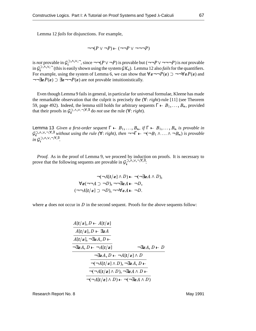Lemma 12 *fails* for disjunctions. For example,

$$
\neg\neg(P \lor \neg P) \vdash (\neg\neg P \lor \neg\neg\neg P)
$$

is *not* provable in  $\mathcal{G}_i^{(3)} \wedge \mathcal{G}_i^{(5)}$ , since  $\neg\neg (P \vee \neg P)$  is provable but  $(\neg \neg P \vee \neg \neg \neg P)$  is *not* provable in  $\mathcal{G}_i^{(\lambda_1, \lambda_2, \cdots)}$  (this is easily shown using the system  $\mathcal{G}\mathcal{K}_i$ ). Lemma 12 also *fails* for the quantifiers. For example, using the system of Lemma 6, we can show that  $\forall x \neg \neg P(x) \supset \neg \neg \forall x P(x)$  and  $\neg\neg \exists x P(x) \supset \exists x \neg \neg P(x)$  are not provable intuitionistically.

Even though Lemma 9 fails in general, in particular for universal formulae, Kleene has made the remarkable observation that the culprit is precisely the (∀: *right*)-rule [11] (see Theorem 59, page 492). Indeed, the lemma still holds for arbitrary sequents  $\Gamma \vdash B_1, \ldots, B_n$ , provided that their proofs in  $\mathcal{G}_c^{\supset,\wedge,\vee,\neg,\forall,\exists}$  do *not* use the rule ( $\forall$ : *right*).

Lemma 13 *Given a first-order sequent*  $\Gamma \vdash B_1, \ldots, B_n$ , if  $\Gamma \vdash B_1, \ldots, B_n$  is provable in  $G_c^{(\Sigma,\wedge,\vee,\neg,\forall,\exists)}$  without using the rule ( $\forall$ : right), then  $\neg\neg\Gamma \vdash \neg(\neg B_1 \wedge \dots \wedge \neg B_n)$  is provable  $in \mathcal{G}_i^{>,\wedge,\vee,\neg,\forall,\exists}$ .

*Proof.* As in the proof of Lemma 9, we proceed by induction on proofs. It is necessary to prove that the following sequents are provable in  $\mathcal{G}_i^{(3)}$ ,  $(x_i, y_j, \ldots, x_n)$ .

$$
\neg(\neg A[t/x] \land D) \vdash \neg(\neg \exists x A \land D),
$$

$$
\forall x(\neg\neg A \supset \neg D), \neg\neg \exists x A \vdash \neg D,
$$

$$
(\neg\neg A[t/x] \supset \neg D), \neg\neg \forall x A \vdash \neg D.
$$

where  $x$  does not occur in  $D$  in the second sequent. Proofs for the above sequents follow:

$$
\frac{A[t/x], D \vdash A[t/x]}{A[t/x], D \vdash \exists xA} \n\frac{}{A[t/x], \neg \exists xA, D \vdash} \n\frac{}{A[t/x], \neg \exists xA, D \vdash} \n\frac{}{A[t/x]} \qquad \neg \exists xA, D \vdash D \n\frac{}{A[t/x] \land D} \n\frac{}{A[t/x] \land D), \neg \exists xA, D \vdash} \n\frac{}{A[t/x] \land D), \neg \exists xA \land D \vdash} \n\frac{}{A[A[t/x] \land D), \neg \exists xA \land D \vdash} \n\frac{}{A[A[t/x] \land D) \vdash A \land D}
$$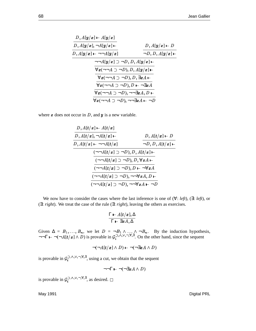$$
\frac{D, A[y/x] \mapsto A[y/x]}{D, A[y/x] \mapsto A[y/x] \mapsto \frac{D, A[y/x] \mapsto D}{\neg A[y/x]} \qquad \frac{D, A[y/x] \mapsto D}{\neg D, D, A[y/x] \mapsto \frac{D, A[y/x] \mapsto \frac{D}{\forall x (\neg \neg A \supset \neg D), D, A[y/x] \mapsto \frac{D}{\forall x (\neg \neg A \supset \neg D), D, \exists x A \mapsto \frac{D}{\forall x (\neg \neg A \supset \neg D), D \mapsto \neg \exists x A}}}
$$

where  $x$  does not occur in  $D$ , and  $y$  is a new variable.

$$
\frac{D, A[t/x] \vdash A[t/x]}{D, A[t/x], \neg A[t/x] \vdash}
$$
\n
$$
\frac{D, A[t/x] \vdash D}{D, A[t/x] \vdash \neg \neg A[t/x]} \qquad \frac{D, A[t/x] \vdash D}{\neg D, D, A[t/x] \vdash}
$$
\n
$$
\frac{(\neg \neg A[t/x] \supset \neg D), D, A[t/x] \vdash}{(\neg \neg A[t/x] \supset \neg D), D, \forall x A \vdash}
$$
\n
$$
\frac{(\neg \neg A[t/x] \supset \neg D), D \vdash \neg \forall x A}{(\neg \neg A[t/x] \supset \neg D), \neg \neg \forall x A, D \vdash}
$$

We now have to consider the cases where the last inference is one of (∀: *left*), (∃: *left*), or (∃: *right*). We treat the case of the rule (∃: *right*), leaving the others as exercises.

$$
\frac{\Gamma \vdash A[t/x], \Delta}{\Gamma \vdash \exists x A, \Delta}
$$

Given  $\Delta = B_1, \ldots, B_n$ , we let  $D = \neg B_1 \wedge \ldots \wedge \neg B_n$ . By the induction hypothesis,  $\neg\neg\Gamma \vdash \neg(\neg A[t/x] \land D)$  is provable in  $\mathcal{G}_i^{(\neg,\wedge,\vee,\neg,\forall,\exists)}$ . On the other hand, since the sequent

$$
\neg(\neg A[t/x] \wedge D) \vdash \neg(\neg \exists x A \wedge D)
$$

is provable in  $\mathcal{G}_i^{(\lambda_1,(\lambda_2),(\lambda_3),\forall)}$ , using a cut, we obtain that the sequent

$$
\neg\neg\Gamma \vdash \neg(\neg \exists x A \land D)
$$

is provable in  $\mathcal{G}_i^{(\lambda_1,\lambda_2,\lambda_3,\lambda_4)}$ , as desired.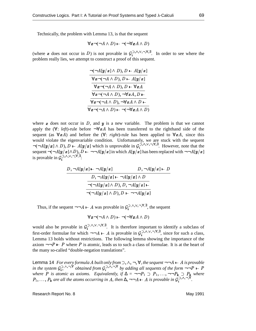Technically, the problem with Lemma 13, is that the sequent

$$
\forall x \neg(\neg A \land D) \vdash \neg(\neg \forall x A \land D)
$$

(where x does not occur in D) is not provable in  $\mathcal{G}_i^{(3,0,1)}$ ,  $(\vee,\neg,\forall,\exists)$ . In order to see where the problem really lies, we attempt to construct a proof of this sequent.

$$
\frac{\neg(\neg A[y/x] \land D), D \vdash A[y/x]}{\forall x \neg(\neg A \land D), D \vdash A[y/x]}\n\frac{\forall x \neg(\neg A \land D), D \vdash \forall x A}{\forall x \neg(\neg A \land D), \neg \forall x A, D \vdash}\n\frac{\forall x \neg(\neg A \land D), \neg \forall x A \land D}{\forall x \neg(\neg A \land D), \neg \forall x A \land D \vdash}\n\frac{\forall x \neg(\neg A \land D), \neg \forall x A \land D}{\forall x \neg(\neg A \land D) \vdash \neg(\neg \forall x A \land D)}
$$

where  $x$  does not occur in  $D$ , and  $y$  is a new variable. The problem is that we cannot apply the  $(\forall: \text{ left})$ -rule before  $\neg \forall x A$  has been transferred to the righthand side of the sequent (as  $\forall x A$ ) and before the ( $\forall$ : *right*)-rule has been applied to  $\forall x A$ , since this would violate the eigenvariable condition. Unfortunately, we are stuck with the sequent  $\neg(\neg A[y/x] \land D), D \vdash A[y/x]$  which is unprovable in  $\mathcal{G}_i^{(3)} \wedge \mathcal{G}_i^{(3)}$ . However, note that the sequent  $\neg(\neg A[y/x] \land D), D$  +  $\big| \big/ \boldsymbol{x} \big] \wedge D$ ,  $D \vdash \neg \neg A \left[ \boldsymbol{y} / \boldsymbol{x} \right]$  in which  $\int \mathbf{x}$ ] in which  $A[\mathbf{y}/\mathbf{x}]$  has been  $\int \bm{x}$ ] has been replaced with  $\neg\neg A[\bm{y}/\bm{x}]$ is provable in  $\mathcal{G}_i^{(1)} \rightarrow \dots \rightarrow \dots$ 

$$
\frac{D, \neg A[y/x] \longmapsto A[y/x]}{D, \neg A[y/x] \longmapsto A[y/x] \land D}
$$
\n
$$
\frac{D, \neg A[y/x] \longmapsto A[y/x] \land D}{\neg (\neg A[y/x] \land D), D, \neg A[y/x] \longmapsto}
$$
\n
$$
\frac{\neg (\neg A[y/x] \land D), D \longmapsto A[y/x]}{\neg (\neg A[y/x] \land D), D \longmapsto \neg A[y/x]}
$$

Thus, if the sequent  $\neg\neg A \vdash A$  was provable in  $\mathcal{G}_i^{(3)} \wedge \cdots \wedge (3)$ , the sequent

$$
\forall \boldsymbol{x} \neg (\neg A \land D) \vdash \neg (\neg \forall \boldsymbol{x} A \land D)
$$

would also be provable in  $\mathcal{G}_i^{(\lambda_1,\lambda_2,\ldots,\lambda_n)}$ . It is therefore important to identify a subclass of first-order formulae for which  $\neg\neg A \vdash A$  is provable in  $\mathcal{G}_i^{(\lambda)} \wedge \neg \forall \neg \forall \exists$ , since for such a class, Lemma 13 holds without restrictions. The following lemma showing the importance of the axiom  $\neg\neg P \vdash P$  where P is atomic, leads us to such a class of formulae. It is at the heart of the many so-called "double-negation translations".

**Lemma 14** For every formula A built only from  $\supset$ ,  $\wedge$ ,  $\neg$ ,  $\forall$ , the sequent  $\neg\neg A \vdash A$  is provable in the system  $\mathcal{G}_{i+}^{\supset, \wedge, \neg, \forall}$  obtained from  $\mathcal{G}_{i}^{\supset, \wedge, \neg, \forall}$  by adding all sequents of the form  $\neg \neg P \vdash P$ *where* P is atomic as axioms. Equivalently, if  $\Delta = \neg \neg P_1 \supset P_1, \ldots, \neg \neg P_k \supset P_k$  where  $P_1,\ldots,P_k$  are all the atoms occurring in A, then  $\Delta, \neg\neg A \vdash A$  is provable in  $\mathcal{G}_i^{\supset \wedge \wedge, \neg, \forall}$ .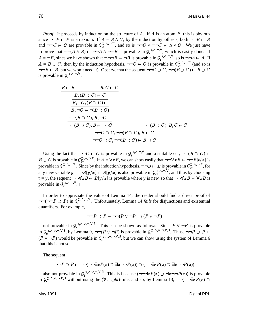*Proof.* It proceeds by induction on the structure of  $A$ . If  $A$  is an atom  $P$ , this is obvious since  $\neg\neg P \vdash P$  is an axiom. If  $A = B \land C$ , by the induction hypothesis, both  $\neg\neg B \vdash B$ and  $\neg\neg C \vdash C$  are provable in  $\mathcal{G}_{i+}^{(\neg)}, \neg \forall$ , and so is  $\neg\neg C \land \neg \neg C \vdash B \land C$ . We just have to prove that  $\neg\neg(A \land B) \mapsto \neg\neg A \land \neg\neg B$  is provable in  $\mathcal{G}_i^{(2), (A_i, \neg, \forall)}$ , which is easily done. If  $A = \neg B$ , since we have shown that  $\neg \neg \neg B \vdash \neg B$  is provable in  $\mathcal{G}_i^{(\lambda_1, \lambda_2, \forall)}$ , so is  $\neg \neg A \vdash A$ . If  $A = B \supset C$ , then by the induction hypothesis,  $\neg\neg C \vdash C$  is provable in  $\mathcal{G}^{\supset \wedge \neg \neg \forall}_{i+}$  (and so is  $\neg\neg B \vdash B$ , but we won't need it). Observe that the sequent  $\neg\neg C \supset C$ ,  $\neg\neg(B \supset C) \vdash B \supset C$ is provable in  $\mathcal{G}_i^{(3)} \wedge \neg, \forall$ :

$$
\frac{B \vdash B \qquad B, C \vdash C}{B, (B \supset C) \vdash C}
$$
\n
$$
\frac{\overline{B}, \neg C, (B \supset C) \vdash}{B, \neg C \vdash \neg (B \supset C)}
$$
\n
$$
\frac{\neg \neg (B \supset C), B, \neg C \vdash}{\neg \neg (B \supset C), B \vdash \neg \neg C}
$$
\n
$$
\frac{\neg \neg (B \supset C), B \vdash \neg \neg C}{\neg \neg (B \supset C), B \vdash C}
$$
\n
$$
\frac{\neg \neg C \supset C, \neg \neg (B \supset C), B \vdash C}{\neg \neg C \supset C, \neg \neg (B \supset C) \vdash B \supset C}
$$

Using the fact that  $\neg\neg C \vdash C$  is provable in  $\mathcal{G}_{i+}^{\supset,\wedge,\neg,\forall}$  and a suitable cut,  $\neg\neg(B \supset C) \vdash$  $B \supset C$  is provable in  $\mathcal{G}_{i^+}^{(\square,\square,\square)}$ . If  $A = \forall x B$ , we can show easily that  $\neg\neg \forall x B \longmapsto \neg\neg B[t/x]$  is provable in  $\mathcal{G}_i^{(\lambda_1,\lambda_2,\cdots,\lambda_N)}$ . Since by the induction hypothesis,  $\neg\neg B \vdash B$  is provable in  $\mathcal{G}_i^{(\lambda_1,\lambda_2,\cdots,\lambda_N)}$ , for any new variable  $y, \neg\neg B[y/x] \vdash B[y/x]$  is also provable in  $\mathcal{G}^{(2, \wedge, \neg, \forall)}_{i+}$ , and  $\overline{\phantom{a}}$  $^{1,0,1}$ ,  $^{0,0,0}$ , and thus by choosing  $t = y$ , the sequent  $\neg\neg \forall x B \vdash B[y/x]$  is prov  $\Box x$  is provable where y is new, so that  $\neg\neg\forall x B \vdash \forall x B$  is provable in  $\mathcal{G}_{i+}^{\supset,\wedge,\neg,\forall}$ .

In order to appreciate the value of Lemma 14, the reader should find a direct proof of  $\neg\neg(\neg\neg P \supset P)$  in  $\mathcal{G}_i^{(\neg)}$ ,  $\forall$ . Unfortunately, Lemma 14 *fails* for disjunctions and existential quantifiers. For example,

$$
\neg\neg P \supset P \vdash \neg\neg(P \lor \neg P) \supset (P \lor \neg P)
$$

is not provable in  $\mathcal{G}_i^{(\lambda_1,(\lambda_2),(\lambda_3),\ldots)}$ . This can be shown as follows. Since  $P \vee \neg P$  is provable in  $\mathcal{G}_c^{(2),(\lambda,\vee,\neg,\forall,\exists)}$ , by Lemma 9,  $\neg\neg(P \vee \neg P)$  is provable in  $\mathcal{G}_i^{(2),(\lambda,\vee,\neg,\forall,\exists)}$ . Thus,  $\neg\neg P \rightharpoonup P$  $(P \vee \neg P)$  would be provable in  $\mathcal{G}_i^{(\Sigma), (\Lambda, \vee, \neg, \forall, \exists)}$ , but we can show using the system of Lemma 6 that this is not so.

The sequent

$$
\neg\neg P \supset P \vdash \neg\neg(\neg\neg \exists x P(x) \supset \exists x \neg\neg P(x)) \supset (\neg\neg \exists x P(x) \supset \exists x \neg\neg P(x))
$$

is also not provable in  $\mathcal{G}_i^{(\lambda_1,\lambda_2,\ldots,\lambda_n)}$ . This is because  $(\neg\neg \exists x P(x) \supset \exists x \neg \neg P(x))$  is provable in  $\mathcal{G}_c^{\supset,\wedge,\vee,\neg,\forall,\exists}$  without using the  $(\forall: right)$ -rule, and so, by Lemma 13, ¬¬(¬¬ $\exists x P(x) \supset$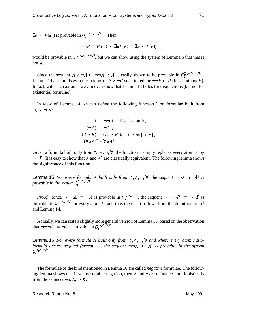$\exists x \neg \neg P(x)$  is provable in  $\mathcal{G}_i^{(\lambda_1, \lambda_2, \neg, \forall, \exists)}$ . Then,

$$
\neg\neg P \supset P \vdash (\neg\neg \exists x P(x) \supset \exists x \neg \neg P(x))
$$

would be provable in  $\mathcal{G}_i^{(1), (1), (1), (2), (2)}$ , but we can show using the system of Lemma 6 that this is not so.

Since the sequent  $A \vee \neg A \vdash \neg \neg A \supset A$  is easily shown to be provable in  $\mathcal{G}_i^{(\lambda_1, \lambda_2, \neg, \forall, \exists)}$ , Lemma 14 also holds with the axioms  $\vdash P \lor \neg P$  substituted for  $\neg \neg P \vdash P$  (for all atoms P). In fact, with such axioms, we can even show that Lemma 14 holds for disjunctions(but not for existential formulae).

In view of Lemma 14 we can define the following function  $\dagger$  on formulae built from ⊃,∧,¬,∀: . .

$$
A^{\dagger} = \neg \neg A, \text{ if } A \text{ is atomic,}
$$
  
\n
$$
(\neg A)^{\dagger} = \neg A^{\dagger},
$$
  
\n
$$
(A * B)^{\dagger} = (A^{\dagger} * B^{\dagger}), \text{ if } * \in \{\supset, \wedge\},
$$
  
\n
$$
(\forall x A)^{\dagger} = \forall x A^{\dagger}.
$$

Given a formula built only from  $\supset, \wedge, \neg, \forall$ , the function <sup>†</sup> simply replaces every atom P by  $\neg\neg P$ . It is easy to show that A and  $A^{\dagger}$  are classically equivalent. The following lemma shows the significance of this function.

Lemma 15 *For every formula A built only from*  $\supset$ ,  $\wedge$ ,  $\neg$ ,  $\forall$ , the sequent  $\neg\neg A^{\dagger} \vdash A^{\dagger}$  is provable in the system  $\mathcal{G}_i^{>,\wedge,-,\forall}$ .

*byable in the system*  $\mathcal{G}_i^{(1)}$ ,  $\bigcap_{i=1}^{\infty}$ .<br>*Proof.* Since  $\neg \neg \neg A \equiv \neg A$ .  $\equiv \neg A$  is provable in  $\mathcal{G}_i^{(\lambda_1, \lambda_2, \forall)}$ , the sequent  $\neg \neg \neg \neg P \equiv \neg \neg P$  is provable in  $\mathcal{G}_i^{(\lambda)}$ ,  $\wedge$ ,  $\neg$  for every atom P, and thus the result follows from the definition of and Lemma 14.

Actually, we can state a slightlymore general version of Lemma 15, based on the observation that  $\neg\neg\neg A \equiv \neg A$  is provable in  $\mathcal{G}^{\supset,\wedge,\neg,\forall}$ .

Lemma 16 *For every formula A built only from*  $\supset$ ,  $\wedge$ ,  $\neg$ ,  $\forall$  *and where every atomic subformula occurs* negated (except  $\perp$ ), the sequent  $\neg\neg A^{\dagger}$  **i** A<sup>†</sup> is provable in the system  $\mathcal{G}_i^{ \supset ,\wedge ,\neg ,\forall }.$ 

The formulae of the kind mentioned in Lemma 16 are called *negative* formulae. The following lemma shows that if we use double-negation, then  $\vee$  and  $\exists$  are definable intuitionistically from the connectives  $\wedge, \neg, \forall$ .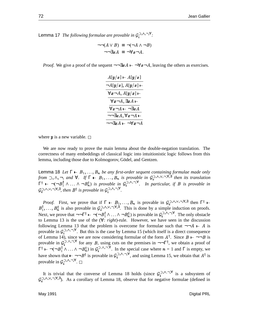Lemma 17 *The following formulae are provable in*  $\mathcal{G}_i^{(2), \wedge, \neg, \forall}$ *:* 

$$
\neg \neg (A \lor B) \equiv \neg (\neg A \land \neg B)
$$

$$
\neg \neg \exists x A \equiv \neg \forall x \neg A.
$$

*Proof.* We give a proof of the sequent  $\neg\neg \exists x A \vdash \neg \forall x \neg A$ , leaving the others as exercises.

| $A[y/x] - A[y/x]$                                   |  |
|-----------------------------------------------------|--|
| $\neg A[y/x], A[y/x] \vdash$                        |  |
| $\forall x \neg A, A[y/x] \vdash$                   |  |
| $\forall x \neg A, \exists x A \vdash$              |  |
| $\forall x \neg A \vdash \neg \exists x A$          |  |
| $\neg\neg \exists x A, \forall x \neg A \vdash$     |  |
| $\neg\neg \exists x A \vdash \neg \forall x \neg A$ |  |

where  $y$  is a new variable.

We are now ready to prove the main lemma about the double-negation translation. The correctness of many embeddings of classical logic into intuitionistic logic follows from this lemma, including those due to Kolmogorov, Gödel, and Gentzen.

**Lemma 18** Let  $\Gamma \vdash B_1, \ldots, B_n$  be any first-order sequent containing formulae made only *from*  $\supset$ ,  $\wedge$ ,  $\neg$ , and  $\forall$ . If  $\Gamma \vdash B_1, \ldots, B_n$  is provable in  $\mathcal{G}_c^{\supset \wedge,\vee,\supset \vee,\exists}$  then its translation  $\Gamma^{\dagger}$   $\vdash \neg(\neg B_1^{\dagger} \land \ldots \land \neg B_n^{\dagger})$  is provable in  $\mathcal{G}_i^{\supset \land,\neg,\forall}$ . In particular, if B is provable in  $\mathcal{G}_c^{\supset,\wedge,\vee,\neg,\forall,\exists}$ , then  $B^{\dagger}$  is provable in  $\mathcal{G}_i^{\supset,\wedge,\neg,\forall}$ .

 $Proof.$  First, we prove that if  $\Gamma \vdash B_1, \ldots, B_n$  is provable in  $\mathcal{G}_e^{\supset \wedge, \vee, \neg, \forall, \exists}$  then  $\Gamma^{\dagger} \vdash$  $B_1^1, \ldots, B_n^1$  is also provable in  $9\frac{2}{3}$  is  $\frac{3}{2}$  in the set of the set of the sample induct  $_1^{\dagger}, \ldots, B_n^{\dagger}$  is also provable in  $\mathcal{G}_c^{\supset \wedge, \vee, \neg, \forall, \exists}$ . This is done by a simple induction on proofs. Next, we prove that  $\neg\neg\Gamma^{\dagger} \vdash \neg(\neg B_1^{\dagger} \land \dots \land \neg B_n^{\dagger})$  is provable in  $\mathcal{G}_i^{(\neg, \land, \neg, \forall)}$ . The only obstacle to Lemma 13 is the use of the (∀: *right*)-rule. However, we have seen in the discussion following Lemma 13 that the problem is overcome for formulae such that  $\neg\neg A \rightarrow A$  is provable in  $\mathcal{G}_i^{(2), (1), (\mathcal{I})}$ . But this is the case by Lemma 15 (which itself is a direct consequence of Lemma 14), since we are now considering formulae of the form  $A^{\dagger}$ . Since  $B \vdash \neg \neg B$  is provable in  $\mathcal{G}_i^{(2), (1), \neg, \forall}$  for any B, using cuts on the premises in  $\neg\neg\Gamma^{\dagger}$ , we obtain a proof of  $\Gamma^{\dagger}$   $\vdash \neg(\neg B_1^{\dagger} \land \ldots \land \neg B_n^{\dagger})$  in  $\mathcal{G}_i^{(\neg \land \neg \land \forall)}$ . In the special case where  $n = 1$  and  $\Gamma$  is empty, we have shown that  $\vdash \neg \neg B^{\dagger}$  is provable in  $\mathcal{G}_i^{(\lambda)}$ ,  $\neg^{\forall}$ , and using Lemma 15, we obtain that  $A^{\dagger}$  is provable in  $\mathcal{G}_i^{(1)}, \dots, (n+1)$ .

It is trivial that the converse of Lemma 18 holds (since  $\mathcal{G}_i^{(\lambda)}$ ,  $\forall$  is a subsystem of  $\mathcal{G}_c^{(\Sigma,\wedge,\vee,\neg,\forall,\exists)}$ . As a corollary of Lemma 18, observe that for negative formulae (defined in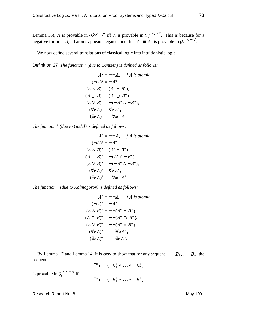Lemma 16), A is provable in  $\mathcal{G}_c^{(2)}$ ,  $\wedge$ ,  $\neg$  if A is provable in  $\mathcal{G}_c^{(2)}$ ,  $\wedge$ ,  $\neg$ ,  $\forall$ . This is because for a negative formula A, all atoms appears negated, and thus  $A \equiv A^{\dagger}$  is provable in  $\mathcal{G}_i^{(\lambda_1, \lambda_2, \forall)}$ .

We now define several translations of classical logic into intuitionistic logic.

Definition 27 *The function (due to Gentzen) is defined as follows:*

$$
A^{\circ} = \neg\neg A, \quad \text{if } A \text{ is atomic,}
$$
\n
$$
(\neg A)^{\circ} = \neg A^{\circ},
$$
\n
$$
(A \land B)^{\circ} = (A^{\circ} \land B^{\circ}),
$$
\n
$$
(A \supseteq B)^{\circ} = (A^{\circ} \supseteq B^{\circ}),
$$
\n
$$
(A \lor B)^{\circ} = \neg(\neg A^{\circ} \land \neg B^{\circ}),
$$
\n
$$
(\forall x A)^{\circ} = \forall x A^{\circ},
$$
\n
$$
(\exists x A)^{\circ} = \neg \forall x \neg A^{\circ}.
$$

*The function (due to Godel) ¨ is defined as follows:*

$$
A^* = \neg\neg A, \quad \text{if } A \text{ is atomic,}
$$
\n
$$
(\neg A)^* = \neg A^*,
$$
\n
$$
(A \land B)^* = (A^* \land B^*),
$$
\n
$$
(A \supseteq B)^* = \neg(A^* \land \neg B^*),
$$
\n
$$
(A \lor B)^* = \neg(\neg A^* \land \neg B^*),
$$
\n
$$
(\forall x A)^* = \forall x A^*,
$$
\n
$$
(\exists x A)^* = \neg \forall x \neg A^*.
$$

*The function (due to Kolmogorov) is defined as follows:*

$$
A^{\kappa} = \neg\neg A, \quad \text{if } A \text{ is atomic,}
$$
\n
$$
(\neg A)^{\kappa} = \neg A^{\kappa},
$$
\n
$$
(A \land B)^{\kappa} = \neg\neg (A^{\kappa} \land B^{\kappa}),
$$
\n
$$
(A \supseteq B)^{\kappa} = \neg\neg (A^{\kappa} \supseteq B^{\kappa}),
$$
\n
$$
(A \lor B)^{\kappa} = \neg\neg (A^{\kappa} \lor B^{\kappa}),
$$
\n
$$
(\forall x A)^{\kappa} = \neg\neg \forall x A^{\kappa},
$$
\n
$$
(\exists x A)^{\kappa} = \neg\neg \exists x A^{\kappa}.
$$

By Lemma 17 and Lemma 14, it is easy to show that for any sequent  $\Gamma \vdash B_1, \ldots, B_n$ , the sequent

$$
\Gamma^{\circ} \vdash \neg(\neg B_1^{\circ} \land \ldots \land \neg B_n^{\circ})
$$

is provable in  $\mathcal{G}_i^{(1)}, \mathcal{F}_i^{(1)}, \mathcal{F}_j$  iff

$$
\Gamma^* \vdash \neg(\neg B_1^* \land \ldots \land \neg B_n^*)
$$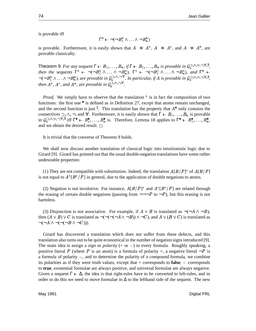is provable iff

$$
\Gamma^{\kappa} \vdash \neg(\neg B_1^{\kappa} \land \ldots \land \neg B_n^{\kappa})
$$

 $\Gamma^* \vdash \neg(\neg B_1^* \land \dots \land \neg B_n^* )$ <br>is provable. Furthermore, it is easily shown that  $A \equiv A^\circ, A \equiv$  $\equiv$   $A^{\circ}$ ,  $A \equiv A^*$ , and  $A \equiv A^*$ , are provable classically.

Theorem 9 *For any sequent*  $\Gamma \vdash B_1, \ldots, B_n$ , if  $\Gamma \vdash B_1, \ldots, B_n$  is provable in  $\mathcal{G}_c^{\supset \wedge, \vee, \neg, \forall, \exists}$ , *then the* sequents  $\Gamma^{\circ}$  **-**  $\neg(\neg B_1^{\circ} \land \dots \land \neg B_n^{\circ})$ ,  $\Gamma^*$  **-**  $\neg(\neg B_1^* \land \dots \land \neg B_n^*)$ , and  $\Gamma^*$  **-** $\neg(\neg B_1^{\kappa} \land \ldots \land \neg B_n^{\kappa})$ , are provable in  $\mathcal{G}_i^{(\neg \land, \neg)}$ . In particular, if A is provable in  $\mathcal{G}_c^{(\neg \land, \vee, \neg, \forall, \exists)}$ , *then*  $A^{\circ}$ ,  $A^*$ , and  $A^{\kappa}$ , are provable in  $\mathcal{G}_i^{\supset \wedge, \supset \wedge}$ .

*a A*<sup>o</sup>, *A*<sup>\*</sup>, *and A*<sup>*k*</sup>, *are provable in*  $G_i^{(1)}$ <sup>*n*,  $n$ </sup>, <sup>*v*</sup>.<br>*Proof.* We simply have to observe that the translation <sup>o</sup> is in fact the composition of two functions: the first one  $\bullet$  is defined as in Definition 27, *except* that atoms remain unchanged, and the second function is just <sup>†</sup>. This translation has the property that  $A^{\bullet}$  only contains the connectives  $\supset$ ,  $\wedge$ ,  $\neg$ , and  $\forall$ . Furthermore, it is easily shown that  $\Gamma \vdash B_1, \dots, B_n$  is provable in  $\mathcal{G}_c^{\supset,\wedge,\vee,\neg,\forall,\exists}$  iff  $\Gamma^{\bullet} \vdash B_1^{\bullet},\ldots,B_n^{\bullet}$  is. Therefore, Lemma 18 applies to  $\Gamma^{\bullet} \vdash B_1^{\bullet},\ldots,B_n^{\bullet}$ , and we obtain the desired result.

It is trivial that the converse of Theorem 9 holds.

We shall now discuss another translation of classical logic into intuitionistic logic due to Girard [9]. Girard has pointed out that the usual double-negation translations have some rather undesirable properties:

(1) They are not compatible with substitution. Indeed, the translation  $A[B/P]^*$  of  $A[B/P]$ is not equal to  $A^*[B^*/P]$  in general, due to the application of double negations to atoms.

(2) Negation is not involutive. For instance,  $A[B/P]^*$  and  $A^*[B^*/P]$  are related through the erasing of certain double negations (passing from  $\neg\neg\neg P$  to  $\neg P$ ), but this erasing is not harmless.

(3) Disjunction is not associative. For example, if  $A \lor B$  is translated as  $\neg(\neg A \land \neg B)$ , then  $(A \lor B) \lor C$  is translated as  $\neg(\neg(\neg(A \land \neg B)) \land \neg C)$ , and  $A \lor (B \lor C)$  is translated as  $\neg(\neg A \wedge \neg(\neg(\neg B \wedge \neg C)))$ .

Girard has discovered a translation which does not suffer from these defects, and this translation also turns out to be quite economical in the number of negation signsintroduced [9]. The main idea is assign a *sign* or *polarity*  $(+)$  or  $-)$  to every formula. Roughly speaking, a positive literal P (where P is an atom) is a formula of polarity +, a negative literal  $\neg P$  is a formula of polarity  $-$ , and to determine the polarity of a compound formula, we combine its polarities as if they were truth values, except that  $+$  corresponds to **false**,  $-$  corresponds to **true**, existential formulae are always positive, and universal formulae are always negative. Given a sequent  $\Gamma \vdash \Delta$ , the idea is that right-rules have to be converted to left-rules, and in order to do this we need to move formulae in  $\Delta$  to the lefthand side of the sequent. The new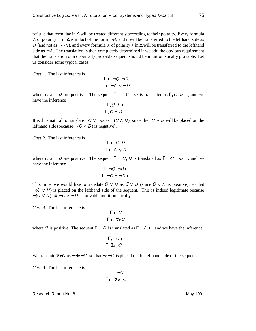twist is that formulae in ∆ will be treated differently according to their polarity. Every formula A of polarity – in  $\Delta$  is in fact of the form  $\neg B$ , and it will be transferred to the lefthand side as B (and not as  $\neg\neg B$ ), and every formula A of polarity + in  $\Delta$  will be transferred to the lefthand side as  $\neg A$ . The translation is then completely determined if we add the obvious requirement that the translation of a classically provable sequent should be intuitionistically provable. Let us consider some typical cases.

*Case* 1. The last inference is

$$
\frac{\Gamma \vdash \neg C, \neg D}{\Gamma \vdash \neg C \lor \neg D}
$$

where C and D are positive. The sequent  $\Gamma \vdash \neg C, \neg D$  is translated as  $\Gamma, C, D \vdash$ , and we have the inference

$$
\frac{\Gamma, C, D \vdash}{\Gamma, C \land D \vdash}
$$

It is thus natural to translate  $\neg C \lor \neg D$  as  $\neg (C \land D)$ , since then  $C \land D$  will be placed on the lefthand side (because  $\neg(C \land D)$  is negative).

*Case* 2. The last inference is

$$
\frac{\Gamma \vdash C, D}{\Gamma \vdash C \lor D}
$$

where C and D are positive. The sequent  $\Gamma \vdash C, D$  is translated as  $\Gamma, \neg C, \neg D \vdash$ , and we have the inference

$$
\frac{\Gamma, \neg C, \neg D \vdash}{\Gamma, \neg C \land \neg D \vdash}
$$

This time, we would like to translate  $C \vee D$  as  $C \vee D$  (since  $C \vee D$  is positive), so that  $\neg(C \lor D)$  is placed on the lefthand side of the sequent. This is indeed legitimate because  $\neg(C \lor D) \equiv \neg C \land \neg D$  is provable intuitionistically.

*Case* 3. The last inference is

$$
\frac{\Gamma \vdash C}{\Gamma \vdash \forall x C}
$$

where C is positive. The sequent  $\Gamma \vdash C$  is translated as  $\Gamma, \neg C \vdash$ , and we have the inference

$$
\frac{\Gamma, \neg C \vdash}{\Gamma, \exists x \neg C \vdash}
$$

We translate  $\forall x C$  as  $\neg \exists x \neg C$ , so that  $\exists x \neg C$  is placed on the lefthand side of the sequent.

*Case* 4. The last inference is

$$
\frac{\Gamma \vdash \neg C}{\Gamma \vdash \forall x \neg C}
$$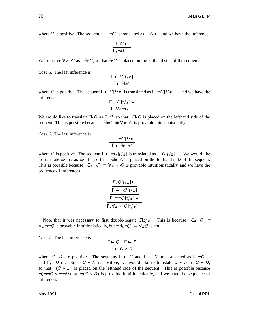where C is positive. The sequent  $\Gamma \vdash \neg C$  is translated as  $\Gamma, C \vdash$ , and we have the inference

$$
\frac{\Gamma, C \vdash}{\Gamma, \exists x C \vdash}
$$

We translate  $\forall x \neg C$  as  $\neg \exists x C$ , so that  $\exists x C$  is placed on the lefthand side of the sequent.

*Case* 5. The last inference is

$$
\frac{\Gamma \vdash C[t/x]}{\Gamma \vdash \exists x C}
$$

where C is positive. The sequent  $\Gamma \vdash C[t/x]$  is translated as  $\Gamma, \neg C[t/x] \vdash$ , and we have the inference

$$
\frac{\Gamma, \neg C[t/x] \vdash}{\Gamma, \forall x \neg C \vdash}
$$

We would like to translate  $\exists x C$  as  $\exists x C$ , so that  $\neg \exists x C$  is placed on the lefthand side of the sequent. This is possible because  $\neg \exists x C \equiv \forall x \neg C$  is provable intuitionistically.

*Case* 6. The last inference is

$$
\frac{\Gamma \vdash \neg C[t/x]}{\Gamma \vdash \exists x \neg C}
$$

where C is positive. The sequent  $\Gamma \vdash \neg C[t/x]$  is translated as  $\Gamma, C[t/x] \vdash$ . We would like to translate  $\exists x \neg C$  as  $\exists x \neg C$ , so that  $\neg \exists x \neg C$  is placed on the lefthand side of the sequent. This is possible because  $\neg \exists x \neg C \equiv \forall x \neg \neg C$  is provable intuitionistically, and we have the sequence of inferences

$$
\frac{\Gamma, C[t/x] \vdash}{\Gamma \vdash \neg C[t/x]} \\
\frac{\Gamma, \neg \neg C[t/x]}{\Gamma, \neg \neg C[t/x] \vdash}
$$

Note that it was necessary to first double-negate  $C[t/x]$ . This is because  $\neg \exists x \neg C$  =  $\forall x \neg \neg C$  is provable intuitionistically, but  $\neg \exists x \neg C \equiv \forall x C$  is not.

*Case* 7. The last inference is

$$
\frac{\Gamma \vdash C \quad \Gamma \vdash D}{\Gamma \vdash C \land D}
$$

where C, D are positive. The sequents  $\Gamma \vdash C$  and  $\Gamma \vdash D$  are translated as  $\Gamma, \neg C \vdash$ and  $\Gamma$ ,  $\neg D$  **-**. Since  $C \wedge D$  is positive, we would like to translate  $C \wedge D$  as  $C \wedge D$ , so that  $\neg(C \land D)$  is placed on the lefthand side of the sequent. This is possible because  $\neg(\neg\neg C \land \neg\neg D) \equiv \neg(C \land D)$  is provable intuitionistically, and we have the sequence of inferences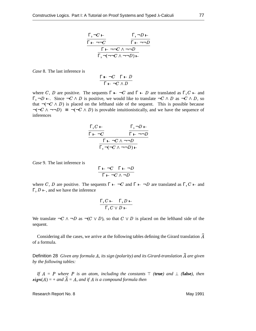$$
\frac{\Gamma, \neg C \vdash \qquad \qquad \Gamma, \neg D \vdash}{\Gamma \vdash \neg \neg C} \qquad \qquad \frac{\Gamma, \neg D \vdash}{\Gamma \vdash \neg \neg D}
$$
\n
$$
\frac{\Gamma \vdash \neg \neg C \land \neg \neg D}{\Gamma, \neg (\neg \neg C \land \neg \neg D) \vdash}
$$

*Case* 8. The last inference is

$$
\frac{\Gamma \vdash \neg C \quad \Gamma \vdash D}{\Gamma \vdash \neg C \land D}
$$

where C, D are positive. The sequents  $\Gamma \vdash \neg C$  and  $\Gamma \vdash D$  are translated as  $\Gamma, C \vdash$  and  $\Gamma, \neg D \vdash$ . Since  $\neg C \land D$  is positive, we would like to translate  $\neg C \land D$  as  $\neg C \land D$ , so that  $\neg(\neg C \land D)$  is placed on the lefthand side of the sequent. This is possible because  $\neg(\neg C \land \neg \neg D) \equiv \neg(\neg C \land D)$  is provable intuitionistically, and we have the sequence of inferences

$$
\frac{\Gamma, C \vdash \qquad \qquad \Gamma, \neg D \vdash}{\Gamma \vdash \neg C \qquad \qquad \Gamma \vdash \neg \neg D}
$$
\n
$$
\frac{\Gamma \vdash \neg C \land \neg \neg D}{\Gamma, \neg (\neg C \land \neg \neg D) \vdash}
$$

*Case* 9. The last inference is

$$
\frac{\Gamma \vdash \neg C \quad \Gamma \vdash \neg D}{\Gamma \vdash \neg C \land \neg D}
$$

where C, D are positive. The sequents  $\Gamma \vdash \neg C$  and  $\Gamma \vdash \neg D$  are translated as  $\Gamma, C \vdash$  and  $\Gamma, D \vdash$ , and we have the inference

$$
\frac{\Gamma, C \vdash \Gamma, D \vdash}{\Gamma, C \lor D \vdash}
$$

We translate  $\neg C \land \neg D$  as  $\neg (C \lor D)$ , so that  $C \lor D$  is placed on the lefthand side of the sequent.

Considering all the cases, we arrive at the following tables defining the Girard translation  $\widehat{A}$ of a formula.

Definition 28 *Given any formula A, its sign (polarity) and its Girard-translation*  $\widehat{A}$  *are given by the following tables:*

If  $A = P$  where P is an atom, including the constants  $\top$  (**true**) and  $\bot$  (**false**), then  $\hat{\bm{sign}}(A) = +$  and  $\widehat{A} = A$ , and if  $A$  is a compound formula then

Research Report No. 8 May 1991

 $\sim$  . The set of the set of the set of the set of the set of the set of the set of the set of the set of the set of the set of the set of the set of the set of the set of the set of the set of the set of the set of the s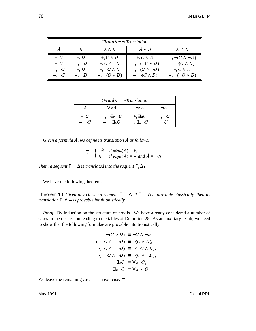|        |                | Girard's $\neg\neg$ -Translation |                           |                           |
|--------|----------------|----------------------------------|---------------------------|---------------------------|
|        |                | $A \wedge B$                     | $A \vee B$                | $A \supset B$             |
| $+, C$ | $+, D$         | $+, C \wedge D$                  | $+, C \vee D$             | $-, \neg(C \land \neg D)$ |
| $+, C$ | $-$ , $\neg D$ | $+, C \wedge \neg D$             | $-, \neg(\neg C \land D)$ | $-, \neg(C \wedge D)$     |
| $-,-C$ | $+, D$         | $+, \neg C \wedge D$             | $-, \neg(C \land \neg D)$ | $+, C \vee D$             |
| $-,-C$ | $-,-D$         | $-, \neg(C \vee D)$              | $-, \neg(C \wedge D)$     | $-, \neg(\neg C \land D)$ |

| Girard's $\neg\neg$ -Translation |                               |                              |       |  |
|----------------------------------|-------------------------------|------------------------------|-------|--|
|                                  | $\forall x A$                 | $\exists x A$                |       |  |
| $+$ . $C$                        | $- , \lnot \exists x \lnot C$ | $+,\exists \boldsymbol{x} C$ |       |  |
|                                  | $-$ , $\neg \exists x C$      | $+, \exists x \neg C$        | $+.C$ |  |

*Given a formula A, we define its translation*  $\overline{A}$  *as follows:* 

$$
\overline{A} = \begin{cases} \neg \widehat{A} & \text{if sign}(A) = +, \\ B & \text{if sign}(A) = - \text{ and } \widehat{A} = \neg B. \end{cases}
$$

*Then, a sequent*  $\Gamma \vdash \Delta$  *is translated into the sequent*  $\Gamma, \Delta \vdash$ .

We have the following theorem.

Theorem 10 *Given any classical sequent*  $\Gamma \vdash \Delta$ *, if*  $\Gamma \vdash \Delta$  *is provable classically, then its translation*  $\Gamma$ ,  $\overline{\Delta}$   $\vdash$  *is provable intuitionistically.* 

*Proof.* By induction on the structure of proofs. We have already considered a number of cases in the discussion leading to the tables of Definition 28. As an auxiliary result, we need to show that the following formulae are provable intuitionistically:

$$
\neg(C \lor D) \equiv \neg C \land \neg D,
$$
  
\n
$$
\neg(\neg \neg C \land \neg \neg D) \equiv \neg(C \land D),
$$
  
\n
$$
\neg(\neg C \land \neg \neg D) \equiv \neg(\neg C \land D),
$$
  
\n
$$
\neg(\neg \neg C \land \neg D) \equiv \neg(\neg C \land D),
$$
  
\n
$$
\neg(\neg \neg C \land \neg D) \equiv \neg(C \land \neg D),
$$
  
\n
$$
\neg \exists x C \equiv \forall x \neg C,
$$
  
\n
$$
\neg \exists x \neg C \equiv \forall x \neg \neg C.
$$

We leave the remaining cases as an exercise.  $\square$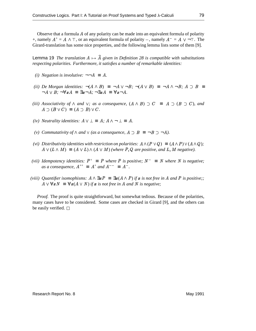Observe that a formula  $A$  of any polarity can be made into an equivalent formula of polarity +, namely  $A^+ = A \wedge \top$ , or an equivalent formula of polarity –, namely  $A^- = A \vee \neg \top$ . The Girard-translation has some nice properties, and the following lemma lists some of them [9].

Lemma 19 The translation  $A \mapsto \widehat{A}$  given in Definition 28 is compatible with substitutions *respecting polarities. Furthermore, it satisfies a number of remarkable identities:*

- *(i) Negation is involutive:*  $\neg \neg A \equiv A$ .
- *(ii) De* Morgan identities:  $\neg(A \land B) \equiv \neg A \lor \neg B$ ;  $\neg(A \lor B) \equiv \neg A \land \neg B$ ;  $A \supset B \equiv$  $\neg A \lor B$ ;  $\neg \forall x A \equiv \exists x \neg A$ ;  $\neg \exists x A \equiv \forall x \neg A$ .
- *(iii)* Associativity of  $\wedge$  and  $\vee$ ; as a consequence,  $(A \wedge B) \supset C \equiv A \supset (B \supset C)$ , and  $A \supset (B \vee C) \equiv (A \supset B) \vee C.$
- *(iv) Neutrality identities:*  $A \vee \bot \equiv A$ ;  $A \wedge \neg \bot \equiv A$ .
- *(v) Commutativity of*  $\land$  *and*  $\lor$  *(as a consequence,*  $A \supset B \equiv \neg B \supset \neg A$ *).*
- (vi) Distributivity identities with restriction on polarities:  $A \wedge (P \vee Q) \equiv (A \wedge P) \vee (A \wedge Q)$ ;  $A \vee (L \wedge M) = (A \vee L) \wedge (A \vee M)$  (where P, Q are positive, and L, M negative).
- *(vii) Idempotency identities:*  $P^+ \equiv P$  *where*  $P$  *is positive;*  $N^- \equiv N$  *where*  $N$  *is negative;*  $as a consequence, A^{++} \equiv A^+ \text{ and } A^{--} \equiv A^-$ .
- (viii) Quantifier isomophisms:  $A \wedge \exists x P \equiv \exists x (A \wedge P)$  if  $x$  is not free in  $A$  and  $P$  is positive;;  $A \vee \forall x N \equiv \forall x (A \vee N)$  if x is not free in A and N is negative;

*Proof.* The proof is quite straightforward, but somewhat tedious. Because of the polarities, many cases have to be considered. Some cases are checked in Girard [9], and the others can be easily verified.  $\Box$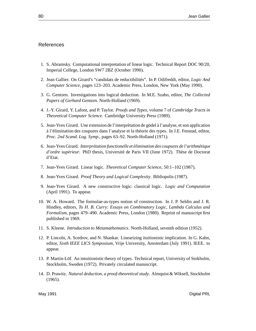## References

- 1. S. Abramsky. Computational interpretation of linear logic. Technical Report DOC 90/20, Imperial College, London SW7 2BZ (October 1990).
- 2. Jean Gallier. On Girard's "candidats de reductibilites". ´ In P. Odifreddi, editor, *Logic And Computer Science*, pages 123–203. Academic Press, London, New York (May 1990).
- 3. G. Gentzen. Investigations into logical deduction. In M.E. Szabo, editor, *The Collected Papers of Gerhard Gentzen*. North-Holland (1969).
- 4. J.-Y. Girard, Y. Lafont, and P. Taylor. *Proofs and Types*, volume 7 of *Cambridge Tracts in Theoretical Computer Science*. Cambridge University Press (1989).
- 5. Jean-Yves Girard. Une extension de l'interprétation de godel à l'analyse, et son application à l'élimination des coupures dans l'analyse et la théorie des types. In J.E. Fenstad, editor, *Proc. 2nd Scand. Log. Symp.*, pages 63–92. North-Holland (1971).
- 6. Jean-Yves Girard. *Interpretation ´ functionelle et elimin ´ ation des coupures de l'arithmetique ´ d'ordre supérieur*. PhD thesis, Université de Paris VII (June 1972). Thèse de Doctorat d'Etat.
- 7. Jean-Yves Girard. Linear logic. *Theoretical Computer Science*, 50:1–102 (1987).
- 8. Jean-Yves Girard. *Proof Theory and Logical Complexity*. Bibliopolis (1987).
- 9. Jean-Yves Girard. A new constructive logic: classical logic. *Logic and Computation* (April 1991). To appear.
- 10. W. A. Howard. The formulae-as-types notion of construction. In J. P. Seldin and J. R. Hindley, editors, *To H. B. Curry: Essays on Combinatory Logic, Lambda Calculus and Formalism*, pages 479–490. Academic Press, London (1980). Reprint of manuscript first published in 1969.
- 11. S. Kleene. *Introduction to Metamathematics*. North-Holland, seventh edition (1952).
- 12. P. Lincoln, A. Scedrov, and N. Shankar. Linearizing ituitionistic implication. In G. Kahn, editor, *Sixth IEEE LICS Symposium*, Vrije University, Amsterdam (July 1991). IEEE. to appear.
- 13. P. Martin-Löf. An intuitionistic theory of types. Technical report, University of Stokholm, Stockholm, Sweden (1972). Privately circulated manuscript.
- 14. D. Prawitz. *Natural deduction, a proof-theoreticalstudy*. Almquist& Wiksell, Stockholm (1965).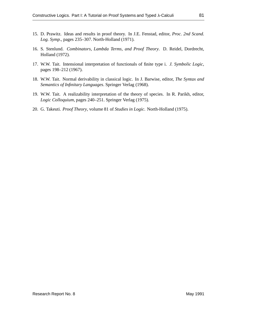- 15. D. Prawitz. Ideas and results in proof theory. In J.E. Fenstad, editor, *Proc. 2nd Scand. Log. Symp.*, pages 235–307. North-Holland (1971).
- 16. S. Stenlund. *Combinators, Lambda Terms, and Proof Theory*. D. Reidel, Dordrecht, Holland (1972).
- 17. W.W. Tait. Intensional interpretation of functionals of finite type i. *J. Symbolic Logic*, pages 198–212 (1967).
- 18. W.W. Tait. Normal derivability in classical logic. In J. Barwise, editor, *The Syntax and Semantics of Infinitary Languages*. Springer Verlag (1968).
- 19. W.W. Tait. A realizability interpretation of the theory of species. In R. Parikh, editor, *Logic Colloquium*, pages 240–251. Springer Verlag (1975).
- 20. G. Takeuti. *Proof Theory*, volume 81 of *Studies in Logic*. North-Holland (1975).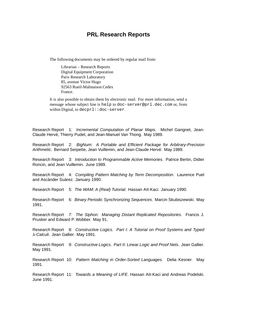## **PRL Research Reports**

The following documents may be ordered by regular mail from:

Librarian – Research Reports Digital Equipment Corporation Paris Research Laboratory 85, avenue Victor Hugo 92563 Rueil-Malmaison Cedex France.

It is also possible to obtain them by electronic mail. For more information, send a message whose subject line is help to doc-server@prl.dec.com or, from within Digital, to decprl::doc-server.

Research Report 1: Incremental Computation of Planar Maps. Michel Gangnet, Jean-Claude Hervé, Thierry Pudet, and Jean-Manuel Van Thong. May 1989.

Research Report 2: BigNum: A Portable and Efficient Package for Arbitrary-Precision Arithmetic. Bernard Serpette, Jean Vuillemin, and Jean-Claude Hervé. May 1989.

Research Report 3: Introduction to Programmable Active Memories. Patrice Bertin, Didier Roncin, and Jean Vuillemin. June 1989.

Research Report 4: Compiling Pattern Matching by Term Decomposition. Laurence Puel and Ascánder Suárez. January 1990.

Research Report 5: The WAM: A (Real) Tutorial. Hassan Aït-Kaci. January 1990.

Research Report 6: Binary Periodic Synchronizing Sequences. Marcin Skubiszewski. May 1991.

Research Report 7: The Siphon: Managing Distant Replicated Repositories. Francis J. Prusker and Edward P. Wobber. May 91.

Research Report 8: Constructive Logics. Part I: A Tutorial on Proof Systems and Typed -Calculi. Jean Gallier. May 1991.

Research Report 9: Constructive Logics. Part II: Linear Logic and Proof Nets. Jean Gallier. May 1991.

Research Report 10: Pattern Matching in Order-Sorted Languages. Delia Kesner. May 1991.

Research Report 11: Towards a Meaning of LIFE. Hassan Aït-Kaci and Andreas Podelski. June 1991.